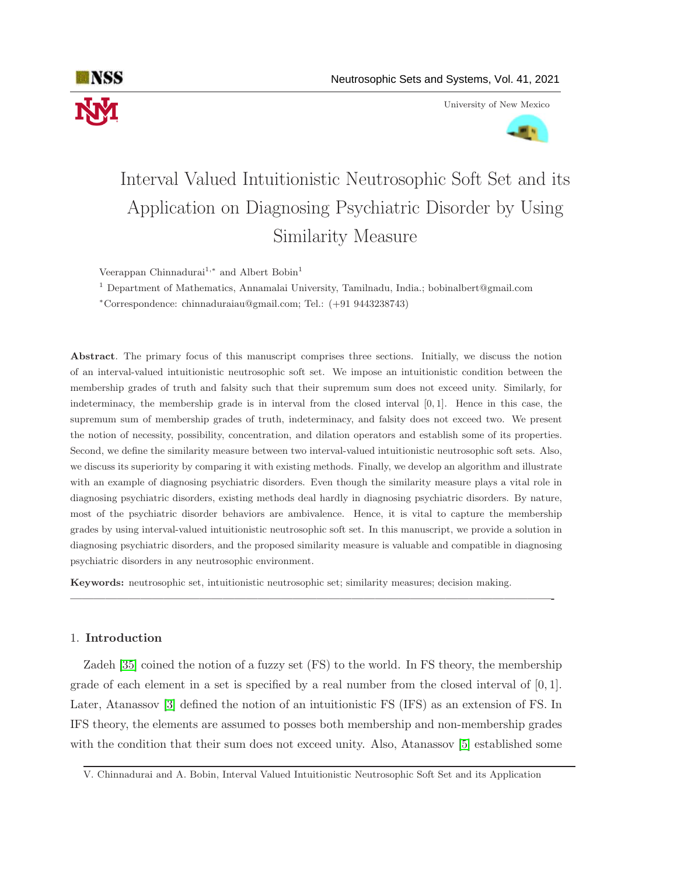

University of New Mexico



# Interval Valued Intuitionistic Neutrosophic Soft Set and its Application on Diagnosing Psychiatric Disorder by Using Similarity Measure

Veerappan Chinnadurai<sup>1,\*</sup> and Albert Bobin<sup>1</sup>

<sup>1</sup> Department of Mathematics, Annamalai University, Tamilnadu, India.; bobinalbert@gmail.com

<sup>∗</sup>Correspondence: chinnaduraiau@gmail.com; Tel.: (+91 9443238743)

Abstract. The primary focus of this manuscript comprises three sections. Initially, we discuss the notion of an interval-valued intuitionistic neutrosophic soft set. We impose an intuitionistic condition between the membership grades of truth and falsity such that their supremum sum does not exceed unity. Similarly, for indeterminacy, the membership grade is in interval from the closed interval [0, 1]. Hence in this case, the supremum sum of membership grades of truth, indeterminacy, and falsity does not exceed two. We present the notion of necessity, possibility, concentration, and dilation operators and establish some of its properties. Second, we define the similarity measure between two interval-valued intuitionistic neutrosophic soft sets. Also, we discuss its superiority by comparing it with existing methods. Finally, we develop an algorithm and illustrate with an example of diagnosing psychiatric disorders. Even though the similarity measure plays a vital role in diagnosing psychiatric disorders, existing methods deal hardly in diagnosing psychiatric disorders. By nature, most of the psychiatric disorder behaviors are ambivalence. Hence, it is vital to capture the membership grades by using interval-valued intuitionistic neutrosophic soft set. In this manuscript, we provide a solution in diagnosing psychiatric disorders, and the proposed similarity measure is valuable and compatible in diagnosing psychiatric disorders in any neutrosophic environment.

Keywords: neutrosophic set, intuitionistic neutrosophic set; similarity measures; decision making.

# 1. Introduction

Zadeh [\[35\]](#page-30-0) coined the notion of a fuzzy set (FS) to the world. In FS theory, the membership grade of each element in a set is specified by a real number from the closed interval of [0, 1]. Later, Atanassov [\[3\]](#page-28-0) defined the notion of an intuitionistic FS (IFS) as an extension of FS. In IFS theory, the elements are assumed to posses both membership and non-membership grades with the condition that their sum does not exceed unity. Also, Atanassov [\[5\]](#page-28-1) established some

—————————————————————————————————————————-

V. Chinnadurai and A. Bobin, Interval Valued Intuitionistic Neutrosophic Soft Set and its Application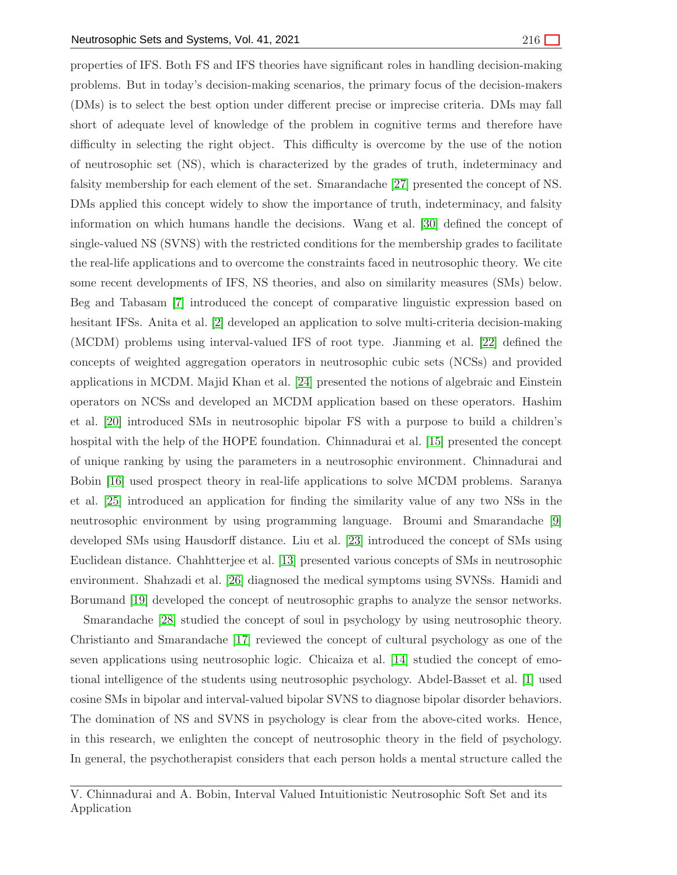properties of IFS. Both FS and IFS theories have significant roles in handling decision-making problems. But in today's decision-making scenarios, the primary focus of the decision-makers (DMs) is to select the best option under different precise or imprecise criteria. DMs may fall short of adequate level of knowledge of the problem in cognitive terms and therefore have difficulty in selecting the right object. This difficulty is overcome by the use of the notion of neutrosophic set (NS), which is characterized by the grades of truth, indeterminacy and falsity membership for each element of the set. Smarandache [\[27\]](#page-30-1) presented the concept of NS. DMs applied this concept widely to show the importance of truth, indeterminacy, and falsity information on which humans handle the decisions. Wang et al. [\[30\]](#page-30-2) defined the concept of single-valued NS (SVNS) with the restricted conditions for the membership grades to facilitate the real-life applications and to overcome the constraints faced in neutrosophic theory. We cite some recent developments of IFS, NS theories, and also on similarity measures (SMs) below. Beg and Tabasam [\[7\]](#page-29-0) introduced the concept of comparative linguistic expression based on hesitant IFSs. Anita et al. [\[2\]](#page-28-2) developed an application to solve multi-criteria decision-making (MCDM) problems using interval-valued IFS of root type. Jianming et al. [\[22\]](#page-29-1) defined the concepts of weighted aggregation operators in neutrosophic cubic sets (NCSs) and provided applications in MCDM. Majid Khan et al. [\[24\]](#page-29-2) presented the notions of algebraic and Einstein operators on NCSs and developed an MCDM application based on these operators. Hashim et al. [\[20\]](#page-29-3) introduced SMs in neutrosophic bipolar FS with a purpose to build a children's hospital with the help of the HOPE foundation. Chinnadurai et al. [\[15\]](#page-29-4) presented the concept of unique ranking by using the parameters in a neutrosophic environment. Chinnadurai and Bobin [\[16\]](#page-29-5) used prospect theory in real-life applications to solve MCDM problems. Saranya et al. [\[25\]](#page-30-3) introduced an application for finding the similarity value of any two NSs in the neutrosophic environment by using programming language. Broumi and Smarandache [\[9\]](#page-29-6) developed SMs using Hausdorff distance. Liu et al. [\[23\]](#page-29-7) introduced the concept of SMs using Euclidean distance. Chahhtterjee et al. [\[13\]](#page-29-8) presented various concepts of SMs in neutrosophic environment. Shahzadi et al. [\[26\]](#page-30-4) diagnosed the medical symptoms using SVNSs. Hamidi and Borumand [\[19\]](#page-29-9) developed the concept of neutrosophic graphs to analyze the sensor networks.

Smarandache [\[28\]](#page-30-5) studied the concept of soul in psychology by using neutrosophic theory. Christianto and Smarandache [\[17\]](#page-29-10) reviewed the concept of cultural psychology as one of the seven applications using neutrosophic logic. Chicaiza et al. [\[14\]](#page-29-11) studied the concept of emotional intelligence of the students using neutrosophic psychology. Abdel-Basset et al. [\[1\]](#page-28-3) used cosine SMs in bipolar and interval-valued bipolar SVNS to diagnose bipolar disorder behaviors. The domination of NS and SVNS in psychology is clear from the above-cited works. Hence, in this research, we enlighten the concept of neutrosophic theory in the field of psychology. In general, the psychotherapist considers that each person holds a mental structure called the

V. Chinnadurai and A. Bobin, Interval Valued Intuitionistic Neutrosophic Soft Set and its Application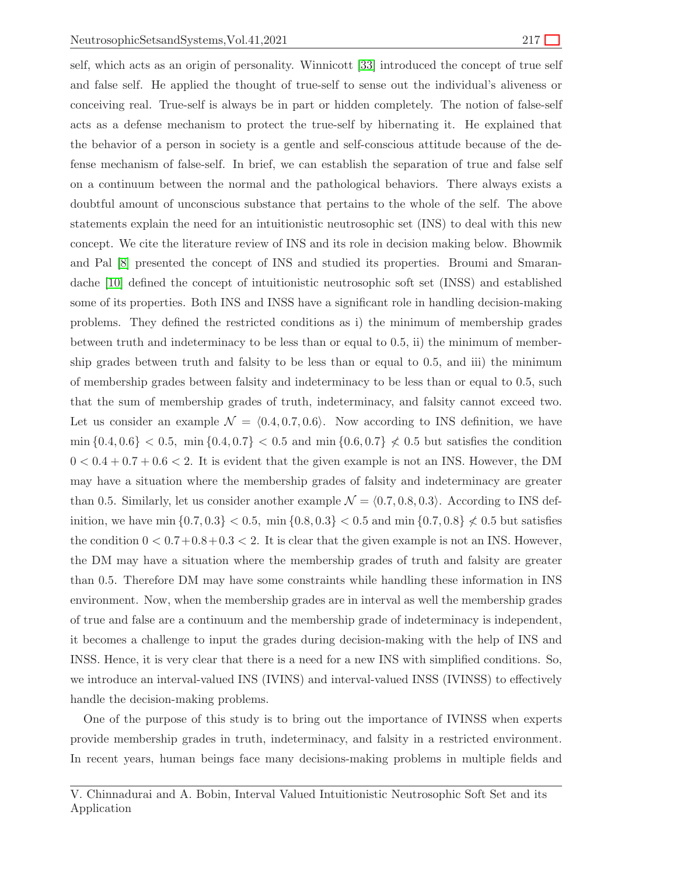self, which acts as an origin of personality. Winnicott [\[33\]](#page-30-6) introduced the concept of true self and false self. He applied the thought of true-self to sense out the individual's aliveness or conceiving real. True-self is always be in part or hidden completely. The notion of false-self acts as a defense mechanism to protect the true-self by hibernating it. He explained that the behavior of a person in society is a gentle and self-conscious attitude because of the defense mechanism of false-self. In brief, we can establish the separation of true and false self on a continuum between the normal and the pathological behaviors. There always exists a doubtful amount of unconscious substance that pertains to the whole of the self. The above statements explain the need for an intuitionistic neutrosophic set (INS) to deal with this new concept. We cite the literature review of INS and its role in decision making below. Bhowmik and Pal [\[8\]](#page-29-12) presented the concept of INS and studied its properties. Broumi and Smarandache [\[10\]](#page-29-13) defined the concept of intuitionistic neutrosophic soft set (INSS) and established some of its properties. Both INS and INSS have a significant role in handling decision-making problems. They defined the restricted conditions as i) the minimum of membership grades between truth and indeterminacy to be less than or equal to 0.5, ii) the minimum of membership grades between truth and falsity to be less than or equal to 0.5, and iii) the minimum of membership grades between falsity and indeterminacy to be less than or equal to 0.5, such that the sum of membership grades of truth, indeterminacy, and falsity cannot exceed two. Let us consider an example  $\mathcal{N} = \langle 0.4, 0.7, 0.6 \rangle$ . Now according to INS definition, we have  $\min\{0.4, 0.6\}$  < 0.5,  $\min\{0.4, 0.7\}$  < 0.5 and  $\min\{0.6, 0.7\} \nless 0.5$  but satisfies the condition  $0 < 0.4 + 0.7 + 0.6 < 2$ . It is evident that the given example is not an INS. However, the DM may have a situation where the membership grades of falsity and indeterminacy are greater than 0.5. Similarly, let us consider another example  $\mathcal{N} = \langle 0.7, 0.8, 0.3 \rangle$ . According to INS definition, we have min  $\{0.7, 0.3\} < 0.5$ , min  $\{0.8, 0.3\} < 0.5$  and min  $\{0.7, 0.8\} \nless 0.5$  but satisfies the condition  $0 < 0.7 + 0.8 + 0.3 < 2$ . It is clear that the given example is not an INS. However, the DM may have a situation where the membership grades of truth and falsity are greater than 0.5. Therefore DM may have some constraints while handling these information in INS environment. Now, when the membership grades are in interval as well the membership grades of true and false are a continuum and the membership grade of indeterminacy is independent, it becomes a challenge to input the grades during decision-making with the help of INS and INSS. Hence, it is very clear that there is a need for a new INS with simplified conditions. So, we introduce an interval-valued INS (IVINS) and interval-valued INSS (IVINSS) to effectively handle the decision-making problems.

One of the purpose of this study is to bring out the importance of IVINSS when experts provide membership grades in truth, indeterminacy, and falsity in a restricted environment. In recent years, human beings face many decisions-making problems in multiple fields and

V. Chinnadurai and A. Bobin, Interval Valued Intuitionistic Neutrosophic Soft Set and its Application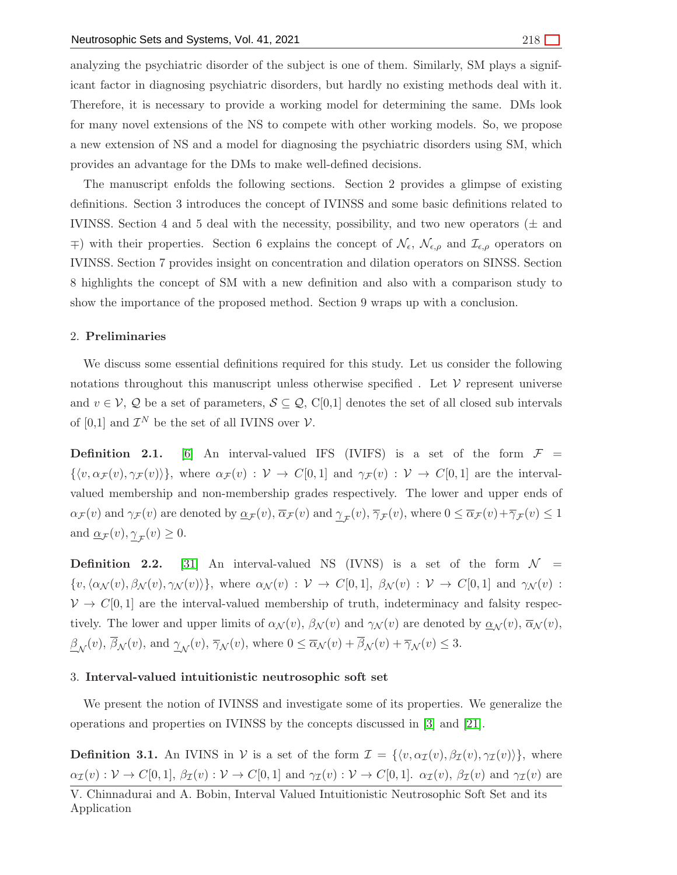analyzing the psychiatric disorder of the subject is one of them. Similarly, SM plays a significant factor in diagnosing psychiatric disorders, but hardly no existing methods deal with it. Therefore, it is necessary to provide a working model for determining the same. DMs look for many novel extensions of the NS to compete with other working models. So, we propose a new extension of NS and a model for diagnosing the psychiatric disorders using SM, which provides an advantage for the DMs to make well-defined decisions.

The manuscript enfolds the following sections. Section 2 provides a glimpse of existing definitions. Section 3 introduces the concept of IVINSS and some basic definitions related to IVINSS. Section 4 and 5 deal with the necessity, possibility, and two new operators  $(\pm$  and  $\mp$ ) with their properties. Section 6 explains the concept of  $\mathcal{N}_{\epsilon}$ ,  $\mathcal{N}_{\epsilon,\rho}$  and  $\mathcal{I}_{\epsilon,\rho}$  operators on IVINSS. Section 7 provides insight on concentration and dilation operators on SINSS. Section 8 highlights the concept of SM with a new definition and also with a comparison study to show the importance of the proposed method. Section 9 wraps up with a conclusion.

#### 2. Preliminaries

We discuss some essential definitions required for this study. Let us consider the following notations throughout this manuscript unless otherwise specified. Let  $\mathcal V$  represent universe and  $v \in V$ , Q be a set of parameters,  $S \subseteq Q$ , C[0,1] denotes the set of all closed sub intervals of [0,1] and  $\mathcal{I}^N$  be the set of all IVINS over  $\mathcal{V}$ .

**Definition 2.1.** [\[6\]](#page-29-14) An interval-valued IFS (IVIFS) is a set of the form  $\mathcal{F} =$  $\{\langle v, \alpha_{\mathcal{F}} (v), \gamma_{\mathcal{F}} (v)\rangle\}$ , where  $\alpha_{\mathcal{F}} (v) : \mathcal{V} \to C[0,1]$  and  $\gamma_{\mathcal{F}} (v) : \mathcal{V} \to C[0,1]$  are the intervalvalued membership and non-membership grades respectively. The lower and upper ends of  $\alpha_{\mathcal{F}}(v)$  and  $\gamma_{\mathcal{F}}(v)$  are denoted by  $\underline{\alpha}_{\mathcal{F}}(v), \overline{\alpha}_{\mathcal{F}}(v)$  and  $\underline{\gamma}_{\mathcal{F}}(v), \overline{\gamma}_{\mathcal{F}}(v)$ , where  $0 \leq \overline{\alpha}_{\mathcal{F}}(v) + \overline{\gamma}_{\mathcal{F}}(v) \leq 1$ and  $\underline{\alpha}_{\mathcal{F}}(v), \underline{\gamma}_{\mathcal{F}}(v) \geq 0.$ 

**Definition 2.2.** [\[31\]](#page-30-7) An interval-valued NS (IVNS) is a set of the form  $\mathcal{N}$  =  $\{v,\langle \alpha_\mathcal{N} (v), \beta_\mathcal{N} (v), \gamma_\mathcal{N} (v)\rangle\},\$  where  $\alpha_\mathcal{N} (v) : \mathcal{V} \to C[0,1],\ \beta_\mathcal{N} (v) : \mathcal{V} \to C[0,1]$  and  $\gamma_\mathcal{N} (v)$ :  $V \to C[0, 1]$  are the interval-valued membership of truth, indeterminacy and falsity respectively. The lower and upper limits of  $\alpha_{\mathcal{N}}(v)$ ,  $\beta_{\mathcal{N}}(v)$  and  $\gamma_{\mathcal{N}}(v)$  are denoted by  $\underline{\alpha}_{\mathcal{N}}(v)$ ,  $\overline{\alpha}_{\mathcal{N}}(v)$ ,  $\frac{\beta_{\mathcal{N}}(v)}{\beta_{\mathcal{N}}(v)}$ , and  $\frac{\gamma_{\mathcal{N}}(v)}{\gamma_{\mathcal{N}}(v)}$ , where  $0 \leq \overline{\alpha}_{\mathcal{N}}(v) + \beta_{\mathcal{N}}(v) + \overline{\gamma}_{\mathcal{N}}(v) \leq 3$ .

# 3. Interval-valued intuitionistic neutrosophic soft set

We present the notion of IVINSS and investigate some of its properties. We generalize the operations and properties on IVINSS by the concepts discussed in [\[3\]](#page-28-0) and [\[21\]](#page-29-15).

**Definition 3.1.** An IVINS in V is a set of the form  $\mathcal{I} = \{\langle v, \alpha_{\mathcal{I}}(v), \beta_{\mathcal{I}}(v), \gamma_{\mathcal{I}}(v)\rangle\}$ , where  $\alpha_{\mathcal{I}}(v) : \mathcal{V} \to C[0,1], \ \beta_{\mathcal{I}}(v) : \mathcal{V} \to C[0,1]$  and  $\gamma_{\mathcal{I}}(v) : \mathcal{V} \to C[0,1].$   $\alpha_{\mathcal{I}}(v), \ \beta_{\mathcal{I}}(v)$  and  $\gamma_{\mathcal{I}}(v)$  are

V. Chinnadurai and A. Bobin, Interval Valued Intuitionistic Neutrosophic Soft Set and its Application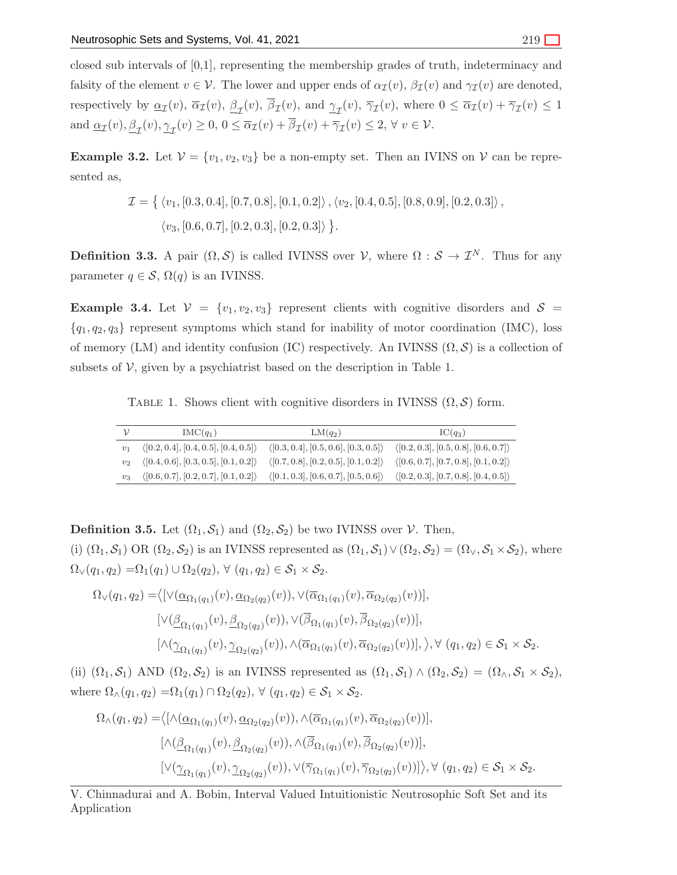closed sub intervals of [0,1], representing the membership grades of truth, indeterminacy and falsity of the element  $v \in V$ . The lower and upper ends of  $\alpha_{\mathcal{I}}(v)$ ,  $\beta_{\mathcal{I}}(v)$  and  $\gamma_{\mathcal{I}}(v)$  are denoted, respectively by  $\underline{\alpha}_{\mathcal{I}}(v)$ ,  $\overline{\alpha}_{\mathcal{I}}(v)$ ,  $\beta_{\mathcal{I}}(v)$ ,  $\beta_{\mathcal{I}}(v)$ ,  $\overline{\alpha}_{\mathcal{I}}(v)$ ,  $\overline{\gamma}_{\mathcal{I}}(v)$ , where  $0 \leq \overline{\alpha}_{\mathcal{I}}(v) + \overline{\gamma}_{\mathcal{I}}(v) \leq 1$ and  $\underline{\alpha}_{\mathcal{I}}(v), \underline{\beta}_{\mathcal{I}}(v), \underline{\gamma}_{\mathcal{I}}(v) \geq 0, 0 \leq \overline{\alpha}_{\mathcal{I}}(v) + \beta_{\mathcal{I}}(v) + \overline{\gamma}_{\mathcal{I}}(v) \leq 2, \forall v \in \mathcal{V}$ .

**Example 3.2.** Let  $V = \{v_1, v_2, v_3\}$  be a non-empty set. Then an IVINS on V can be represented as,

$$
\mathcal{I} = \{ \langle v_1, [0.3, 0.4], [0.7, 0.8], [0.1, 0.2] \rangle, \langle v_2, [0.4, 0.5], [0.8, 0.9], [0.2, 0.3] \rangle, \langle v_3, [0.6, 0.7], [0.2, 0.3], [0.2, 0.3] \rangle \}.
$$

**Definition 3.3.** A pair  $(\Omega, \mathcal{S})$  is called IVINSS over  $\mathcal{V}$ , where  $\Omega : \mathcal{S} \to \mathcal{I}^N$ . Thus for any parameter  $q \in \mathcal{S}, \Omega(q)$  is an IVINSS.

**Example 3.4.** Let  $V = \{v_1, v_2, v_3\}$  represent clients with cognitive disorders and  $S =$  ${q_1, q_2, q_3}$  represent symptoms which stand for inability of motor coordination (IMC), loss of memory (LM) and identity confusion (IC) respectively. An IVINSS  $(\Omega, \mathcal{S})$  is a collection of subsets of  $\mathcal V$ , given by a psychiatrist based on the description in Table 1.

TABLE 1. Shows client with cognitive disorders in IVINSS  $(\Omega, \mathcal{S})$  form.

|                | $IMC(q_1)$                                           | $LM(q_2)$                                            | $IC(q_3)$                                            |
|----------------|------------------------------------------------------|------------------------------------------------------|------------------------------------------------------|
| v <sub>1</sub> | $\langle [0.2, 0.4], [0.4, 0.5], [0.4, 0.5] \rangle$ | $\langle [0.3, 0.4], [0.5, 0.6], [0.3, 0.5] \rangle$ | $\langle [0.2, 0.3], [0.5, 0.8], [0.6, 0.7] \rangle$ |
|                | $\langle [0.4, 0.6], [0.3, 0.5], [0.1, 0.2] \rangle$ | $\langle [0.7, 0.8], [0.2, 0.5], [0.1, 0.2] \rangle$ | $\langle [0.6, 0.7], [0.7, 0.8], [0.1, 0.2] \rangle$ |
| $v_3$          | $\langle [0.6, 0.7], [0.2, 0.7], [0.1, 0.2] \rangle$ | $\langle [0.1, 0.3], [0.6, 0.7], [0.5, 0.6] \rangle$ | $\langle [0.2, 0.3], [0.7, 0.8], [0.4, 0.5] \rangle$ |

**Definition 3.5.** Let  $(\Omega_1, \mathcal{S}_1)$  and  $(\Omega_2, \mathcal{S}_2)$  be two IVINSS over  $\mathcal{V}$ . Then, (i)  $(\Omega_1, \mathcal{S}_1)$  OR  $(\Omega_2, \mathcal{S}_2)$  is an IVINSS represented as  $(\Omega_1, \mathcal{S}_1) \vee (\Omega_2, \mathcal{S}_2) = (\Omega_v, \mathcal{S}_1 \times \mathcal{S}_2)$ , where  $\Omega_{\vee}(q_1, q_2) = \Omega_1(q_1) \cup \Omega_2(q_2), \forall (q_1, q_2) \in \mathcal{S}_1 \times \mathcal{S}_2.$ 

$$
\Omega_{\vee}(q_1, q_2) = \langle [\vee(\underline{\alpha}_{\Omega_1(q_1)}(v), \underline{\alpha}_{\Omega_2(q_2)}(v)), \vee(\overline{\alpha}_{\Omega_1(q_1)}(v), \overline{\alpha}_{\Omega_2(q_2)}(v))],
$$
  
\n
$$
[\vee(\underline{\beta}_{\Omega_1(q_1)}(v), \underline{\beta}_{\Omega_2(q_2)}(v)), \vee(\overline{\beta}_{\Omega_1(q_1)}(v), \overline{\beta}_{\Omega_2(q_2)}(v))],
$$
  
\n
$$
[\wedge(\underline{\gamma}_{\Omega_1(q_1)}(v), \underline{\gamma}_{\Omega_2(q_2)}(v)), \wedge(\overline{\alpha}_{\Omega_1(q_1)}(v), \overline{\alpha}_{\Omega_2(q_2)}(v))], \rangle, \forall (q_1, q_2) \in S_1 \times S_2.
$$

(ii)  $(\Omega_1, \mathcal{S}_1)$  AND  $(\Omega_2, \mathcal{S}_2)$  is an IVINSS represented as  $(\Omega_1, \mathcal{S}_1) \wedge (\Omega_2, \mathcal{S}_2) = (\Omega_\wedge, \mathcal{S}_1 \times \mathcal{S}_2)$ , where  $\Omega_{\wedge}(q_1, q_2) = \Omega_1(q_1) \cap \Omega_2(q_2), \forall (q_1, q_2) \in \mathcal{S}_1 \times \mathcal{S}_2.$ 

$$
\Omega_{\wedge}(q_1, q_2) = \langle [\wedge(\underline{\alpha}_{\Omega_1(q_1)}(v), \underline{\alpha}_{\Omega_2(q_2)}(v)), \wedge(\overline{\alpha}_{\Omega_1(q_1)}(v), \overline{\alpha}_{\Omega_2(q_2)}(v))],
$$
  
\n
$$
[\wedge(\underline{\beta}_{\Omega_1(q_1)}(v), \underline{\beta}_{\Omega_2(q_2)}(v)), \wedge(\overline{\beta}_{\Omega_1(q_1)}(v), \overline{\beta}_{\Omega_2(q_2)}(v))],
$$
  
\n
$$
[\vee(\underline{\gamma}_{\Omega_1(q_1)}(v), \underline{\gamma}_{\Omega_2(q_2)}(v)), \vee(\overline{\gamma}_{\Omega_1(q_1)}(v), \overline{\gamma}_{\Omega_2(q_2)}(v))]\rangle, \forall (q_1, q_2) \in S_1 \times S_2.
$$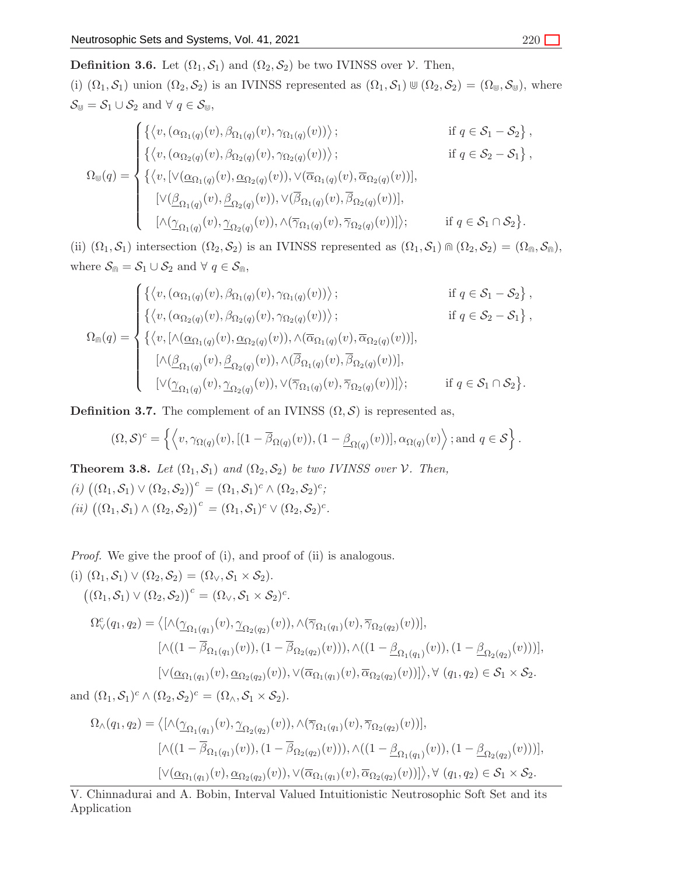**Definition 3.6.** Let  $(\Omega_1, \mathcal{S}_1)$  and  $(\Omega_2, \mathcal{S}_2)$  be two IVINSS over  $\mathcal{V}$ . Then, (i)  $(\Omega_1, \mathcal{S}_1)$  union  $(\Omega_2, \mathcal{S}_2)$  is an IVINSS represented as  $(\Omega_1, \mathcal{S}_1) \cup (\Omega_2, \mathcal{S}_2) = (\Omega_{\psi}, \mathcal{S}_{\psi})$ , where  $\mathcal{S}_{\mathbb{U}} = \mathcal{S}_1 \cup \mathcal{S}_2$  and  $\forall q \in \mathcal{S}_{\mathbb{U}},$ 

$$
\Omega_{\mathbb{U}}(q) = \begin{cases}\n\left\{\left\langle v, (\alpha_{\Omega_{1}(q)}(v), \beta_{\Omega_{1}(q)}(v), \gamma_{\Omega_{1}(q)}(v)) \right\rangle; & \text{if } q \in S_{1} - S_{2} \right\}, \\
\left\{\left\langle v, (\alpha_{\Omega_{2}(q)}(v), \beta_{\Omega_{2}(q)}(v), \gamma_{\Omega_{2}(q)}(v)) \right\rangle; & \text{if } q \in S_{2} - S_{1} \right\}, \\
\left\{\left\langle v, [\vee(\underline{\alpha}_{\Omega_{1}(q)}(v), \underline{\alpha}_{\Omega_{2}(q)}(v)), \vee(\overline{\alpha}_{\Omega_{1}(q)}(v), \overline{\alpha}_{\Omega_{2}(q)}(v))], \right.\right. \\
\left. [\vee(\underline{\beta}_{\Omega_{1}(q)}(v), \underline{\beta}_{\Omega_{2}(q)}(v)), \vee(\overline{\beta}_{\Omega_{1}(q)}(v), \overline{\beta}_{\Omega_{2}(q)}(v))], \right. \\
\left. [\wedge(\underline{\gamma}_{\Omega_{1}(q)}(v), \underline{\gamma}_{\Omega_{2}(q)}(v)), \wedge(\overline{\gamma}_{\Omega_{1}(q)}(v), \overline{\gamma}_{\Omega_{2}(q)}(v))]\right\rangle; & \text{if } q \in S_{1} \cap S_{2} \}.\n\end{cases}
$$

(ii)  $(\Omega_1, \mathcal{S}_1)$  intersection  $(\Omega_2, \mathcal{S}_2)$  is an IVINSS represented as  $(\Omega_1, \mathcal{S}_1) \cap (\Omega_2, \mathcal{S}_2) = (\Omega_0, \mathcal{S}_0)$ , where  $S_{\mathbb{Q}} = S_1 \cup S_2$  and  $\forall q \in S_{\mathbb{Q}}$ ,

$$
\Omega_{\mathbb{m}}(q) = \begin{cases}\n\left\{ \left\langle v, (\alpha_{\Omega_1(q)}(v), \beta_{\Omega_1(q)}(v), \gamma_{\Omega_1(q)}(v)) \right\rangle; & \text{if } q \in \mathcal{S}_1 - \mathcal{S}_2 \right\}, \\
\left\{ \left\langle v, (\alpha_{\Omega_2(q)}(v), \beta_{\Omega_2(q)}(v), \gamma_{\Omega_2(q)}(v)) \right\rangle; & \text{if } q \in \mathcal{S}_2 - \mathcal{S}_1 \right\}, \\
\left\{ \left\langle v, [\wedge(\underline{\alpha}_{\Omega_1(q)}(v), \underline{\alpha}_{\Omega_2(q)}(v)), \wedge(\overline{\alpha}_{\Omega_1(q)}(v), \overline{\alpha}_{\Omega_2(q)}(v))], \\
[\wedge(\underline{\beta}_{\Omega_1(q)}(v), \underline{\beta}_{\Omega_2(q)}(v)), \wedge(\overline{\beta}_{\Omega_1(q)}(v), \overline{\beta}_{\Omega_2(q)}(v))], \\
[\vee(\underline{\gamma}_{\Omega_1(q)}(v), \underline{\gamma}_{\Omega_2(q)}(v)), \vee(\overline{\gamma}_{\Omega_1(q)}(v), \overline{\gamma}_{\Omega_2(q)}(v))]\right); & \text{if } q \in \mathcal{S}_1 \cap \mathcal{S}_2 \}.\n\end{cases}
$$

**Definition 3.7.** The complement of an IVINSS  $(\Omega, \mathcal{S})$  is represented as,

$$
(\Omega,\mathcal{S})^c = \left\{ \left\langle v, \gamma_{\Omega(q)}(v), [(1-\overline{\beta}_{\Omega(q)}(v)), (1-\underline{\beta}_{\Omega(q)}(v))], \alpha_{\Omega(q)}(v) \right\rangle; \text{and } q \in \mathcal{S} \right\}.
$$

**Theorem 3.8.** *Let*  $(\Omega_1, \mathcal{S}_1)$  *and*  $(\Omega_2, \mathcal{S}_2)$  *be two IVINSS over*  $\mathcal{V}$ *. Then,*  $(i)$   $((\Omega_1, \mathcal{S}_1) \vee (\Omega_2, \mathcal{S}_2))^c = (\Omega_1, \mathcal{S}_1)^c \wedge (\Omega_2, \mathcal{S}_2)^c;$  $(ii)$   $((\Omega_1, \mathcal{S}_1) \wedge (\Omega_2, \mathcal{S}_2))^c = (\Omega_1, \mathcal{S}_1)^c \vee (\Omega_2, \mathcal{S}_2)^c.$ 

*Proof.* We give the proof of (i), and proof of (ii) is analogous. (i)  $(\Omega_1, \mathcal{S}_1) \vee (\Omega_2, \mathcal{S}_2) = (\Omega_{\vee}, \mathcal{S}_1 \times \mathcal{S}_2).$  $((\Omega_1, \mathcal{S}_1) \vee (\Omega_2, \mathcal{S}_2))^c = (\Omega_{\vee}, \mathcal{S}_1 \times \mathcal{S}_2)^c.$  $\Omega_{\vee}^c(q_1, q_2) = \langle [\wedge(\underline{\gamma}_{\Omega_1(q_1)}(v), \underline{\gamma}_{\Omega_2(q_2)}(v)), \wedge(\overline{\gamma}_{\Omega_1(q_1)}(v), \overline{\gamma}_{\Omega_2(q_2)}(v))],$  $[\wedge((1-\beta_{\Omega_{1}(q_{1})}(v)),(1-\beta_{\Omega_{2}(q_{2})}(v))),\wedge((1-\underline{\beta}_{\Omega_{1}(q_{1})}(v)),(1-\underline{\beta}_{\Omega_{2}(q_{2})}(v)))],$  $\left[\vee(\underline{\alpha}_{\Omega_1(q_1)}(v),\underline{\alpha}_{\Omega_2(q_2)}(v)),\vee(\overline{\alpha}_{\Omega_1(q_1)}(v),\overline{\alpha}_{\Omega_2(q_2)}(v))]\right],\forall (q_1,q_2)\in S_1\times S_2.$ 

and  $(\Omega_1, \mathcal{S}_1)^c \wedge (\Omega_2, \mathcal{S}_2)^c = (\Omega_\wedge, \mathcal{S}_1 \times \mathcal{S}_2).$ 

$$
\Omega_{\wedge}(q_1, q_2) = \langle [\wedge(\underline{\gamma}_{\Omega_1(q_1)}(v), \underline{\gamma}_{\Omega_2(q_2)}(v)), \wedge(\overline{\gamma}_{\Omega_1(q_1)}(v), \overline{\gamma}_{\Omega_2(q_2)}(v))],
$$
  
\n
$$
[\wedge((1 - \overline{\beta}_{\Omega_1(q_1)}(v)), (1 - \overline{\beta}_{\Omega_2(q_2)}(v))), \wedge((1 - \underline{\beta}_{\Omega_1(q_1)}(v)), (1 - \underline{\beta}_{\Omega_2(q_2)}(v)))],
$$
  
\n
$$
[\vee(\underline{\alpha}_{\Omega_1(q_1)}(v), \underline{\alpha}_{\Omega_2(q_2)}(v)), \vee(\overline{\alpha}_{\Omega_1(q_1)}(v), \overline{\alpha}_{\Omega_2(q_2)}(v))]\rangle, \forall (q_1, q_2) \in S_1 \times S_2.
$$

V. Chinnadurai and A. Bobin, Interval Valued Intuitionistic Neutrosophic Soft Set and its Application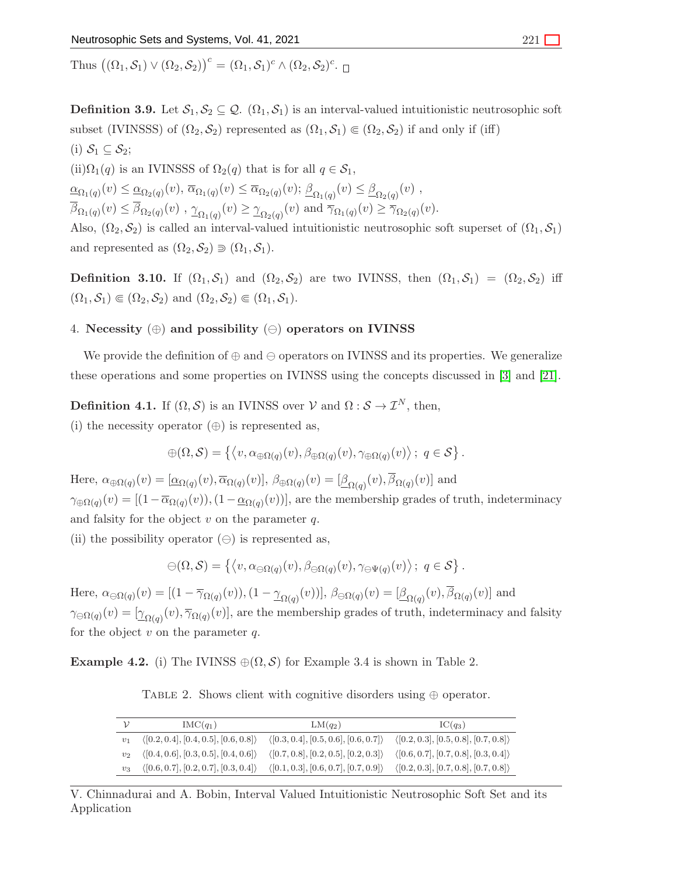Thus  $((\Omega_1, \mathcal{S}_1) \vee (\Omega_2, \mathcal{S}_2))^c = (\Omega_1, \mathcal{S}_1)^c \wedge (\Omega_2, \mathcal{S}_2)^c$ .

**Definition 3.9.** Let  $S_1, S_2 \subseteq Q$ .  $(\Omega_1, S_1)$  is an interval-valued intuitionistic neutrosophic soft subset (IVINSSS) of  $(\Omega_2, \mathcal{S}_2)$  represented as  $(\Omega_1, \mathcal{S}_1) \in (\Omega_2, \mathcal{S}_2)$  if and only if (iff) (i)  $S_1 \subseteq S_2$ ;

(ii) $\Omega_1(q)$  is an IVINSSS of  $\Omega_2(q)$  that is for all  $q \in \mathcal{S}_1$ ,

 $\underline{\alpha}_{\Omega_1(q)}(v) \leq \underline{\alpha}_{\Omega_2(q)}(v), \overline{\alpha}_{\Omega_1(q)}(v) \leq \overline{\alpha}_{\Omega_2(q)}(v); \underline{\beta}_{\Omega_1(q)}(v) \leq \underline{\beta}_{\Omega_2(q)}(v)$ ,  $\beta_{\Omega_1(q)}(v) \leq \beta_{\Omega_2(q)}(v)$ ,  $\gamma_{\Omega_1(q)}(v) \geq \gamma_{\Omega_2(q)}(v)$  and  $\overline{\gamma}_{\Omega_1(q)}(v) \geq \overline{\gamma}_{\Omega_2(q)}(v)$ .

Also,  $(\Omega_2, \mathcal{S}_2)$  is called an interval-valued intuitionistic neutrosophic soft superset of  $(\Omega_1, \mathcal{S}_1)$ and represented as  $(\Omega_2, \mathcal{S}_2) \supseteq (\Omega_1, \mathcal{S}_1)$ .

**Definition 3.10.** If  $(\Omega_1, \mathcal{S}_1)$  and  $(\Omega_2, \mathcal{S}_2)$  are two IVINSS, then  $(\Omega_1, \mathcal{S}_1) = (\Omega_2, \mathcal{S}_2)$  iff  $(\Omega_1, \mathcal{S}_1) \in (\Omega_2, \mathcal{S}_2)$  and  $(\Omega_2, \mathcal{S}_2) \in (\Omega_1, \mathcal{S}_1)$ .

# 4. Necessity  $(\oplus)$  and possibility  $(\ominus)$  operators on IVINSS

We provide the definition of  $\oplus$  and  $\ominus$  operators on IVINSS and its properties. We generalize these operations and some properties on IVINSS using the concepts discussed in [\[3\]](#page-28-0) and [\[21\]](#page-29-15).

**Definition 4.1.** If  $(\Omega, \mathcal{S})$  is an IVINSS over  $\mathcal{V}$  and  $\Omega : \mathcal{S} \to \mathcal{I}^N$ , then,

(i) the necessity operator  $(\oplus)$  is represented as,

$$
\oplus(\Omega,\mathcal{S})=\left\{\left\langle v,\alpha_{\oplus\Omega(q)}(v),\beta_{\oplus\Omega(q)}(v),\gamma_{\oplus\Omega(q)}(v)\right\rangle;\ q\in\mathcal{S}\right\}.
$$

Here,  $\alpha_{\oplus\Omega(q)}(v) = [\underline{\alpha}_{\Omega(q)}(v), \overline{\alpha}_{\Omega(q)}(v)], \ \beta_{\oplus\Omega(q)}(v) = [\underline{\beta}_{\Omega(q)}(v), \beta_{\Omega(q)}(v)]$  and  $\gamma_{\oplus\Omega(q)}(v) = [(1-\overline{\alpha}_{\Omega(q)}(v)),(1-\underline{\alpha}_{\Omega(q)}(v))]$ , are the membership grades of truth, indeterminacy and falsity for the object  $v$  on the parameter  $q$ .

(ii) the possibility operator  $(\ominus)$  is represented as,

$$
\ominus(\Omega,\mathcal{S})=\left\{\left\langle v,\alpha_{\ominus\Omega(q)}(v),\beta_{\ominus\Omega(q)}(v),\gamma_{\ominus\Psi(q)}(v)\right\rangle;\ q\in\mathcal{S}\right\}.
$$

Here,  $\alpha_{\ominus\Omega(q)}(v) = [(1 - \overline{\gamma}_{\Omega(q)}(v)),(1 - \underline{\gamma}_{\Omega(q)}(v))]$ ,  $\beta_{\ominus\Omega(q)}(v) = [\underline{\beta}_{\Omega(q)}(v), \beta_{\Omega(q)}(v)]$  and  $\gamma_{\ominus\Omega(q)}(v) = [\gamma_{\Omega(q)}(v), \overline{\gamma}_{\Omega(q)}(v)]$ , are the membership grades of truth, indeterminacy and falsity for the object  $v$  on the parameter  $q$ .

Example 4.2. (i) The IVINSS  $\oplus(\Omega, \mathcal{S})$  for Example 3.4 is shown in Table 2.

TABLE 2. Shows client with cognitive disorders using  $oplus$  operator.

|                | $IMC(q_1)$                                           | $LM(q_2)$                                            | $IC(q_3)$                                            |
|----------------|------------------------------------------------------|------------------------------------------------------|------------------------------------------------------|
| v <sub>1</sub> | $\langle [0.2, 0.4], [0.4, 0.5], [0.6, 0.8] \rangle$ | $\langle [0.3, 0.4], [0.5, 0.6], [0.6, 0.7] \rangle$ | $\langle [0.2, 0.3], [0.5, 0.8], [0.7, 0.8] \rangle$ |
| $v_2$          | $\langle [0.4, 0.6], [0.3, 0.5], [0.4, 0.6] \rangle$ | $\langle [0.7, 0.8], [0.2, 0.5], [0.2, 0.3] \rangle$ | $\langle [0.6, 0.7], [0.7, 0.8], [0.3, 0.4] \rangle$ |
| $v_3$          | $\langle [0.6, 0.7], [0.2, 0.7], [0.3, 0.4] \rangle$ | $\langle [0.1, 0.3], [0.6, 0.7], [0.7, 0.9] \rangle$ | $\langle [0.2, 0.3], [0.7, 0.8], [0.7, 0.8] \rangle$ |

V. Chinnadurai and A. Bobin, Interval Valued Intuitionistic Neutrosophic Soft Set and its Application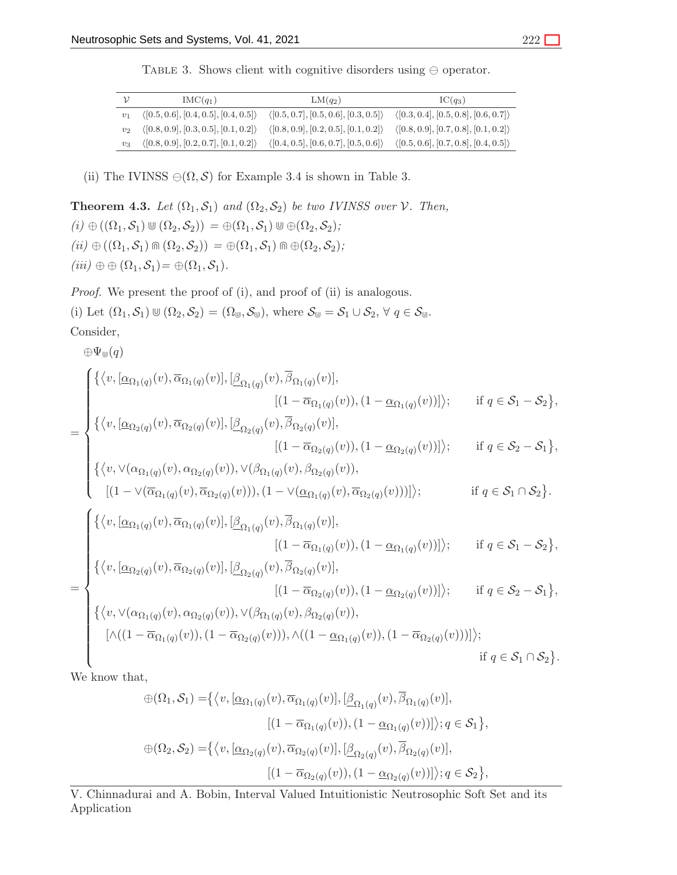TABLE 3. Shows client with cognitive disorders using  $\ominus$  operator.

| ν              | $IMC(q_1)$                                           | $LM(q_2)$                                            | $IC(a_3)$                                            |
|----------------|------------------------------------------------------|------------------------------------------------------|------------------------------------------------------|
| v <sub>1</sub> | $\langle [0.5, 0.6], [0.4, 0.5], [0.4, 0.5] \rangle$ | $\langle [0.5, 0.7], [0.5, 0.6], [0.3, 0.5] \rangle$ | $\langle [0.3, 0.4], [0.5, 0.8], [0.6, 0.7] \rangle$ |
| $v_2$          | $\langle [0.8, 0.9], [0.3, 0.5], [0.1, 0.2] \rangle$ | $\langle [0.8, 0.9], [0.2, 0.5], [0.1, 0.2] \rangle$ | $\langle [0.8, 0.9], [0.7, 0.8], [0.1, 0.2] \rangle$ |
| $v_3$          | $\langle [0.8, 0.9], [0.2, 0.7], [0.1, 0.2] \rangle$ | $\langle [0.4, 0.5], [0.6, 0.7], [0.5, 0.6] \rangle$ | $\langle [0.5, 0.6], [0.7, 0.8], [0.4, 0.5] \rangle$ |

(ii) The IVINSS  $\ominus(\Omega, \mathcal{S})$  for Example 3.4 is shown in Table 3.

**Theorem 4.3.** *Let*  $(\Omega_1, \mathcal{S}_1)$  *and*  $(\Omega_2, \mathcal{S}_2)$  *be two IVINSS over*  $\mathcal{V}$ *. Then,*  $(i) \oplus ((\Omega_1, \mathcal{S}_1) \cup (\Omega_2, \mathcal{S}_2)) = \oplus (\Omega_1, \mathcal{S}_1) \cup \oplus (\Omega_2, \mathcal{S}_2);$  $(iii) \oplus ((\Omega_1, \mathcal{S}_1) \oplus (\Omega_2, \mathcal{S}_2)) = \oplus (\Omega_1, \mathcal{S}_1) \oplus \oplus (\Omega_2, \mathcal{S}_2);$  $(iii) \oplus \oplus (\Omega_1, \mathcal{S}_1) = \oplus (\Omega_1, \mathcal{S}_1).$ 

*Proof.* We present the proof of (i), and proof of (ii) is analogous.

(i) Let  $(\Omega_1, \mathcal{S}_1) \cup (\Omega_2, \mathcal{S}_2) = (\Omega_{\mathbb{U}}, \mathcal{S}_{\mathbb{U}})$ , where  $\mathcal{S}_{\mathbb{U}} = \mathcal{S}_1 \cup \mathcal{S}_2$ ,  $\forall q \in \mathcal{S}_{\mathbb{U}}$ . Consider,  $\mathbb{E}[\mathbf{e}^{i\omega}]$ 

$$
\begin{array}{ll}\n\oplus \Psi_{\mathbb{U}}(q) \\
\end{array}\n=\n\begin{cases}\n\left\{\left\langle v,[\underline{\alpha}_{\Omega_{1}(q)}(v),\overline{\alpha}_{\Omega_{1}(q)}(v)],[\underline{\beta}_{\Omega_{1}(q)}(v),\overline{\beta}_{\Omega_{1}(q)}(v)],\right.\right.\\ \left.\left.\left.\left.\left.\left.\left.\left.\left(\overline{\alpha}_{\Omega_{1}(q)}(v),\overline{\alpha}_{\Omega_{2}(q)}(v),\overline{\beta}_{\Omega_{2}(q)}(v),\overline{\beta}_{\Omega_{2}(q)}(v)\right)\right),\right.\right.\right.\\ \left.\left.\left.\left.\left.\left.\left(\overline{\alpha}_{\Omega_{1}(q)}(v),\overline{\alpha}_{\Omega_{2}(q)}(v),\overline{\beta}_{\Omega_{2}(q)}(v)\right)\right),\right.\right.\right.\\ \left.\left.\left.\left.\left.\left.\left(\overline{\alpha}_{\Omega_{2}(q)}(v),\overline{\alpha}_{\Omega_{2}(q)}(v),\overline{\beta}_{\Omega_{2}(q)}(v)\right)\right),\right.\right.\\ \left.\left.\left.\left.\left.\left(\overline{\alpha}_{\Omega_{2}(q)}(v),\overline{\alpha}_{\Omega_{2}(q)}(v),\overline{\beta}_{\Omega_{2}(q)}(v)\right)\right),\right.\right.\\ \left.\left.\left.\left.\left.\left(\overline{\alpha}_{\Omega_{2}(q)}(v),\overline{\alpha}_{\Omega_{2}(q)}(v)\right),\left(\overline{\alpha}_{\Omega_{1}(q)}(v),\overline{\alpha}_{\Omega_{2}(q)}(v)\right)\right)\right)\right\};\right.\\ \left.\left.\left.\left.\left.\left.\left(\overline{\alpha}_{\Omega_{1}(q)}(v),\overline{\alpha}_{\Omega_{1}(q)}(v)\right),\overline{\beta}_{\Omega_{1}(q)}(v)\right),\overline{\alpha}_{\Omega_{2}(q)}(v)\right)\right\};\right.\\ \left.\left.\left.\left.\left.\left.\left(\overline{\alpha}_{\Omega_{1}(q)}(v),\overline{\alpha}_{\Omega_{2}(q)}(v)\right),\overline{\beta}_{\Omega_{2}(q)}(v)\right),\right.\right.\right.\\ \left.\left.\left.\left.\left.\left(\overline{\alpha}_{\Omega_{1}(q)}(v),\overline{\alpha}_{\Omega_{2}(q)}(v)\right),\overline{\beta}_{\Omega_{2}(q)}(v)\right),\left(\overline{\alpha}_{\Omega_{2}(
$$

We know that,

$$
\bigoplus (\Omega_1, S_1) = \{ \langle v, [\underline{\alpha}_{\Omega_1(q)}(v), \overline{\alpha}_{\Omega_1(q)}(v)], [\underline{\beta}_{\Omega_1(q)}(v), \overline{\beta}_{\Omega_1(q)}(v)],
$$

$$
[(1 - \overline{\alpha}_{\Omega_1(q)}(v)), (1 - \underline{\alpha}_{\Omega_1(q)}(v))] \rangle; q \in S_1 \},
$$

$$
\bigoplus (\Omega_2, S_2) = \{ \langle v, [\underline{\alpha}_{\Omega_2(q)}(v), \overline{\alpha}_{\Omega_2(q)}(v)], [\underline{\beta}_{\Omega_2(q)}(v), \overline{\beta}_{\Omega_2(q)}(v)],
$$

$$
[(1 - \overline{\alpha}_{\Omega_2(q)}(v)), (1 - \underline{\alpha}_{\Omega_2(q)}(v))] \rangle; q \in S_2 \},
$$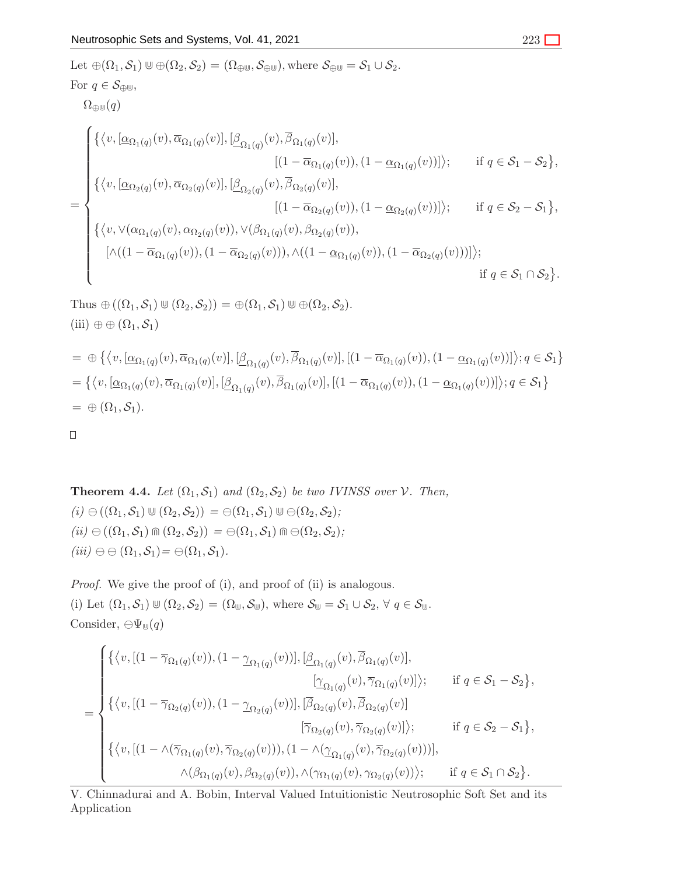Let 
$$
\oplus (\Omega_1, S_1) \oplus \oplus (\Omega_2, S_2) = (\Omega_{\oplus \oplus}, S_{\oplus \oplus})
$$
, where  $S_{\oplus \oplus} = S_1 \cup S_2$ .  
\nFor  $q \in S_{\oplus \oplus}$ ,  
\n $\Omega_{\oplus \oplus}(q)$   
\n
$$
\begin{cases}\n\{\langle v, [\underline{\alpha}_{\Omega_1(q)}(v), \overline{\alpha}_{\Omega_1(q)}(v)], [\underline{\beta}_{\Omega_1(q)}(v), \overline{\beta}_{\Omega_1(q)}(v)], & [(1 - \overline{\alpha}_{\Omega_1(q)}(v)), (1 - \underline{\alpha}_{\Omega_1(q)}(v))]\rangle; \quad \text{if } q \in S_1 - S_2\}, \\
\{\langle v, [\underline{\alpha}_{\Omega_2(q)}(v), \overline{\alpha}_{\Omega_2(q)}(v)], [\underline{\beta}_{\Omega_2(q)}(v), \overline{\beta}_{\Omega_2(q)}(v)], & [(1 - \overline{\alpha}_{\Omega_2(q)}(v)), (1 - \underline{\alpha}_{\Omega_2(q)}(v))]\rangle; \quad \text{if } q \in S_2 - S_1\}, \\
\{\langle v, \vee (\alpha_{\Omega_1(q)}(v), \alpha_{\Omega_2(q)}(v)), \vee (\beta_{\Omega_1(q)}(v), \beta_{\Omega_2(q)}(v)), & [(1 - \overline{\alpha}_{\Omega_2(q)}(v))], & [(1 - \overline{\alpha}_{\Omega_2(q)}(v))]\rangle; \quad \text{if } q \in S_1 \cap S_2\}.\n\end{cases}
$$

Thus  $\oplus ((\Omega_1, \mathcal{S}_1) \cup (\Omega_2, \mathcal{S}_2)) = \oplus (\Omega_1, \mathcal{S}_1) \cup \oplus (\Omega_2, \mathcal{S}_2).$ (iii)  $\oplus \oplus (\Omega_1, \mathcal{S}_1)$ 

$$
= \oplus \left\{ \langle v, [\underline{\alpha}_{\Omega_1(q)}(v), \overline{\alpha}_{\Omega_1(q)}(v)], [\underline{\beta}_{\Omega_1(q)}(v), \overline{\beta}_{\Omega_1(q)}(v)], [(1 - \overline{\alpha}_{\Omega_1(q)}(v)), (1 - \underline{\alpha}_{\Omega_1(q)}(v))]\rangle; q \in S_1 \right\}
$$
  

$$
= \left\{ \langle v, [\underline{\alpha}_{\Omega_1(q)}(v), \overline{\alpha}_{\Omega_1(q)}(v)], [\underline{\beta}_{\Omega_1(q)}(v), \overline{\beta}_{\Omega_1(q)}(v)], [(1 - \overline{\alpha}_{\Omega_1(q)}(v)), (1 - \underline{\alpha}_{\Omega_1(q)}(v))]\rangle; q \in S_1 \right\}
$$
  

$$
= \oplus (\Omega_1, S_1).
$$

 $\Box$ 

**Theorem 4.4.** *Let*  $(\Omega_1, \mathcal{S}_1)$  *and*  $(\Omega_2, \mathcal{S}_2)$  *be two IVINSS over*  $\mathcal{V}$ *. Then,*  $(i) \ominus ((\Omega_1, \mathcal{S}_1) \cup (\Omega_2, \mathcal{S}_2)) = \ominus(\Omega_1, \mathcal{S}_1) \cup \ominus(\Omega_2, \mathcal{S}_2);$  $(iii) \ominus ((\Omega_1, \mathcal{S}_1) \Cap (\Omega_2, \mathcal{S}_2)) = \ominus(\Omega_1, \mathcal{S}_1) \Cap \ominus (\Omega_2, \mathcal{S}_2)$ ;  $(iii) \ominus \ominus (\Omega_1, \mathcal{S}_1) = \ominus (\Omega_1, \mathcal{S}_1).$ 

*Proof.* We give the proof of (i), and proof of (ii) is analogous. (i) Let  $(\Omega_1, \mathcal{S}_1) \cup (\Omega_2, \mathcal{S}_2) = (\Omega_{\mathbb{U}}, \mathcal{S}_{\mathbb{U}})$ , where  $\mathcal{S}_{\mathbb{U}} = \mathcal{S}_1 \cup \mathcal{S}_2$ ,  $\forall q \in \mathcal{S}_{\mathbb{U}}$ . Consider,  $\ominus \Psi_{\uplus}(q)$ 

$$
= \begin{cases} \{\langle v, \left[(1-\overline{\gamma}_{\Omega_1(q)}(v)), (1-\underline{\gamma}_{\Omega_1(q)}(v))\right], \left[\underline{\beta}_{\Omega_1(q)}(v), \overline{\beta}_{\Omega_1(q)}(v)\right], & \left[\underline{\gamma}_{\Omega_1(q)}(v)\right], \\ \left[\underline{\gamma}_{\Omega_1(q)}(v), \overline{\gamma}_{\Omega_1(q)}(v)\right] \rangle; & \text{if } q \in \mathcal{S}_1 - \mathcal{S}_2\}, \\ \{\langle v, \left[(1-\overline{\gamma}_{\Omega_2(q)}(v)), (1-\underline{\gamma}_{\Omega_2(q)}(v))\right], \left[\overline{\beta}_{\Omega_2(q)}(v), \overline{\beta}_{\Omega_2(q)}(v)\right] \rangle; & \text{if } q \in \mathcal{S}_2 - \mathcal{S}_1\}, \\ \{\langle v, \left[(1-\wedge(\overline{\gamma}_{\Omega_1(q)}(v), \overline{\gamma}_{\Omega_2(q)}(v))), (1-\wedge(\underline{\gamma}_{\Omega_1(q)}(v), \overline{\gamma}_{\Omega_2(q)}(v)))\right], & \text{if } q \in \mathcal{S}_1 \cap \mathcal{S}_2\}. \\ \wedge (\beta_{\Omega_1(q)}(v), \beta_{\Omega_2(q)}(v)), \wedge (\gamma_{\Omega_1(q)}(v), \gamma_{\Omega_2(q)}(v)) \rangle; & \text{if } q \in \mathcal{S}_1 \cap \mathcal{S}_2\}. \end{cases}
$$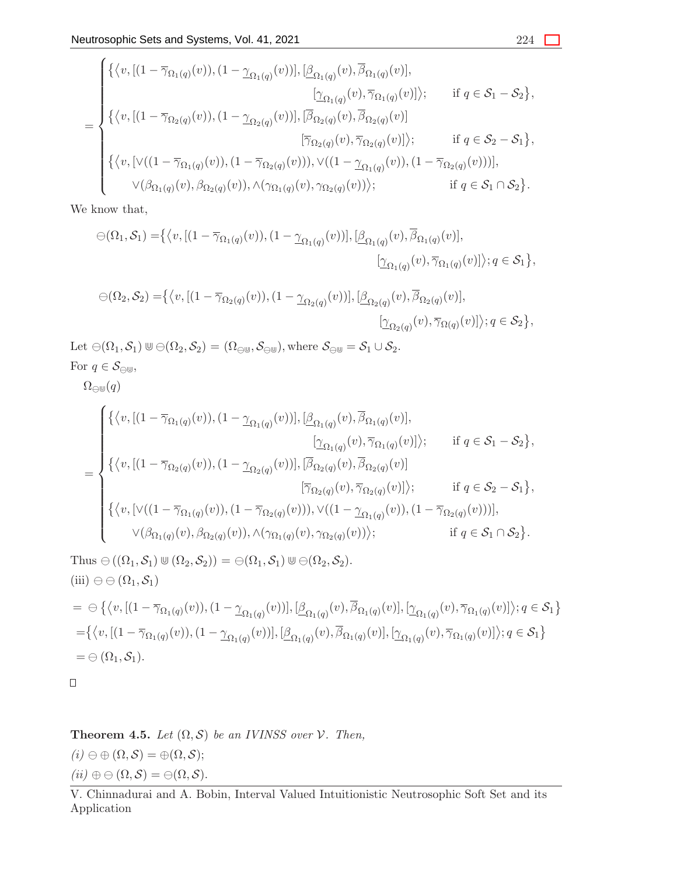$$
= \begin{cases} \{\langle v, [(1-\overline{\gamma}_{\Omega_{1}(q)}(v)), (1-\underline{\gamma}_{\Omega_{1}(q)}(v))] , \frac{[\beta_{\Omega_{1}(q)}(v), \overline{\beta}_{\Omega_{1}(q)}(v)] , \\ \frac{[\gamma_{\Omega_{1}(q)}(v), \overline{\gamma}_{\Omega_{1}(q)}(v)] \rangle; & \text{if } q \in \mathcal{S}_{1} - \mathcal{S}_{2} \}, \\ \{\langle v, [(1-\overline{\gamma}_{\Omega_{2}(q)}(v)), (1-\underline{\gamma}_{\Omega_{2}(q)}(v))] , \frac{[\overline{\beta}_{\Omega_{2}(q)}(v), \overline{\beta}_{\Omega_{2}(q)}(v)] \rangle; & \text{if } q \in \mathcal{S}_{2} - \mathcal{S}_{1} \}, \\ \{\langle v, [\vee((1-\overline{\gamma}_{\Omega_{1}(q)}(v)), (1-\overline{\gamma}_{\Omega_{2}(q)}(v)] ), \vee((1-\underline{\gamma}_{\Omega_{1}(q)}(v)), (1-\overline{\gamma}_{\Omega_{2}(q)}(v)))] , \\ \vee(\beta_{\Omega_{1}(q)}(v), \beta_{\Omega_{2}(q)}(v)), \wedge(\gamma_{\Omega_{1}(q)}(v), \gamma_{\Omega_{2}(q)}(v)) \rangle; & \text{if } q \in \mathcal{S}_{1} \cap \mathcal{S}_{2} \}. \end{cases}
$$

We know that,

$$
\ominus(\Omega_1, \mathcal{S}_1) = \{ \langle v, \left[ (1 - \overline{\gamma}_{\Omega_1(q)}(v)), (1 - \underline{\gamma}_{\Omega_1(q)}(v)) \right], \left[ \underline{\beta}_{\Omega_1(q)}(v), \overline{\beta}_{\Omega_1(q)}(v) \right], \\ \left[ \underline{\gamma}_{\Omega_1(q)}(v), \overline{\gamma}_{\Omega_1(q)}(v) \right] \rangle; q \in \mathcal{S}_1 \},
$$

$$
\ominus(\Omega_2, \mathcal{S}_2) = \{ \langle v, \left[ (1 - \overline{\gamma}_{\Omega_2(q)}(v)), (1 - \underline{\gamma}_{\Omega_2(q)}(v)) \right], \left[ \underline{\beta}_{\Omega_2(q)}(v), \overline{\beta}_{\Omega_2(q)}(v) \right], \\ \left[ \underline{\gamma}_{\Omega_2(q)}(v), \overline{\gamma}_{\Omega(q)}(v) \right] \rangle; q \in \mathcal{S}_2 \},
$$

Let  $\ominus(\Omega_1, \mathcal{S}_1) \cup \ominus(\Omega_2, \mathcal{S}_2) = (\Omega_{\ominus \cup}, \mathcal{S}_{\ominus \cup})$ , where  $\mathcal{S}_{\ominus \cup} = \mathcal{S}_1 \cup \mathcal{S}_2$ . For  $q \in \mathcal{S}_{\ominus \cup \cup}$ ,

 $\Omega_{\ominus\mathbb{U}}(q)$ 

$$
= \begin{cases} \{\langle v, [(1-\overline{\gamma}_{\Omega_{1}(q)}(v)), (1-\underline{\gamma}_{\Omega_{1}(q)}(v))], [\underline{\beta}_{\Omega_{1}(q)}(v), \overline{\beta}_{\Omega_{1}(q)}(v)], & \text{if } q \in S_{1} - S_{2}\}, \\ \{\langle v, [(1-\overline{\gamma}_{\Omega_{2}(q)}(v)), (1-\underline{\gamma}_{\Omega_{2}(q)}(v))], [\overline{\beta}_{\Omega_{2}(q)}(v), \overline{\beta}_{\Omega_{2}(q)}(v)]\rangle; & \text{if } q \in S_{1} - S_{2}\}, \\ \{\langle v, [(1-\overline{\gamma}_{\Omega_{2}(q)}(v)), (1-\underline{\gamma}_{\Omega_{2}(q)}(v))], [\overline{\beta}_{\Omega_{2}(q)}(v), \overline{\beta}_{\Omega_{2}(q)}(v)]\rangle; & \text{if } q \in S_{2} - S_{1}\}, \\ \{\langle v, [\vee((1-\overline{\gamma}_{\Omega_{1}(q)}(v)), (1-\overline{\gamma}_{\Omega_{2}(q)}(v))), \vee((1-\underline{\gamma}_{\Omega_{1}(q)}(v)), (1-\overline{\gamma}_{\Omega_{2}(q)}(v)))]\rangle, \\ \vee (\beta_{\Omega_{1}(q)}(v), \beta_{\Omega_{2}(q)}(v)), \wedge (\gamma_{\Omega_{1}(q)}(v), \gamma_{\Omega_{2}(q)}(v))\rangle; & \text{if } q \in S_{1} \cap S_{2}\}. \end{cases}
$$

Thus  $\ominus ((\Omega_1, \mathcal{S}_1) \cup (\Omega_2, \mathcal{S}_2)) = \ominus(\Omega_1, \mathcal{S}_1) \cup \ominus(\Omega_2, \mathcal{S}_2).$ (iii)  $\ominus \ominus (\Omega_1, \mathcal{S}_1)$  $=\Theta\left\{ \langle v,[(1-\overline{\gamma}_{\Omega_1(q)}(v)),(1-\underline{\gamma}_{\Omega_1(q)}(v))],[\underline{\beta}_{\Omega_1(q)}(v),\overline{\beta}_{\Omega_1(q)}(v)], [\underline{\gamma}_{\Omega_1(q)}(v),\overline{\gamma}_{\Omega_1(q)}(v)] \rangle; q\in\mathcal{S}_1 \right\}$  $=\{ \langle v, [(1-\overline{\gamma}_{\Omega_1(q)}(v)),(1-\underline{\gamma}_{\Omega_1(q)}(v))] , [\underline{\beta}_{\Omega_1(q)}(v),\overline{\beta}_{\Omega_1(q)}(v)], [\underline{\gamma}_{\Omega_1(q)}(v),\overline{\gamma}_{\Omega_1(q)}(v)] \rangle; q \in S_1 \}$  $=\ominus(\Omega_1, \mathcal{S}_1).$ 

 $\Box$ 

**Theorem 4.5.** *Let*  $(\Omega, \mathcal{S})$  *be an IVINSS over*  $\mathcal{V}$ *. Then,*  $(i) \ominus \oplus (\Omega, \mathcal{S}) = \oplus (\Omega, \mathcal{S});$  $(ii) \oplus \ominus (\Omega, \mathcal{S}) = \ominus (\Omega, \mathcal{S}).$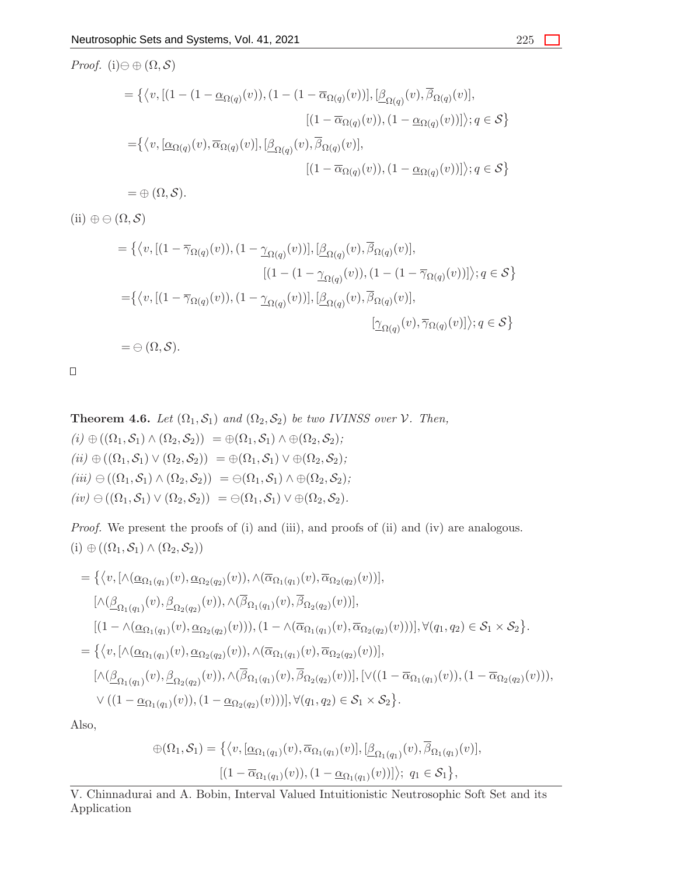*Proof.* (i) $\ominus$   $\oplus$  ( $\Omega$ , S)  $=\left\{ \left\langle v, \left[ (1-(1-\underline{\alpha}_{\Omega(q)}(v)),(1-(1-\overline{\alpha}_{\Omega(q)}(v))], \left[\underline{\beta}_{\Omega(q)}(v),\overline{\beta}_{\Omega(q)}(v)\right]\right], \right.$  $[(1 - \overline{\alpha}_{\Omega(q)}(v)), (1 - \underline{\alpha}_{\Omega(q)}(v))]$ ;  $q \in S$  $=\{ \langle v, [\underline{\alpha}_{\Omega(q)}(v), \overline{\alpha}_{\Omega(q)}(v)], [\underline{\beta}_{\Omega(q)}(v), \overline{\beta}_{\Omega(q)}(v)],\right.$  $[(1 - \overline{\alpha}_{\Omega(q)}(v)), (1 - \underline{\alpha}_{\Omega(q)}(v))]$ ;  $q \in S$  $=\oplus$   $(\Omega, \mathcal{S}).$ 

(ii)  $\oplus \ominus (\Omega, \mathcal{S})$ 

$$
= \{ \langle v, [(1 - \overline{\gamma}_{\Omega(q)}(v)), (1 - \underline{\gamma}_{\Omega(q)}(v))], [\underline{\beta}_{\Omega(q)}(v), \overline{\beta}_{\Omega(q)}(v)],
$$
  

$$
[(1 - (1 - \underline{\gamma}_{\Omega(q)}(v)), (1 - (1 - \overline{\gamma}_{\Omega(q)}(v))]); \underline{\beta}_{\Omega(q)}(v), \overline{\beta}_{\Omega(q)}(v)] \rangle; q \in S \}
$$
  

$$
= \{ \langle v, [(1 - \overline{\gamma}_{\Omega(q)}(v)), (1 - \underline{\gamma}_{\Omega(q)}(v))], [\underline{\beta}_{\Omega(q)}(v), \overline{\beta}_{\Omega(q)}(v)],
$$
  

$$
[\underline{\gamma}_{\Omega(q)}(v), \overline{\gamma}_{\Omega(q)}(v)] \rangle; q \in S \}
$$
  

$$
= \ominus (\Omega, S).
$$

 $\Box$ 

**Theorem 4.6.** *Let*  $(\Omega_1, \mathcal{S}_1)$  *and*  $(\Omega_2, \mathcal{S}_2)$  *be two IVINSS over*  $\mathcal{V}$ *. Then,*  $(i) \oplus ((\Omega_1, \mathcal{S}_1) \wedge (\Omega_2, \mathcal{S}_2)) = \oplus (\Omega_1, \mathcal{S}_1) \wedge \oplus (\Omega_2, \mathcal{S}_2);$  $(iii) \oplus ((\Omega_1, \mathcal{S}_1) \vee (\Omega_2, \mathcal{S}_2)) = \oplus (\Omega_1, \mathcal{S}_1) \vee \oplus (\Omega_2, \mathcal{S}_2);$  $(iii) \ominus ((\Omega_1, \mathcal{S}_1) \wedge (\Omega_2, \mathcal{S}_2)) = \ominus(\Omega_1, \mathcal{S}_1) \wedge \oplus (\Omega_2, \mathcal{S}_2);$  $(iv) \ominus ((\Omega_1, \mathcal{S}_1) \vee (\Omega_2, \mathcal{S}_2)) = \ominus(\Omega_1, \mathcal{S}_1) \vee \oplus (\Omega_2, \mathcal{S}_2).$ 

*Proof.* We present the proofs of (i) and (iii), and proofs of (ii) and (iv) are analogous.  $(i) \oplus ((\Omega_1, \mathcal{S}_1) \wedge (\Omega_2, \mathcal{S}_2))$ 

$$
= \{ \langle v, [\wedge(\underline{\alpha}_{\Omega_1(q_1)}(v), \underline{\alpha}_{\Omega_2(q_2)}(v)), \wedge(\overline{\alpha}_{\Omega_1(q_1)}(v), \overline{\alpha}_{\Omega_2(q_2)}(v))],
$$
  
\n
$$
[\wedge(\underline{\beta}_{\Omega_1(q_1)}(v), \underline{\beta}_{\Omega_2(q_2)}(v)), \wedge(\overline{\beta}_{\Omega_1(q_1)}(v), \overline{\beta}_{\Omega_2(q_2)}(v))],
$$
  
\n
$$
[(1 - \wedge(\underline{\alpha}_{\Omega_1(q_1)}(v), \underline{\alpha}_{\Omega_2(q_2)}(v))), (1 - \wedge(\overline{\alpha}_{\Omega_1(q_1)}(v), \overline{\alpha}_{\Omega_2(q_2)}(v)))], \forall (q_1, q_2) \in S_1 \times S_2 \}.
$$
  
\n
$$
= \{ \langle v, [\wedge(\underline{\alpha}_{\Omega_1(q_1)}(v), \underline{\alpha}_{\Omega_2(q_2)}(v)), \wedge(\overline{\alpha}_{\Omega_1(q_1)}(v), \overline{\alpha}_{\Omega_2(q_2)}(v))],
$$
  
\n
$$
[\wedge(\underline{\beta}_{\Omega_1(q_1)}(v), \underline{\beta}_{\Omega_2(q_2)}(v)), \wedge(\overline{\beta}_{\Omega_1(q_1)}(v), \overline{\beta}_{\Omega_2(q_2)}(v))], [\vee((1 - \overline{\alpha}_{\Omega_1(q_1)}(v)), (1 - \overline{\alpha}_{\Omega_2(q_2)}(v))),
$$
  
\n
$$
\vee ((1 - \underline{\alpha}_{\Omega_1(q_1)}(v)), (1 - \underline{\alpha}_{\Omega_2(q_2)}(v)))], \forall (q_1, q_2) \in S_1 \times S_2 \}.
$$

Also,

$$
\bigoplus(\Omega_1, \mathcal{S}_1) = \left\{ \left\langle v, \left[ \underline{\alpha}_{\Omega_1(q_1)}(v), \overline{\alpha}_{\Omega_1(q_1)}(v) \right], \left[ \underline{\beta}_{\Omega_1(q_1)}(v), \overline{\beta}_{\Omega_1(q_1)}(v) \right], \right\} \right\}
$$

$$
\left[ (1 - \overline{\alpha}_{\Omega_1(q_1)}(v)), (1 - \underline{\alpha}_{\Omega_1(q_1)}(v)) \right] \rangle; \ q_1 \in \mathcal{S}_1 \right\},
$$

V. Chinnadurai and A. Bobin, Interval Valued Intuitionistic Neutrosophic Soft Set and its Application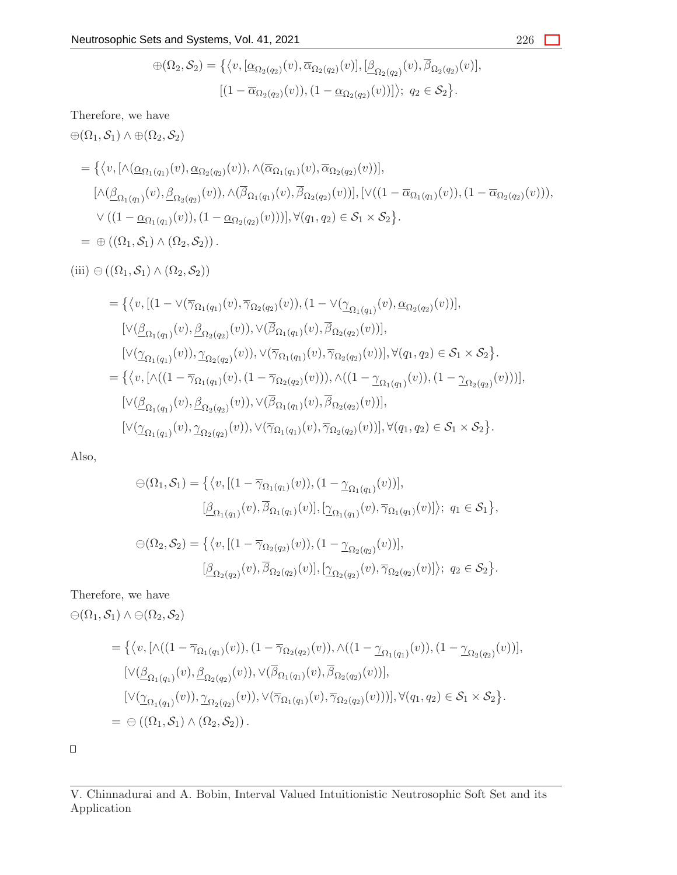$$
\bigoplus(\Omega_2, \mathcal{S}_2) = \left\{ \left\langle v, [\underline{\alpha}_{\Omega_2(q_2)}(v), \overline{\alpha}_{\Omega_2(q_2)}(v)], [\underline{\beta}_{\Omega_2(q_2)}(v), \overline{\beta}_{\Omega_2(q_2)}(v)], \right. \\ \left. [\left(1 - \overline{\alpha}_{\Omega_2(q_2)}(v)\right), \left(1 - \underline{\alpha}_{\Omega_2(q_2)}(v)\right)] \right\rangle; q_2 \in \mathcal{S}_2 \right\}.
$$

Therefore, we have

 $\oplus (\Omega_1, \mathcal{S}_1) \wedge \oplus (\Omega_2, \mathcal{S}_2)$ 

$$
= \{ \langle v, [\wedge(\underline{\alpha}_{\Omega_1(q_1)}(v), \underline{\alpha}_{\Omega_2(q_2)}(v)), \wedge(\overline{\alpha}_{\Omega_1(q_1)}(v), \overline{\alpha}_{\Omega_2(q_2)}(v))],
$$
  

$$
[\wedge(\underline{\beta}_{\Omega_1(q_1)}(v), \underline{\beta}_{\Omega_2(q_2)}(v)), \wedge(\overline{\beta}_{\Omega_1(q_1)}(v), \overline{\beta}_{\Omega_2(q_2)}(v))], [\vee((1-\overline{\alpha}_{\Omega_1(q_1)}(v)), (1-\overline{\alpha}_{\Omega_2(q_2)}(v))),
$$
  

$$
\vee ((1-\underline{\alpha}_{\Omega_1(q_1)}(v)), (1-\underline{\alpha}_{\Omega_2(q_2)}(v)))], \forall (q_1, q_2) \in \mathcal{S}_1 \times \mathcal{S}_2 \}.
$$
  

$$
= \bigoplus ((\Omega_1, \mathcal{S}_1) \wedge (\Omega_2, \mathcal{S}_2)).
$$

(iii)  $\ominus ((\Omega_1, \mathcal{S}_1) \wedge (\Omega_2, \mathcal{S}_2))$ 

$$
= \{ \langle v, \left[ (1 - \vee (\overline{\gamma}_{\Omega_{1}(q_{1})}(v), \overline{\gamma}_{\Omega_{2}(q_{2})}(v)), (1 - \vee (\underline{\gamma}_{\Omega_{1}(q_{1})}(v), \underline{\alpha}_{\Omega_{2}(q_{2})}(v)) \right], \\ [\vee (\underline{\beta}_{\Omega_{1}(q_{1})}(v), \underline{\beta}_{\Omega_{2}(q_{2})}(v)), \vee (\overline{\beta}_{\Omega_{1}(q_{1})}(v), \overline{\beta}_{\Omega_{2}(q_{2})}(v)) \right], \\ [\vee (\underline{\gamma}_{\Omega_{1}(q_{1})}(v)), \underline{\gamma}_{\Omega_{2}(q_{2})}(v)), \vee (\overline{\gamma}_{\Omega_{1}(q_{1})}(v), \overline{\gamma}_{\Omega_{2}(q_{2})}(v))], \forall (q_{1}, q_{2}) \in \mathcal{S}_{1} \times \mathcal{S}_{2} \}.
$$
  
\n
$$
= \{ \langle v, [\wedge ((1 - \overline{\gamma}_{\Omega_{1}(q_{1})}(v), (1 - \overline{\gamma}_{\Omega_{2}(q_{2})}(v))), \wedge ((1 - \underline{\gamma}_{\Omega_{1}(q_{1})}(v)), (1 - \underline{\gamma}_{\Omega_{2}(q_{2})}(v)))], \\ [\vee (\underline{\beta}_{\Omega_{1}(q_{1})}(v), \underline{\beta}_{\Omega_{2}(q_{2})}(v)), \vee (\overline{\beta}_{\Omega_{1}(q_{1})}(v), \overline{\beta}_{\Omega_{2}(q_{2})}(v))], \forall (q_{1}, q_{2}) \in \mathcal{S}_{1} \times \mathcal{S}_{2} \}.
$$

Also,

$$
\Theta(\Omega_1, S_1) = \{ \langle v, [(1 - \overline{\gamma}_{\Omega_1(q_1)}(v)), (1 - \underline{\gamma}_{\Omega_1(q_1)}(v))], [\underline{\beta}_{\Omega_1(q_1)}(v), \overline{\beta}_{\Omega_1(q_1)}(v)], [\underline{\gamma}_{\Omega_1(q_1)}(v), \overline{\gamma}_{\Omega_1(q_1)}(v)] \rangle; q_1 \in S_1 \},
$$

$$
\Theta(\Omega_2, \mathcal{S}_2) = \{ \langle v, [(1 - \overline{\gamma}_{\Omega_2(q_2)}(v)), (1 - \underline{\gamma}_{\Omega_2(q_2)}(v))], [\underline{\beta}_{\Omega_2(q_2)}(v), \overline{\beta}_{\Omega_2(q_2)}(v)], [\underline{\gamma}_{\Omega_2(q_2)}(v), \overline{\gamma}_{\Omega_2(q_2)}(v)] \rangle; q_2 \in \mathcal{S}_2 \}.
$$

Therefore, we have

 $\ominus(\Omega_1, \mathcal{S}_1) \wedge \ominus(\Omega_2, \mathcal{S}_2)$ 

$$
= \{ \langle v, [\wedge((1 - \overline{\gamma}_{\Omega_1(q_1)}(v)), (1 - \overline{\gamma}_{\Omega_2(q_2)}(v)), \wedge((1 - \underline{\gamma}_{\Omega_1(q_1)}(v)), (1 - \underline{\gamma}_{\Omega_2(q_2)}(v))],
$$
  
\n
$$
[\vee(\underline{\beta}_{\Omega_1(q_1)}(v), \underline{\beta}_{\Omega_2(q_2)}(v)), \vee(\overline{\beta}_{\Omega_1(q_1)}(v), \overline{\beta}_{\Omega_2(q_2)}(v))],
$$
  
\n
$$
[\vee(\underline{\gamma}_{\Omega_1(q_1)}(v)), \underline{\gamma}_{\Omega_2(q_2)}(v)), \vee(\overline{\gamma}_{\Omega_1(q_1)}(v), \overline{\gamma}_{\Omega_2(q_2)}(v)))], \forall (q_1, q_2) \in S_1 \times S_2 \}.
$$
  
\n
$$
= \ominus ((\Omega_1, S_1) \wedge (\Omega_2, S_2)).
$$

 $\Box$ 

V. Chinnadurai and A. Bobin, Interval Valued Intuitionistic Neutrosophic Soft Set and its Application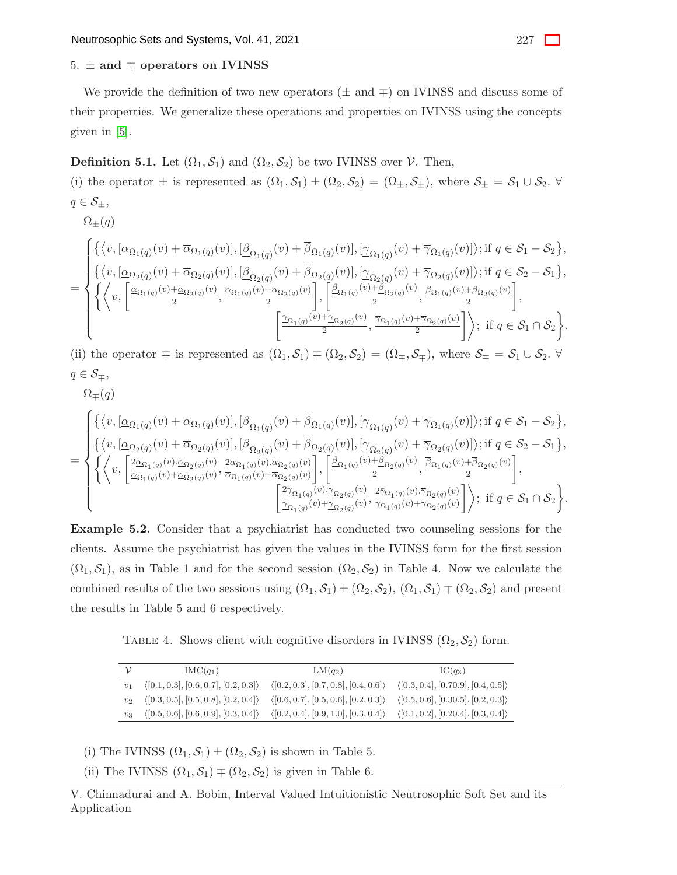# 5.  $\pm$  and  $\mp$  operators on IVINSS

We provide the definition of two new operators ( $\pm$  and  $\mp$ ) on IVINSS and discuss some of their properties. We generalize these operations and properties on IVINSS using the concepts given in [\[5\]](#page-28-1).

# **Definition 5.1.** Let  $(\Omega_1, \mathcal{S}_1)$  and  $(\Omega_2, \mathcal{S}_2)$  be two IVINSS over  $\mathcal{V}$ . Then,

(i) the operator  $\pm$  is represented as  $(\Omega_1, \mathcal{S}_1) \pm (\Omega_2, \mathcal{S}_2) = (\Omega_{\pm}, \mathcal{S}_{\pm}),$  where  $\mathcal{S}_{\pm} = \mathcal{S}_1 \cup \mathcal{S}_2$ .  $q \in \mathcal{S}_{\pm},$  $\Omega_{\pm}(q)$ 

$$
= \begin{cases} \left\{ \left\langle v,[\underline{\alpha}_{\Omega_{1}(q)}(v)+\overline{\alpha}_{\Omega_{1}(q)}(v)],[\underline{\beta}_{\Omega_{1}(q)}(v)+\overline{\beta}_{\Omega_{1}(q)}(v)],[\underline{\gamma}_{\Omega_{1}(q)}(v)+\overline{\gamma}_{\Omega_{1}(q)}(v)] \right\rangle; \text{if } q \in \mathcal{S}_{1} - \mathcal{S}_{2} \right\} \\ \left\{ \left\langle v,[\underline{\alpha}_{\Omega_{2}(q)}(v)+\overline{\alpha}_{\Omega_{2}(q)}(v)],[\underline{\beta}_{\Omega_{2}(q)}(v)+\overline{\beta}_{\Omega_{2}(q)}(v)],[\underline{\gamma}_{\Omega_{2}(q)}(v)+\overline{\gamma}_{\Omega_{2}(q)}(v)] \right\rangle; \text{if } q \in \mathcal{S}_{2} - \mathcal{S}_{1} \right\} , \\ \left\{ \left\langle v,[\frac{\underline{\alpha}_{\Omega_{1}(q)}(v)+\underline{\alpha}_{\Omega_{2}(q)}(v)}{2},\frac{\overline{\alpha}_{\Omega_{1}(q)}(v)+\overline{\alpha}_{\Omega_{2}(q)}(v)}{2}],\left[\frac{\underline{\beta}_{\Omega_{1}(q)}(v)+\underline{\beta}_{\Omega_{2}(q)}(v)}{2},\frac{\overline{\beta}_{\Omega_{1}(q)}(v)+\overline{\beta}_{\Omega_{2}(q)}(v)}{2} \right], \right. \\ \left. \left. \left. \left[\frac{\underline{\gamma}_{\Omega_{1}(q)}(v)+\underline{\gamma}_{\Omega_{2}(q)}(v)}{2},\frac{\overline{\gamma}_{\Omega_{1}(q)}(v)+\overline{\gamma}_{\Omega_{2}(q)}(v)}{2}\right]\right\rangle; \text{ if } q \in \mathcal{S}_{1} \cap \mathcal{S}_{2} \right\} . \end{cases}
$$

(ii) the operator  $\mp$  is represented as  $(\Omega_1, \mathcal{S}_1) \mp (\Omega_2, \mathcal{S}_2) = (\Omega_{\mp}, \mathcal{S}_{\mp}),$  where  $\mathcal{S}_{\mp} = \mathcal{S}_1 \cup \mathcal{S}_2$ .  $q \in \mathcal{S}_{\pm}$ ,

$$
\Omega_{\mp}(q)
$$

$$
= \begin{cases} \left\{ \langle v,[\underline{\alpha}_{\Omega_{1}(q)}(v)+\overline{\alpha}_{\Omega_{1}(q)}(v)],[\underline{\beta}_{\Omega_{1}(q)}(v)+\overline{\beta}_{\Omega_{1}(q)}(v)],[\underline{\gamma}_{\Omega_{1}(q)}(v)+\overline{\gamma}_{\Omega_{1}(q)}(v)] \rangle;\text{if } q \in \mathcal{S}_{1}-\mathcal{S}_{2} \right\} ,\\ \left\{ \langle v,[\underline{\alpha}_{\Omega_{2}(q)}(v)+\overline{\alpha}_{\Omega_{2}(q)}(v)],[\underline{\beta}_{\Omega_{2}(q)}(v)+\overline{\beta}_{\Omega_{2}(q)}(v)],[\underline{\gamma}_{\Omega_{2}(q)}(v)+\overline{\gamma}_{\Omega_{2}(q)}(v)] \rangle;\text{if } q \in \mathcal{S}_{2}-\mathcal{S}_{1} \right\} ,\\ \left\{ \left\langle v,[\frac{2\underline{\alpha}_{\Omega_{1}(q)}(v).\underline{\alpha}_{\Omega_{2}(q)}(v)}{\underline{\alpha}_{\Omega_{1}(q)}(v)+\overline{\alpha}_{\Omega_{2}(q)}(v)},\frac{2\overline{\alpha}_{\Omega_{1}(q)}(v).\overline{\alpha}_{\Omega_{2}(q)}(v)}{\overline{\alpha}_{\Omega_{1}(q)}(v)+\overline{\alpha}_{\Omega_{2}(q)}(v)} \right], \left[\frac{\underline{\beta}_{\Omega_{1}(q)}(v)+\underline{\beta}_{\Omega_{2}(q)}(v)}{2},\frac{\overline{\beta}_{\Omega_{1}(q)}(v)+\overline{\beta}_{\Omega_{2}(q)}(v)}{2} \right],\\ \left[\frac{2\gamma_{\Omega_{1}(q)}(v).\gamma_{\Omega_{2}(q)}(v)}{\gamma_{\Omega_{1}(q)}(v)+\gamma_{\Omega_{2}(q)}(v)}\frac{2\overline{\gamma}_{\Omega_{1}(q)}(v).\overline{\gamma}_{\Omega_{2}(q)}(v)}{\overline{\gamma}_{\Omega_{1}(q)}(v)+\overline{\gamma}_{\Omega_{2}(q)}(v)} \right] \right\} ;\;\text{if } q \in \mathcal{S}_{1}\cap\mathcal{S}_{2} \right\} . \end{cases}
$$

Example 5.2. Consider that a psychiatrist has conducted two counseling sessions for the clients. Assume the psychiatrist has given the values in the IVINSS form for the first session  $(\Omega_1, \mathcal{S}_1)$ , as in Table 1 and for the second session  $(\Omega_2, \mathcal{S}_2)$  in Table 4. Now we calculate the combined results of the two sessions using  $(\Omega_1, \mathcal{S}_1) \pm (\Omega_2, \mathcal{S}_2)$ ,  $(\Omega_1, \mathcal{S}_1) \mp (\Omega_2, \mathcal{S}_2)$  and present the results in Table 5 and 6 respectively.

TABLE 4. Shows client with cognitive disorders in IVINSS  $(\Omega_2, \mathcal{S}_2)$  form.

|              | $IMC(q_1)$                                           | $LM(q_2)$                                            | $IC(a_3)$                                          |
|--------------|------------------------------------------------------|------------------------------------------------------|----------------------------------------------------|
| $\upsilon_1$ | $\langle [0.1, 0.3], [0.6, 0.7], [0.2, 0.3] \rangle$ | $\langle [0.2, 0.3], [0.7, 0.8], [0.4, 0.6] \rangle$ | $\langle [0.3, 0.4], [0.70.9], [0.4, 0.5] \rangle$ |
| $v_2$        | $\langle [0.3, 0.5], [0.5, 0.8], [0.2, 0.4] \rangle$ | $\langle [0.6, 0.7], [0.5, 0.6], [0.2, 0.3] \rangle$ | $\langle [0.5, 0.6], [0.30.5], [0.2, 0.3] \rangle$ |
| $v_3$        | $\langle [0.5, 0.6], [0.6, 0.9], [0.3, 0.4] \rangle$ | $\langle [0.2, 0.4], [0.9, 1.0], [0.3, 0.4] \rangle$ | $\langle [0.1, 0.2], [0.20.4], [0.3, 0.4] \rangle$ |

<sup>(</sup>i) The IVINSS  $(\Omega_1, \mathcal{S}_1) \pm (\Omega_2, \mathcal{S}_2)$  is shown in Table 5.

(ii) The IVINSS  $(\Omega_1, \mathcal{S}_1) \mp (\Omega_2, \mathcal{S}_2)$  is given in Table 6.

V. Chinnadurai and A. Bobin, Interval Valued Intuitionistic Neutrosophic Soft Set and its Application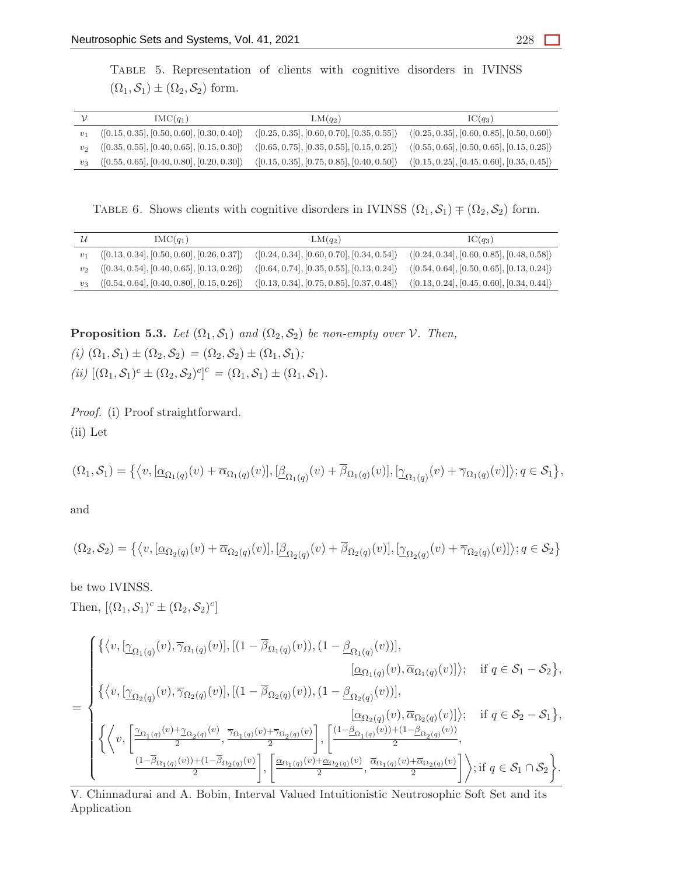Table 5. Representation of clients with cognitive disorders in IVINSS  $(\Omega_1, \mathcal{S}_1) \pm (\Omega_2, \mathcal{S}_2)$  form.

|         | $IMC(q_1)$                                                 | $LM(q_2)$                                                                                                                                                                        | $IC(q_3)$                                                                                   |
|---------|------------------------------------------------------------|----------------------------------------------------------------------------------------------------------------------------------------------------------------------------------|---------------------------------------------------------------------------------------------|
| $v_1$   | $\langle [0.15, 0.35], [0.50, 0.60], [0.30, 0.40] \rangle$ |                                                                                                                                                                                  | $(0.25, 0.35], [0.60, 0.70], [0.35, 0.55]) \quad (0.25, 0.35], [0.60, 0.85], [0.50, 0.60])$ |
| $v_{2}$ | $\langle [0.35, 0.55], [0.40, 0.65], [0.15, 0.30] \rangle$ | $\langle [0.65, 0.75], [0.35, 0.55], [0.15, 0.25] \rangle \quad \langle [0.55, 0.65], [0.50, 0.65], [0.15, 0.25] \rangle$                                                        |                                                                                             |
| $v_3$   |                                                            | $\langle [0.55, 0.65], [0.40, 0.80], [0.20, 0.30] \rangle$ $\langle [0.15, 0.35], [0.75, 0.85], [0.40, 0.50] \rangle$ $\langle [0.15, 0.25], [0.45, 0.60], [0.35, 0.45] \rangle$ |                                                                                             |

TABLE 6. Shows clients with cognitive disorders in IVINSS  $(\Omega_1, \mathcal{S}_1) \mp (\Omega_2, \mathcal{S}_2)$  form.

|       | $IMC(q_1)$                                                 | $LM(q_2)$                                                  | $IC(q_3)$                                                  |
|-------|------------------------------------------------------------|------------------------------------------------------------|------------------------------------------------------------|
| $v_1$ | $\langle [0.13, 0.34], [0.50, 0.60], [0.26, 0.37] \rangle$ | $\langle [0.24, 0.34], [0.60, 0.70], [0.34, 0.54] \rangle$ | $\langle [0.24, 0.34], [0.60, 0.85], [0.48, 0.58] \rangle$ |
| $v_2$ | $\langle [0.34, 0.54], [0.40, 0.65], [0.13, 0.26] \rangle$ | $\langle [0.64, 0.74], [0.35, 0.55], [0.13, 0.24] \rangle$ | $\langle [0.54, 0.64], [0.50, 0.65], [0.13, 0.24] \rangle$ |
| $v_3$ | $\langle [0.54, 0.64], [0.40, 0.80], [0.15, 0.26] \rangle$ | $\langle [0.13, 0.34], [0.75, 0.85], [0.37, 0.48] \rangle$ | $\langle [0.13, 0.24], [0.45, 0.60], [0.34, 0.44] \rangle$ |

**Proposition 5.3.** *Let*  $(\Omega_1, \mathcal{S}_1)$  *and*  $(\Omega_2, \mathcal{S}_2)$  *be non-empty over*  $\mathcal{V}$ *. Then,*  $(i)$   $(\Omega_1, \mathcal{S}_1) \pm (\Omega_2, \mathcal{S}_2) = (\Omega_2, \mathcal{S}_2) \pm (\Omega_1, \mathcal{S}_1)$ ;

 $(ii)$   $[(\Omega_1, \mathcal{S}_1)^c \pm (\Omega_2, \mathcal{S}_2)^c]^c = (\Omega_1, \mathcal{S}_1) \pm (\Omega_1, \mathcal{S}_1).$ 

*Proof.* (i) Proof straightforward. (ii) Let

$$
(\Omega_1,\mathcal{S}_1)=\big\{\big\langle v,[\underline{\alpha}_{\Omega_1(q)}(v)+\overline{\alpha}_{\Omega_1(q)}(v)], [\underline{\beta}_{\Omega_1(q)}(v)+\overline{\beta}_{\Omega_1(q)}(v)], [\underline{\gamma}_{\Omega_1(q)}(v)+\overline{\gamma}_{\Omega_1(q)}(v)]\big\rangle; q\in\mathcal{S}_1\big\},
$$

and

$$
(\Omega_2, \mathcal{S}_2) = \{ \langle v, [\underline{\alpha}_{\Omega_2(q)}(v) + \overline{\alpha}_{\Omega_2(q)}(v)], [\underline{\beta}_{\Omega_2(q)}(v) + \overline{\beta}_{\Omega_2(q)}(v)], [\underline{\gamma}_{\Omega_2(q)}(v) + \overline{\gamma}_{\Omega_2(q)}(v)] \rangle; q \in \mathcal{S}_2 \}
$$

be two IVINSS. Then,  $[(\Omega_1, \mathcal{S}_1)^c \pm (\Omega_2, \mathcal{S}_2)^c]$ 

$$
= \begin{cases} \{\langle v,[\underline{\gamma}_{\Omega_{1}(q)}(v),\overline{\gamma}_{\Omega_{1}(q)}(v)],[(1-\overline{\beta}_{\Omega_{1}(q)}(v)),(1-\underline{\beta}_{\Omega_{1}(q)}(v))],\\ [\underline{\alpha}_{\Omega_{1}(q)}(v),\overline{\alpha}_{\Omega_{1}(q)}(v)]\rangle; &\text{if } q \in \mathcal{S}_{1} - \mathcal{S}_{2}\},\\ \{\langle v,[\underline{\gamma}_{\Omega_{2}(q)}(v),\overline{\gamma}_{\Omega_{2}(q)}(v)],[(1-\overline{\beta}_{\Omega_{2}(q)}(v)),(1-\underline{\beta}_{\Omega_{2}(q)}(v))],\\ [\underline{\alpha}_{\Omega_{2}(q)}(v),\overline{\alpha}_{\Omega_{2}(q)}(v)]\rangle; &\text{if } q \in \mathcal{S}_{2} - \mathcal{S}_{1}\},\\ \{\langle v,[\underline{\gamma}_{\Omega_{1}(q)}(v)+\underline{\gamma}_{\Omega_{2}(q)}(v),\overline{\gamma}_{\Omega_{1}(q)}(v)+\overline{\gamma}_{\Omega_{2}(q)}(v)]\rangle, \left[\frac{(1-\underline{\beta}_{\Omega_{1}(q)}(v))+(1-\underline{\beta}_{\Omega_{2}(q)}(v))}{2},\\ \frac{(1-\overline{\beta}_{\Omega_{1}(q)}(v))+(1-\overline{\beta}_{\Omega_{2}(q)}(v)}{2}\right], \left[\frac{\underline{\alpha}_{\Omega_{1}(q)}(v)+\underline{\alpha}_{\Omega_{2}(q)}(v)}{2},\overline{\alpha}_{\Omega_{1}(q)}(v)+\overline{\alpha}_{\Omega_{2}(q)}(v)\right]\rangle; &\text{if } q \in \mathcal{S}_{1} \cap \mathcal{S}_{2}\}.\end{cases}
$$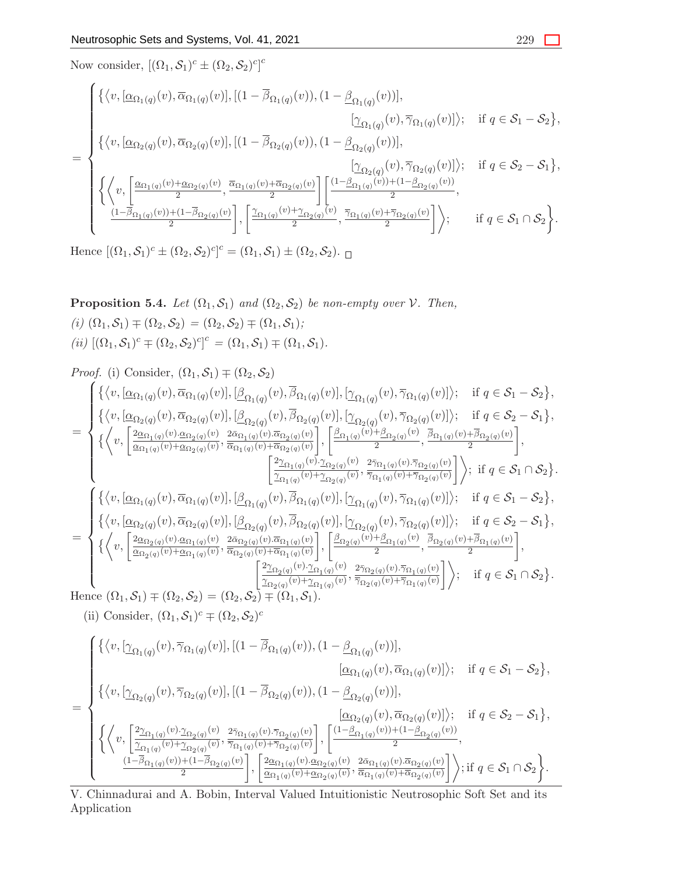Now consider,  $[(\Omega_1, \mathcal{S}_1)^c \pm (\Omega_2, \mathcal{S}_2)^c]^c$ 

$$
= \begin{cases} \left\{ \left\langle v,[\underline{\alpha}_{\Omega_{1}(q)}(v),\overline{\alpha}_{\Omega_{1}(q)}(v)],[[1-\overline{\beta}_{\Omega_{1}(q)}(v)),(1-\underline{\beta}_{\Omega_{1}(q)}(v))],\right.\\ \left.\left.\left.\left.\left[\underline{\gamma}_{\Omega_{1}(q)}(v),\overline{\gamma}_{\Omega_{1}(q)}(v)\right]\right\rangle;\right. & \text{if } q \in \mathcal{S}_{1} - \mathcal{S}_{2}\right\},\\ \left\{ \left\langle v,[\underline{\alpha}_{\Omega_{2}(q)}(v),\overline{\alpha}_{\Omega_{2}(q)}(v)],[ (1-\overline{\beta}_{\Omega_{2}(q)}(v)),(1-\underline{\beta}_{\Omega_{2}(q)}(v))],\right.\\ \left.\left.\left.\left.\left.\left.\left[\underline{\gamma}_{\Omega_{2}(q)}(v),\overline{\gamma}_{\Omega_{2}(q)}(v)\right]\right\rangle;\right. & \text{if } q \in \mathcal{S}_{2} - \mathcal{S}_{1}\right\},\\ \left\{ \left\langle v,[\underline{\alpha}_{\Omega_{1}(q)}(v)+\underline{\alpha}_{\Omega_{2}(q)}(v),\overline{\alpha}_{\Omega_{1}(q)}(v)+\overline{\alpha}_{\Omega_{2}(q)}(v)]\right. & \left.\left.\left.\left.\left.\frac{\left[\underline{\gamma}_{\Omega_{2}(q)}(v),\overline{\gamma}_{\Omega_{2}(q)}(v)\right]\right\rangle;\right. & \text{if } q \in \mathcal{S}_{2} - \mathcal{S}_{1}\right\},\\ \left.\left.\left.\left.\frac{\left(\underline{\gamma}_{\Omega_{1}(q)}(v)+\underline{\alpha}_{\Omega_{2}(q)}(v)}{2}\right],\overline{\alpha}_{\Omega_{1}(q)}(v)+\overline{\alpha}_{\Omega_{2}(q)}(v)}\right. & \left.\overline{\alpha}_{\Omega_{1}(q)}(v)+\overline{\alpha}_{\Omega_{2}(q)}(v)}\right.\right\} \right), \end{cases}
$$

Hence  $[(\Omega_1, \mathcal{S}_1)^c \pm (\Omega_2, \mathcal{S}_2)^c]^c = (\Omega_1, \mathcal{S}_1) \pm (\Omega_2, \mathcal{S}_2).$ 

**Proposition 5.4.** *Let*  $(\Omega_1, \mathcal{S}_1)$  *and*  $(\Omega_2, \mathcal{S}_2)$  *be non-empty over*  $\mathcal{V}$ *. Then,*  $(i)$   $(\Omega_1, \mathcal{S}_1)$   $\mp$   $(\Omega_2, \mathcal{S}_2)$   $=$   $(\Omega_2, \mathcal{S}_2)$   $\mp$   $(\Omega_1, \mathcal{S}_1)$ *;*  $(iii)$   $[(\Omega_1, \mathcal{S}_1)^c \mp (\Omega_2, \mathcal{S}_2)^c]^c = (\Omega_1, \mathcal{S}_1) \mp (\Omega_1, \mathcal{S}_1).$ 

Proof. (i) Consider, 
$$
(\Omega_1, S_1) \neq (\Omega_2, S_2)
$$
  
\n
$$
\begin{cases}\n\{\langle v, [\underline{\alpha}_{\Omega_1(q)}(v), \overline{\alpha}_{\Omega_1(q)}(v)], [\underline{\beta}_{\Omega_1(q)}(v), \overline{\beta}_{\Omega_1(q)}(v)], [\underline{\gamma}_{\Omega_1(q)}(v), \overline{\gamma}_{\Omega_1(q)}(v)]\rangle;\n\quad if q \in S_1 - S_2\}, \\
\{\langle v, [\underline{\alpha}_{\Omega_2(q)}(v), \overline{\alpha}_{\Omega_2(q)}(v)], [\underline{\beta}_{\Omega_2(q)}(v), \overline{\beta}_{\Omega_2(q)}(v)], [\underline{\gamma}_{\Omega_2(q)}(v), \overline{\gamma}_{\Omega_2(q)}(v)]\rangle;\n\quad if q \in S_2 - S_1\}, \\
\{\langle v, [\underline{\alpha}_{\Omega_1(q)}(v), \underline{\alpha}_{\Omega_2(q)}(v), \overline{\alpha}_{\Omega_1(q)}(v), \overline{\alpha}_{\Omega_2(q)}(v)]\rangle;\n\quad & \frac{2\overline{\alpha}_{\Omega_1(q)}(v), \overline{\alpha}_{\Omega_2(q)}(v)}{\overline{\alpha}_{\Omega_1(q)}(v), \overline{\alpha}_{\Omega_2(q)}(v)}\bigg], \frac{[\frac{\beta_{\Omega_1(q)}(v), \beta_{\Omega_2(q)}(v)}{2}, \frac{\beta_{\Omega_1(q)}(v), \overline{\beta}_{\Omega_2(q)}(v)]}{2}\rangle,\n\quad & \frac{[\frac{2\gamma_{\Omega_1(q)}(v), \gamma_{\Omega_2(q)}(v)}{2\gamma_{\Omega_1(q)}(v), \overline{\gamma}_{\Omega_2(q)}(v)]}\rangle;\n\quad if q \in S_1 \cap S_2\}.\n\end{cases}
$$
\n
$$
\begin{cases}\n\{\langle v, [\underline{\alpha}_{\Omega_1(q)}(v), \overline{\alpha}_{\Omega_1(q)}(v)], [\underline{\beta}_{\Omega_1(q)}(v), \overline{\beta}_{\Omega_1(q)}(v)], [\underline{\gamma}_{\Omega_1(q)}(v), \overline{\gamma}_{\Omega_1(q)}(v)]\rangle;\n\quad if q \in S_1 - S_2\}, \\
\{\langle v, [\underline{\alpha}_{\Omega_2(q)}(v), \overline{\alpha}_{\Omega_2(q)}(v)], [\underline{\beta}_{\Omega_2(q)}(v), \overline{\beta}_{\Omega_2(q)}(v)], [\underline{\gamma}_{\Omega_2(q
$$

(ii) Consider,  $(\Omega_1, \mathcal{S}_1)^c \neq (\Omega_2, \mathcal{S}_2)^c$ 

$$
= \begin{cases} \{\langle v,[\underline{\gamma}_{\Omega_{1}(q)}(v),\overline{\gamma}_{\Omega_{1}(q)}(v)],[(1-\overline{\beta}_{\Omega_{1}(q)}(v)),(1-\underline{\beta}_{\Omega_{1}(q)}(v))],\\ [\underline{\alpha}_{\Omega_{1}(q)}(v),\overline{\alpha}_{\Omega_{1}(q)}(v)]\rangle; \quad \text{if } q \in \mathcal{S}_{1} - \mathcal{S}_{2}\},\\ \{\langle v,[\underline{\gamma}_{\Omega_{2}(q)}(v),\overline{\gamma}_{\Omega_{2}(q)}(v)],[(1-\overline{\beta}_{\Omega_{2}(q)}(v)),(1-\underline{\beta}_{\Omega_{2}(q)}(v))],\\ [\underline{\alpha}_{\Omega_{2}(q)}(v),\overline{\alpha}_{\Omega_{2}(q)}(v)]\rangle; \quad \text{if } q \in \mathcal{S}_{2} - \mathcal{S}_{1}\},\\ \{\langle v,[\frac{2\gamma_{\Omega_{1}(q)}(v).\gamma_{\Omega_{2}(q)}(v)}{\gamma_{\Omega_{1}(q)}(v)+\gamma_{\Omega_{2}(q)}(v)},\frac{2\overline{\gamma}_{\Omega_{1}(q)}(v).\overline{\gamma}_{\Omega_{2}(q)}(v)}{\overline{\gamma}_{\Omega_{1}(q)}(v)+\overline{\gamma}_{\Omega_{2}(q)}(v)}], \left[\frac{(1-\underline{\beta}_{\Omega_{1}(q)}(v))+(1-\underline{\beta}_{\Omega_{2}(q)}(v))}{2},\\ \frac{(1-\overline{\beta}_{\Omega_{1}(q)}(v))+(1-\overline{\beta}_{\Omega_{2}(q)}(v)}{2}\right], \left[\frac{2\underline{\alpha}_{\Omega_{1}(q)}(v).\overline{\alpha}_{\Omega_{2}(q)}(v)}{\overline{\alpha}_{\Omega_{1}(q)}(v)+\overline{\alpha}_{\Omega_{2}(q)}(v)}\right], \text{if } q \in \mathcal{S}_{1} \cap \mathcal{S}_{2}\}.\end{cases}
$$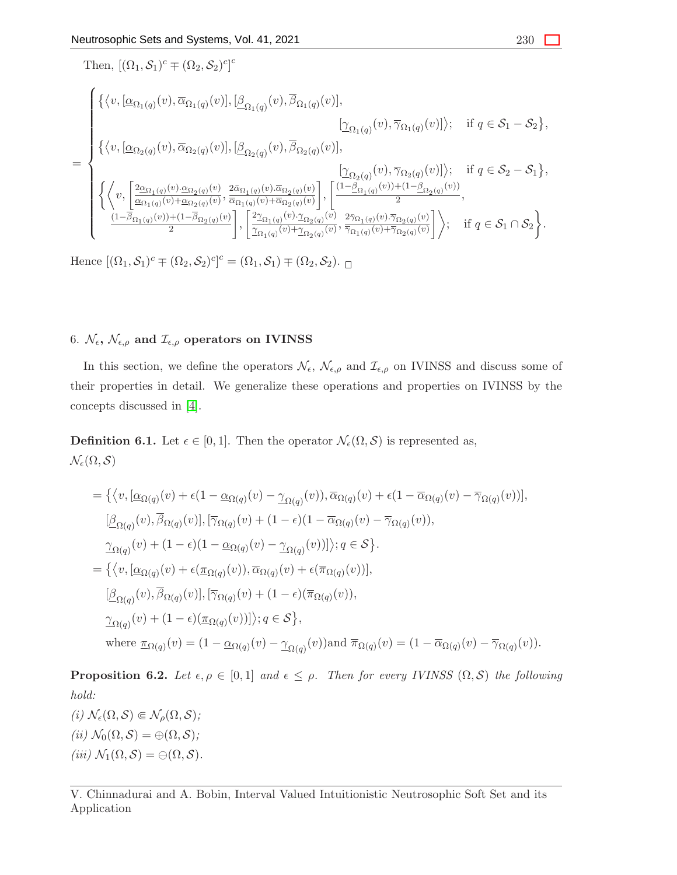Then, 
$$
[(\Omega_1, \mathcal{S}_1)^c \mp (\Omega_2, \mathcal{S}_2)^c]^c
$$
\n
$$
= \begin{cases}\n\{\langle v, [\underline{\alpha}_{\Omega_1(q)}(v), \overline{\alpha}_{\Omega_1(q)}(v)], [\underline{\beta}_{\Omega_1(q)}(v), \overline{\beta}_{\Omega_1(q)}(v)], & [\underline{\gamma}_{\Omega_1(q)}(v), \overline{\gamma}_{\Omega_1(q)}(v)]\rangle; \text{ if } q \in \mathcal{S}_1 - \mathcal{S}_2\}, \\
\{\langle v, [\underline{\alpha}_{\Omega_2(q)}(v), \overline{\alpha}_{\Omega_2(q)}(v)], [\underline{\beta}_{\Omega_2(q)}(v), \overline{\beta}_{\Omega_2(q)}(v)], & [\underline{\gamma}_{\Omega_2(q)}(v), \overline{\gamma}_{\Omega_2(q)}(v)]\rangle; \text{ if } q \in \mathcal{S}_2 - \mathcal{S}_1\}, \\
\{\langle v, [\underline{\alpha}_{\Omega_1(q)}(v), \underline{\alpha}_{\Omega_2(q)}(v), \frac{2\bar{\alpha}_{\Omega_1(q)}(v), \overline{\alpha}_{\Omega_2(q)}(v)}{\bar{\alpha}_{\Omega_1(q)}(v)+\bar{\alpha}_{\Omega_2(q)}(v)}], [\underline{\alpha}_{\Omega_1(q)}(v)) + (\alpha_{\Omega_2(q)}(v), \alpha_{\Omega_2(q)}(v))], \\
\frac{(1-\bar{\beta}_{\Omega_1(q)}(v)) + (1-\bar{\beta}_{\Omega_2(q)}(v), \overline{\alpha}_{\Omega_1(q)}(v)) + \bar{\alpha}_{\Omega_2(q)}(v)}{2}, \frac{2\bar{\gamma}_{\Omega_1(q)}(v), \overline{\gamma}_{\Omega_2(q)}(v)}{2}, \text{ if } q \in \mathcal{S}_1 \cap \mathcal{S}_2\}.\n\end{cases}
$$

Hence  $[(\Omega_1, \mathcal{S}_1)^c \mp (\Omega_2, \mathcal{S}_2)^c]^c = (\Omega_1, \mathcal{S}_1) \mp (\Omega_2, \mathcal{S}_2).$ 

# 6.  $\mathcal{N}_{\epsilon}$ ,  $\mathcal{N}_{\epsilon,\rho}$  and  $\mathcal{I}_{\epsilon,\rho}$  operators on IVINSS

In this section, we define the operators  $\mathcal{N}_{\epsilon}$ ,  $\mathcal{N}_{\epsilon,\rho}$  and  $\mathcal{I}_{\epsilon,\rho}$  on IVINSS and discuss some of their properties in detail. We generalize these operations and properties on IVINSS by the concepts discussed in [\[4\]](#page-28-4).

**Definition 6.1.** Let  $\epsilon \in [0,1]$ . Then the operator  $\mathcal{N}_{\epsilon}(\Omega,\mathcal{S})$  is represented as,  $\mathcal{N}_{\epsilon}(\Omega,\mathcal{S})$ 

$$
= \{ \langle v, [\underline{\alpha}_{\Omega(q)}(v) + \epsilon(1 - \underline{\alpha}_{\Omega(q)}(v) - \underline{\gamma}_{\Omega(q)}(v)), \overline{\alpha}_{\Omega(q)}(v) + \epsilon(1 - \overline{\alpha}_{\Omega(q)}(v) - \overline{\gamma}_{\Omega(q)}(v))],
$$
  
\n
$$
[\underline{\beta}_{\Omega(q)}(v), \overline{\beta}_{\Omega(q)}(v)], [\overline{\gamma}_{\Omega(q)}(v) + (1 - \epsilon)(1 - \overline{\alpha}_{\Omega(q)}(v) - \overline{\gamma}_{\Omega(q)}(v)),
$$
  
\n
$$
\underline{\gamma}_{\Omega(q)}(v) + (1 - \epsilon)(1 - \underline{\alpha}_{\Omega(q)}(v) - \underline{\gamma}_{\Omega(q)}(v))]\}; q \in \mathcal{S} \}.
$$
  
\n
$$
= \{ \langle v, [\underline{\alpha}_{\Omega(q)}(v) + \epsilon(\underline{\pi}_{\Omega(q)}(v)), \overline{\alpha}_{\Omega(q)}(v) + \epsilon(\overline{\pi}_{\Omega(q)}(v))],
$$
  
\n
$$
[\underline{\beta}_{\Omega(q)}(v), \overline{\beta}_{\Omega(q)}(v)], [\overline{\gamma}_{\Omega(q)}(v) + (1 - \epsilon)(\overline{\pi}_{\Omega(q)}(v)),
$$
  
\n
$$
\underline{\gamma}_{\Omega(q)}(v) + (1 - \epsilon)(\underline{\pi}_{\Omega(q)}(v))]\}; q \in \mathcal{S} \},
$$
  
\nwhere  $\underline{\pi}_{\Omega(q)}(v) = (1 - \underline{\alpha}_{\Omega(q)}(v) - \underline{\gamma}_{\Omega(q)}(v))$  and  $\overline{\pi}_{\Omega(q)}(v) = (1 - \overline{\alpha}_{\Omega(q)}(v) - \overline{\gamma}_{\Omega(q)}(v)).$ 

**Proposition 6.2.** *Let*  $\epsilon, \rho \in [0, 1]$  *and*  $\epsilon \leq \rho$ *. Then for every IVINSS*  $(\Omega, \mathcal{S})$  *the following hold:*

 $(i)$   $\mathcal{N}_{\epsilon}(\Omega, \mathcal{S}) \Subset \mathcal{N}_{\rho}(\Omega, \mathcal{S})$ ;  $(iii) \mathcal{N}_0(\Omega, \mathcal{S}) = \bigoplus (\Omega, \mathcal{S})$ ;  $(iii) \mathcal{N}_1(\Omega, \mathcal{S}) = \bigoplus (\Omega, \mathcal{S})$ .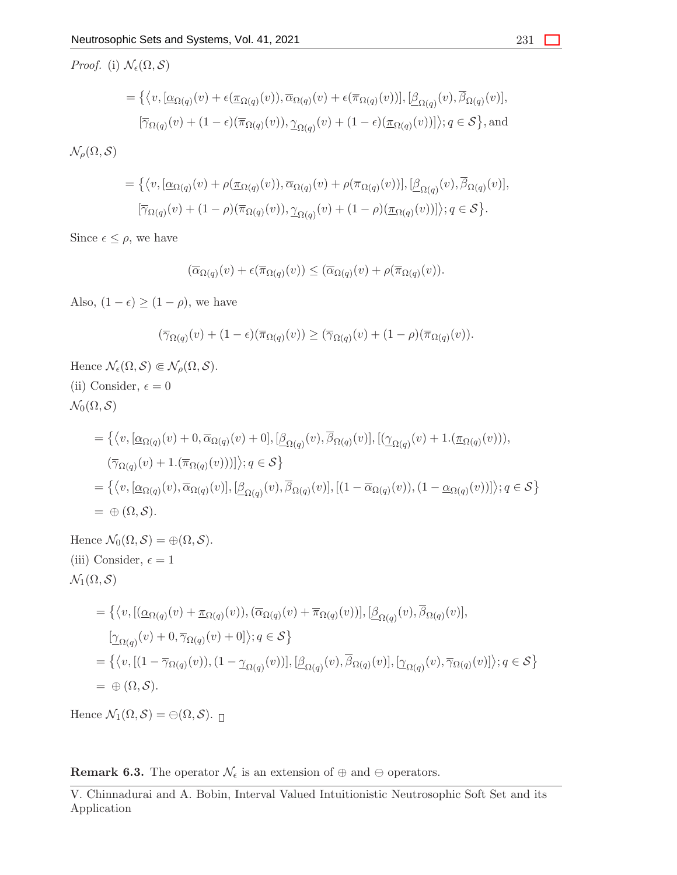*Proof.* (i)  $\mathcal{N}_{\epsilon}(\Omega, \mathcal{S})$ 

=

$$
= \{ \langle v, [\underline{\alpha}_{\Omega(q)}(v) + \epsilon(\underline{\pi}_{\Omega(q)}(v)), \overline{\alpha}_{\Omega(q)}(v) + \epsilon(\overline{\pi}_{\Omega(q)}(v))], [\underline{\beta}_{\Omega(q)}(v), \overline{\beta}_{\Omega(q)}(v)],
$$
  

$$
[\overline{\gamma}_{\Omega(q)}(v) + (1 - \epsilon)(\overline{\pi}_{\Omega(q)}(v)), \underline{\gamma}_{\Omega(q)}(v) + (1 - \epsilon)(\underline{\pi}_{\Omega(q)}(v)) ] \rangle; q \in S \}, \text{and}
$$

 $\mathcal{N}_{\rho}(\Omega,\mathcal{S})$ 

$$
= \{ \langle v, [\underline{\alpha}_{\Omega(q)}(v) + \rho(\underline{\pi}_{\Omega(q)}(v)), \overline{\alpha}_{\Omega(q)}(v) + \rho(\overline{\pi}_{\Omega(q)}(v))], [\underline{\beta}_{\Omega(q)}(v), \overline{\beta}_{\Omega(q)}(v)],
$$
  

$$
[\overline{\gamma}_{\Omega(q)}(v) + (1 - \rho)(\overline{\pi}_{\Omega(q)}(v)), \underline{\gamma}_{\Omega(q)}(v) + (1 - \rho)(\underline{\pi}_{\Omega(q)}(v)) ] \rangle; q \in S \}.
$$

Since  $\epsilon \leq \rho$ , we have

$$
(\overline{\alpha}_{\Omega(q)}(v) + \epsilon(\overline{\pi}_{\Omega(q)}(v)) \leq (\overline{\alpha}_{\Omega(q)}(v) + \rho(\overline{\pi}_{\Omega(q)}(v)).
$$

Also,  $(1 - \epsilon) \ge (1 - \rho)$ , we have

$$
(\overline{\gamma}_{\Omega(q)}(v) + (1 - \epsilon)(\overline{\pi}_{\Omega(q)}(v)) \geq (\overline{\gamma}_{\Omega(q)}(v) + (1 - \rho)(\overline{\pi}_{\Omega(q)}(v)).
$$

Hence  $\mathcal{N}_{\epsilon}(\Omega, \mathcal{S}) \Subset \mathcal{N}_{\rho}(\Omega, \mathcal{S}).$ (ii) Consider,  $\epsilon = 0$  $\mathcal{N}_0(\Omega, \mathcal{S})$  $=\big\{ \big\langle v,[\underline{\alpha}_{\Omega(q)}(v)+0,\overline{\alpha}_{\Omega(q)}(v)+0],[\underline{\beta}_{\Omega(q)}(v),\overline{\beta}_{\Omega(q)}(v)], [(\underline{\gamma}_{\Omega(q)}(v)+1.(\underline{\pi}_{\Omega(q)}(v))),$  $(\overline{\gamma}_{\Omega(q)}(v) + 1.(\overline{\pi}_{\Omega(q)}(v)))]$ ;  $q \in S$  $=\{ \langle v, [\underline{\alpha}_{\Omega(q)}(v), \overline{\alpha}_{\Omega(q)}(v)], [\underline{\beta}_{\Omega(q)}(v), \overline{\beta}_{\Omega(q)}(v)], [(1-\overline{\alpha}_{\Omega(q)}(v)), (1-\underline{\alpha}_{\Omega(q)}(v))] \rangle; q \in S \}$  $= \oplus (\Omega, \mathcal{S}).$ Hence  $\mathcal{N}_0(\Omega, \mathcal{S}) = \bigoplus (\Omega, \mathcal{S}).$ (iii) Consider,  $\epsilon = 1$  $\mathcal{N}_1(\Omega, \mathcal{S})$  $=\big\{ \big\langle v, \big[\left(\underline{\alpha}_{\Omega(q)}(v) + \underline{\pi}_{\Omega(q)}(v)\right), \left(\overline{\alpha}_{\Omega(q)}(v) + \overline{\pi}_{\Omega(q)}(v)\right)\big], \big[\underline{\beta}_{\Omega(q)}(v), \overline{\beta}_{\Omega(q)}(v)\big],$  $[\underline{\gamma}_{\Omega(q)}(v) + 0, \overline{\gamma}_{\Omega(q)}(v) + 0]$ );  $q \in \mathcal{S}$  $=\{ (v, [(1 - \overline{\gamma}_{\Omega(q)}(v)), (1 - \underline{\gamma}_{\Omega(q)}(v))], [\underline{\beta}_{\Omega(q)}(v), \overline{\beta}_{\Omega(q)}(v)], [\underline{\gamma}_{\Omega(q)}(v), \overline{\gamma}_{\Omega(q)}(v)] \}; q \in S \}$  $= \oplus (\Omega, \mathcal{S}).$ 

Hence  $\mathcal{N}_1(\Omega, \mathcal{S}) = \bigoplus (\Omega, \mathcal{S})$ .

**Remark 6.3.** The operator  $\mathcal{N}_{\epsilon}$  is an extension of  $\oplus$  and  $\ominus$  operators.

V. Chinnadurai and A. Bobin, Interval Valued Intuitionistic Neutrosophic Soft Set and its Application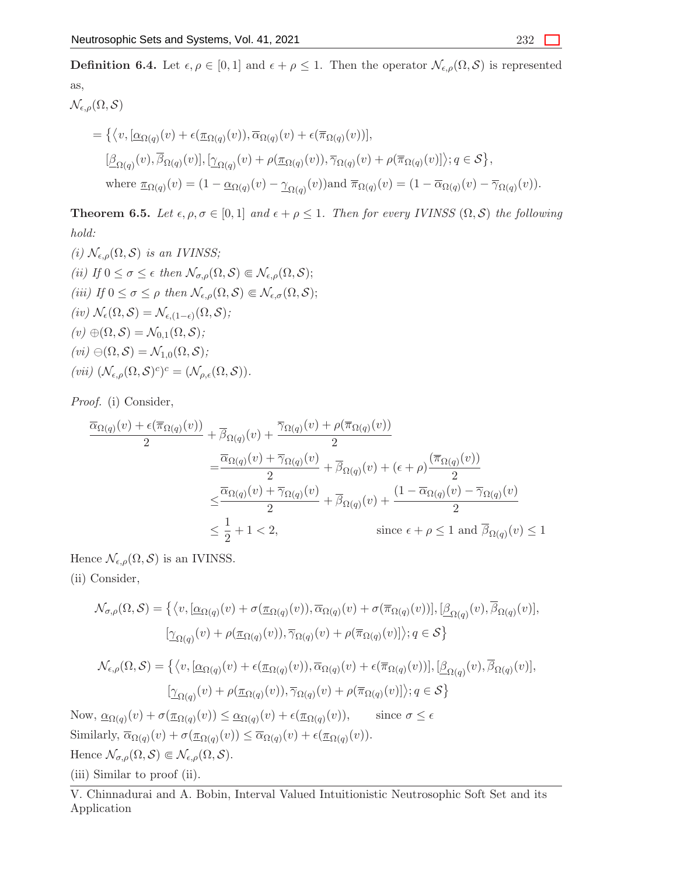**Definition 6.4.** Let  $\epsilon, \rho \in [0,1]$  and  $\epsilon + \rho \leq 1$ . Then the operator  $\mathcal{N}_{\epsilon,\rho}(\Omega,\mathcal{S})$  is represented as,

$$
\begin{split} \mathcal{N}_{\epsilon,\rho}(\Omega,\mathcal{S}) \\ & \quad = \big\{ \big\langle v, [\underline{\alpha}_{\Omega(q)}(v) + \epsilon(\underline{\pi}_{\Omega(q)}(v)), \overline{\alpha}_{\Omega(q)}(v) + \epsilon(\overline{\pi}_{\Omega(q)}(v))], \\ [\underline{\beta}_{\Omega(q)}(v), \overline{\beta}_{\Omega(q)}(v)], [\underline{\gamma}_{\Omega(q)}(v) + \rho(\underline{\pi}_{\Omega(q)}(v)), \overline{\gamma}_{\Omega(q)}(v) + \rho(\overline{\pi}_{\Omega(q)}(v)] \big\rangle; q \in \mathcal{S} \big\}, \\ & \text{where } \underline{\pi}_{\Omega(q)}(v) = (1 - \underline{\alpha}_{\Omega(q)}(v) - \underline{\gamma}_{\Omega(q)}(v)) \text{and } \overline{\pi}_{\Omega(q)}(v) = (1 - \overline{\alpha}_{\Omega(q)}(v) - \overline{\gamma}_{\Omega(q)}(v)). \end{split}
$$

**Theorem 6.5.** Let  $\epsilon, \rho, \sigma \in [0, 1]$  and  $\epsilon + \rho \leq 1$ . Then for every IVINSS  $(\Omega, \mathcal{S})$  the following *hold:*

*(i)*  $\mathcal{N}_{\epsilon,\rho}(\Omega,\mathcal{S})$  *is an IVINSS; (ii)* If  $0 \le \sigma \le \epsilon$  then  $\mathcal{N}_{\sigma,\rho}(\Omega,\mathcal{S}) \in \mathcal{N}_{\epsilon,\rho}(\Omega,\mathcal{S});$ *(iii)* If  $0 \le \sigma \le \rho$  *then*  $\mathcal{N}_{\epsilon,\rho}(\Omega,\mathcal{S}) \in \mathcal{N}_{\epsilon,\sigma}(\Omega,\mathcal{S})$ ;  $(iv)$   $\mathcal{N}_{\epsilon}(\Omega, \mathcal{S}) = \mathcal{N}_{\epsilon,(1-\epsilon)}(\Omega, \mathcal{S})$ ;  $(v) \oplus (\Omega, \mathcal{S}) = \mathcal{N}_{0,1}(\Omega, \mathcal{S})$ *;*  $(vi) \ominus (\Omega, \mathcal{S}) = \mathcal{N}_{1,0}(\Omega, \mathcal{S})$ *;*  $(vii)$   $(\mathcal{N}_{\epsilon,\rho}(\Omega,\mathcal{S})^c)^c = (\mathcal{N}_{\rho,\epsilon}(\Omega,\mathcal{S})).$ 

*Proof.* (i) Consider,

$$
\frac{\overline{\alpha}_{\Omega(q)}(v) + \epsilon(\overline{\pi}_{\Omega(q)}(v))}{2} + \overline{\beta}_{\Omega(q)}(v) + \frac{\overline{\gamma}_{\Omega(q)}(v) + \rho(\overline{\pi}_{\Omega(q)}(v))}{2}
$$
\n
$$
= \frac{\overline{\alpha}_{\Omega(q)}(v) + \overline{\gamma}_{\Omega(q)}(v)}{2} + \overline{\beta}_{\Omega(q)}(v) + (\epsilon + \rho) \frac{(\overline{\pi}_{\Omega(q)}(v))}{2}
$$
\n
$$
\leq \frac{\overline{\alpha}_{\Omega(q)}(v) + \overline{\gamma}_{\Omega(q)}(v)}{2} + \overline{\beta}_{\Omega(q)}(v) + \frac{(1 - \overline{\alpha}_{\Omega(q)}(v) - \overline{\gamma}_{\Omega(q)}(v)}{2}
$$
\n
$$
\leq \frac{1}{2} + 1 < 2, \qquad \text{since } \epsilon + \rho \leq 1 \text{ and } \overline{\beta}_{\Omega(q)}(v) \leq 1
$$

Hence  $\mathcal{N}_{\epsilon,\rho}(\Omega,\mathcal{S})$  is an IVINSS.

(ii) Consider,

$$
\mathcal{N}_{\sigma,\rho}(\Omega,\mathcal{S}) = \{ \langle v, [\underline{\alpha}_{\Omega(q)}(v) + \sigma(\underline{\pi}_{\Omega(q)}(v)), \overline{\alpha}_{\Omega(q)}(v) + \sigma(\overline{\pi}_{\Omega(q)}(v))], [\underline{\beta}_{\Omega(q)}(v), \overline{\beta}_{\Omega(q)}(v)],
$$
  
\n
$$
[\underline{\gamma}_{\Omega(q)}(v) + \rho(\underline{\pi}_{\Omega(q)}(v)), \overline{\gamma}_{\Omega(q)}(v) + \rho(\overline{\pi}_{\Omega(q)}(v)]\}; q \in \mathcal{S} \}
$$
  
\n
$$
\mathcal{N}_{\epsilon,\rho}(\Omega,\mathcal{S}) = \{ \langle v, [\underline{\alpha}_{\Omega(q)}(v) + \epsilon(\underline{\pi}_{\Omega(q)}(v)), \overline{\alpha}_{\Omega(q)}(v) + \epsilon(\overline{\pi}_{\Omega(q)}(v))], [\underline{\beta}_{\Omega(q)}(v), \overline{\beta}_{\Omega(q)}(v)]\},
$$
  
\n
$$
[\underline{\gamma}_{\Omega(q)}(v) + \rho(\underline{\pi}_{\Omega(q)}(v)), \overline{\gamma}_{\Omega(q)}(v) + \rho(\overline{\pi}_{\Omega(q)}(v)]\}; q \in \mathcal{S} \}
$$
  
\nNow,  $\underline{\alpha}_{\Omega(q)}(v) + \sigma(\underline{\pi}_{\Omega(q)}(v)) \leq \underline{\alpha}_{\Omega(q)}(v) + \epsilon(\underline{\pi}_{\Omega(q)}(v)),$  since  $\sigma \leq \epsilon$   
\nSimilarly,  $\overline{\alpha}_{\Omega(q)}(v) + \sigma(\underline{\pi}_{\Omega(q)}(v)) \leq \overline{\alpha}_{\Omega(q)}(v) + \epsilon(\underline{\pi}_{\Omega(q)}(v)).$   
\nHence  $\mathcal{N}_{\sigma,\rho}(\Omega,\mathcal{S}) \Subset \mathcal{N}_{\epsilon,\rho}(\Omega,\mathcal{S}).$ 

(iii) Similar to proof (ii).

V. Chinnadurai and A. Bobin, Interval Valued Intuitionistic Neutrosophic Soft Set and its Application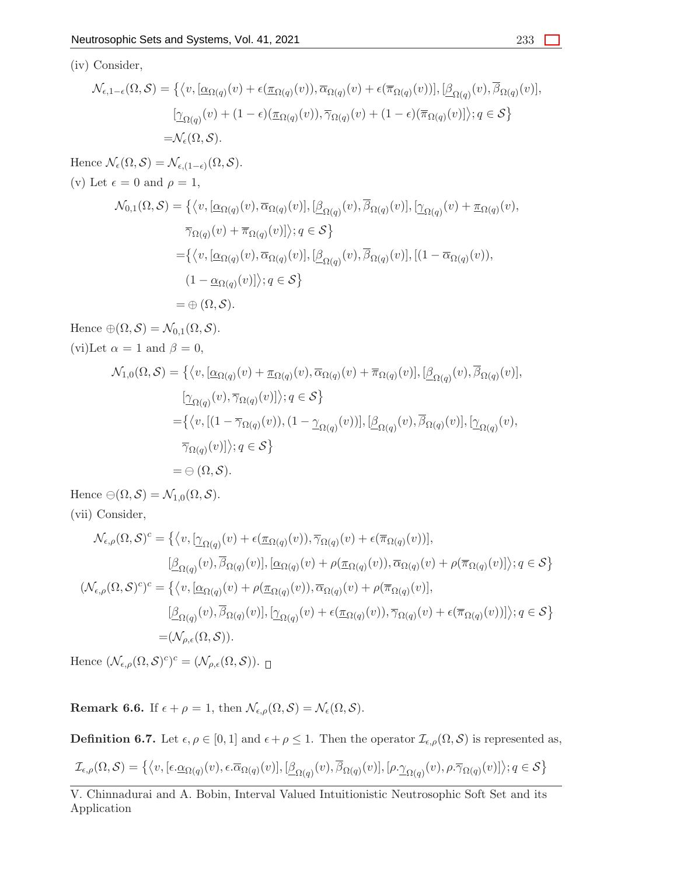$$
\mathcal{N}_{\epsilon,1-\epsilon}(\Omega,\mathcal{S}) = \left\{ \langle v, [\underline{\alpha}_{\Omega(q)}(v) + \epsilon(\underline{\pi}_{\Omega(q)}(v)), \overline{\alpha}_{\Omega(q)}(v) + \epsilon(\overline{\pi}_{\Omega(q)}(v))], [\underline{\beta}_{\Omega(q)}(v), \overline{\beta}_{\Omega(q)}(v)], \right\}
$$

$$
[\underline{\gamma}_{\Omega(q)}(v) + (1-\epsilon)(\underline{\pi}_{\Omega(q)}(v)), \overline{\gamma}_{\Omega(q)}(v) + (1-\epsilon)(\overline{\pi}_{\Omega(q)}(v)]\rangle; q \in \mathcal{S} \right\}
$$

$$
=\mathcal{N}_{\epsilon}(\Omega,\mathcal{S}).
$$

Hence  $\mathcal{N}_{\epsilon}(\Omega, \mathcal{S}) = \mathcal{N}_{\epsilon,(1-\epsilon)}(\Omega, \mathcal{S}).$ (v) Let  $\epsilon = 0$  and  $\rho = 1$ ,

$$
\mathcal{N}_{0,1}(\Omega,\mathcal{S}) = \{ \langle v, [\underline{\alpha}_{\Omega(q)}(v), \overline{\alpha}_{\Omega(q)}(v)], [\underline{\beta}_{\Omega(q)}(v), \overline{\beta}_{\Omega(q)}(v)], [\underline{\gamma}_{\Omega(q)}(v) + \underline{\pi}_{\Omega(q)}(v),
$$
  

$$
\overline{\gamma}_{\Omega(q)}(v) + \overline{\pi}_{\Omega(q)}(v)] \rangle; q \in \mathcal{S} \}
$$
  

$$
= \{ \langle v, [\underline{\alpha}_{\Omega(q)}(v), \overline{\alpha}_{\Omega(q)}(v)], [\underline{\beta}_{\Omega(q)}(v), \overline{\beta}_{\Omega(q)}(v)], [(1 - \overline{\alpha}_{\Omega(q)}(v)),
$$
  

$$
(1 - \underline{\alpha}_{\Omega(q)}(v)] \rangle; q \in \mathcal{S} \}
$$
  

$$
= \oplus (\Omega, \mathcal{S}).
$$

Hence  $\oplus(\Omega,\mathcal{S})=\mathcal{N}_{0,1}(\Omega,\mathcal{S}).$ (vi)Let  $\alpha = 1$  and  $\beta = 0$ ,

$$
\mathcal{N}_{1,0}(\Omega,\mathcal{S}) = \left\{ \langle v, [\underline{\alpha}_{\Omega(q)}(v) + \underline{\pi}_{\Omega(q)}(v), \overline{\alpha}_{\Omega(q)}(v) + \overline{\pi}_{\Omega(q)}(v)], [\underline{\beta}_{\Omega(q)}(v), \overline{\beta}_{\Omega(q)}(v)], \right\}\n\underline{[\gamma_{\Omega(q)}(v), \overline{\gamma}_{\Omega(q)}(v)]}; q \in \mathcal{S} \right\}\n= \left\{ \langle v, [(1 - \overline{\gamma}_{\Omega(q)}(v)), (1 - \underline{\gamma}_{\Omega(q)}(v))], [\underline{\beta}_{\Omega(q)}(v), \overline{\beta}_{\Omega(q)}(v)], [\underline{\gamma}_{\Omega(q)}(v), \overline{\gamma}_{\Omega(q)}(v)] \rangle; q \in \mathcal{S} \right\}\n= \ominus (\Omega, \mathcal{S}).
$$

Hence  $\ominus(\Omega,\mathcal{S})=\mathcal{N}_{1,0}(\Omega,\mathcal{S}).$ (vii) Consider,

$$
\mathcal{N}_{\epsilon,\rho}(\Omega,\mathcal{S})^c = \left\{ \langle v, [\underline{\gamma}_{\Omega(q)}(v) + \epsilon(\underline{\pi}_{\Omega(q)}(v)), \overline{\gamma}_{\Omega(q)}(v) + \epsilon(\overline{\pi}_{\Omega(q)}(v))], \right\}\n[\underline{\beta}_{\Omega(q)}(v), \overline{\beta}_{\Omega(q)}(v)], [\underline{\alpha}_{\Omega(q)}(v) + \rho(\underline{\pi}_{\Omega(q)}(v)), \overline{\alpha}_{\Omega(q)}(v) + \rho(\overline{\pi}_{\Omega(q)}(v)] \rangle; q \in \mathcal{S} \right\}\n(\mathcal{N}_{\epsilon,\rho}(\Omega,\mathcal{S})^c)^c = \left\{ \langle v, [\underline{\alpha}_{\Omega(q)}(v) + \rho(\underline{\pi}_{\Omega(q)}(v)), \overline{\alpha}_{\Omega(q)}(v) + \rho(\overline{\pi}_{\Omega(q)}(v)], \right\}\n[\underline{\beta}_{\Omega(q)}(v), \overline{\beta}_{\Omega(q)}(v)], [\underline{\gamma}_{\Omega(q)}(v) + \epsilon(\underline{\pi}_{\Omega(q)}(v)), \overline{\gamma}_{\Omega(q)}(v) + \epsilon(\overline{\pi}_{\Omega(q)}(v))] \rangle; q \in \mathcal{S} \right\}\n= (\mathcal{N}_{\rho,\epsilon}(\Omega,\mathcal{S})).
$$

Hence  $(\mathcal{N}_{\epsilon,\rho}(\Omega,\mathcal{S})^c)^c = (\mathcal{N}_{\rho,\epsilon}(\Omega,\mathcal{S})).$ 

**Remark 6.6.** If  $\epsilon + \rho = 1$ , then  $\mathcal{N}_{\epsilon,\rho}(\Omega,\mathcal{S}) = \mathcal{N}_{\epsilon}(\Omega,\mathcal{S})$ .

**Definition 6.7.** Let  $\epsilon, \rho \in [0, 1]$  and  $\epsilon + \rho \leq 1$ . Then the operator  $\mathcal{I}_{\epsilon, \rho}(\Omega, \mathcal{S})$  is represented as,

$$
\mathcal{I}_{\epsilon,\rho}(\Omega,\mathcal{S})=\big\{\big\langle v,[\epsilon.\underline{\alpha}_{\Omega(q)}(v),\epsilon.\overline{\alpha}_{\Omega(q)}(v)],[\underline{\beta}_{\Omega(q)}(v),\overline{\beta}_{\Omega(q)}(v)],[\rho.\underline{\gamma}_{\Omega(q)}(v),\rho.\overline{\gamma}_{\Omega(q)}(v)]\big\rangle;q\in\mathcal{S}\big\}
$$

V. Chinnadurai and A. Bobin, Interval Valued Intuitionistic Neutrosophic Soft Set and its Application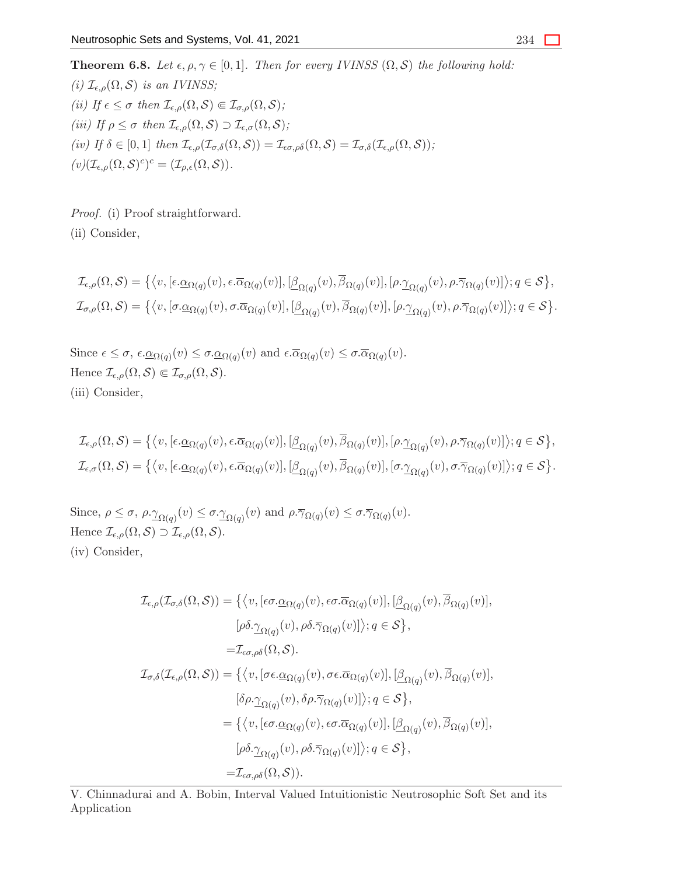**Theorem 6.8.** Let  $\epsilon, \rho, \gamma \in [0, 1]$ . Then for every IVINSS  $(\Omega, \mathcal{S})$  the following hold: *(i)*  $\mathcal{I}_{\epsilon,\rho}(\Omega,\mathcal{S})$  *is an IVINSS; (ii)* If  $\epsilon \leq \sigma$  then  $\mathcal{I}_{\epsilon,\rho}(\Omega,\mathcal{S}) \in \mathcal{I}_{\sigma,\rho}(\Omega,\mathcal{S})$ ; *(iii)* If  $\rho \leq \sigma$  then  $\mathcal{I}_{\epsilon,\rho}(\Omega,\mathcal{S}) \supset \mathcal{I}_{\epsilon,\sigma}(\Omega,\mathcal{S})$ ; *(iv)* If  $\delta \in [0,1]$  *then*  $\mathcal{I}_{\epsilon,\rho}(\mathcal{I}_{\sigma,\delta}(\Omega,\mathcal{S})) = \mathcal{I}_{\epsilon\sigma,\rho\delta}(\Omega,\mathcal{S}) = \mathcal{I}_{\sigma,\delta}(\mathcal{I}_{\epsilon,\rho}(\Omega,\mathcal{S}))$ ;  $(v)(\mathcal{I}_{\epsilon,\rho}(\Omega,\mathcal{S})^c)^c = (\mathcal{I}_{\rho,\epsilon}(\Omega,\mathcal{S})).$ 

*Proof.* (i) Proof straightforward. (ii) Consider,

$$
\mathcal{I}_{\epsilon,\rho}(\Omega,\mathcal{S}) = \left\{ \left\langle v, \left[\epsilon.\underline{\alpha}_{\Omega(q)}(v), \epsilon.\overline{\alpha}_{\Omega(q)}(v)\right], \left[\underline{\beta}_{\Omega(q)}(v), \overline{\beta}_{\Omega(q)}(v)\right], \left[\rho.\underline{\gamma}_{\Omega(q)}(v), \rho.\overline{\gamma}_{\Omega(q)}(v)\right] \right\rangle; q \in \mathcal{S} \right\},
$$
  

$$
\mathcal{I}_{\sigma,\rho}(\Omega,\mathcal{S}) = \left\{ \left\langle v, \left[\sigma.\underline{\alpha}_{\Omega(q)}(v), \sigma.\overline{\alpha}_{\Omega(q)}(v)\right], \left[\underline{\beta}_{\Omega(q)}(v), \overline{\beta}_{\Omega(q)}(v)\right], \left[\rho.\underline{\gamma}_{\Omega(q)}(v), \rho.\overline{\gamma}_{\Omega(q)}(v)\right] \right\rangle; q \in \mathcal{S} \right\}.
$$

Since  $\epsilon \leq \sigma$ ,  $\epsilon \cdot \underline{\alpha}_{\Omega(q)}(v) \leq \sigma \cdot \underline{\alpha}_{\Omega(q)}(v)$  and  $\epsilon \cdot \overline{\alpha}_{\Omega(q)}(v) \leq \sigma \cdot \overline{\alpha}_{\Omega(q)}(v)$ . Hence  $\mathcal{I}_{\epsilon,\rho}(\Omega,\mathcal{S}) \Subset \mathcal{I}_{\sigma,\rho}(\Omega,\mathcal{S}).$ (iii) Consider,

$$
\mathcal{I}_{\epsilon,\rho}(\Omega,\mathcal{S}) = \left\{ \left\langle v, \left[\epsilon.\underline{\alpha}_{\Omega(q)}(v), \epsilon.\overline{\alpha}_{\Omega(q)}(v)\right], \left[\underline{\beta}_{\Omega(q)}(v), \overline{\beta}_{\Omega(q)}(v)\right], \left[\rho.\underline{\gamma}_{\Omega(q)}(v), \rho.\overline{\gamma}_{\Omega(q)}(v)\right] \right\rangle; q \in \mathcal{S} \right\},\
$$
  

$$
\mathcal{I}_{\epsilon,\sigma}(\Omega,\mathcal{S}) = \left\{ \left\langle v, \left[\epsilon.\underline{\alpha}_{\Omega(q)}(v), \epsilon.\overline{\alpha}_{\Omega(q)}(v)\right], \left[\underline{\beta}_{\Omega(q)}(v), \overline{\beta}_{\Omega(q)}(v)\right], \left[\sigma.\underline{\gamma}_{\Omega(q)}(v), \sigma.\overline{\gamma}_{\Omega(q)}(v)\right] \right\rangle; q \in \mathcal{S} \right\}.
$$

Since,  $\rho \leq \sigma$ ,  $\rho \cdot \underline{\gamma}_{\Omega(q)}(v) \leq \sigma \cdot \underline{\gamma}_{\Omega(q)}(v)$  and  $\rho \cdot \overline{\gamma}_{\Omega(q)}(v) \leq \sigma \cdot \overline{\gamma}_{\Omega(q)}(v)$ . Hence  $\mathcal{I}_{\epsilon,\rho}(\Omega,\mathcal{S}) \supset \mathcal{I}_{\epsilon,\rho}(\Omega,\mathcal{S}).$ (iv) Consider,

$$
\mathcal{I}_{\epsilon,\rho}(\mathcal{I}_{\sigma,\delta}(\Omega,\mathcal{S})) = \{ \langle v, [\epsilon \sigma. \underline{\alpha}_{\Omega(q)}(v), \epsilon \sigma. \overline{\alpha}_{\Omega(q)}(v)], [\underline{\beta}_{\Omega(q)}(v), \overline{\beta}_{\Omega(q)}(v)], [\rho \delta. \underline{\gamma}_{\Omega(q)}(v), \rho \delta. \overline{\gamma}_{\Omega(q)}(v)] \rangle; q \in \mathcal{S} \}, \n= \mathcal{I}_{\epsilon \sigma, \rho \delta}(\Omega, \mathcal{S}). \n\mathcal{I}_{\sigma,\delta}(\mathcal{I}_{\epsilon,\rho}(\Omega, \mathcal{S})) = \{ \langle v, [\sigma \epsilon. \underline{\alpha}_{\Omega(q)}(v), \sigma \epsilon. \overline{\alpha}_{\Omega(q)}(v)], [\underline{\beta}_{\Omega(q)}(v), \overline{\beta}_{\Omega(q)}(v)] \rangle, [\delta \rho. \underline{\gamma}_{\Omega(q)}(v), \delta \rho. \overline{\gamma}_{\Omega(q)}(v)] \rangle; q \in \mathcal{S} \}, \n= \{ \langle v, [\epsilon \sigma. \underline{\alpha}_{\Omega(q)}(v), \epsilon \sigma. \overline{\alpha}_{\Omega(q)}(v)], [\underline{\beta}_{\Omega(q)}(v), \overline{\beta}_{\Omega(q)}(v)] \rangle, [\rho \delta. \underline{\gamma}_{\Omega(q)}(v), \rho \delta. \overline{\gamma}_{\Omega(q)}(v)] \rangle; q \in \mathcal{S} \}, \n= \mathcal{I}_{\epsilon \sigma, \rho \delta}(\Omega, \mathcal{S})).
$$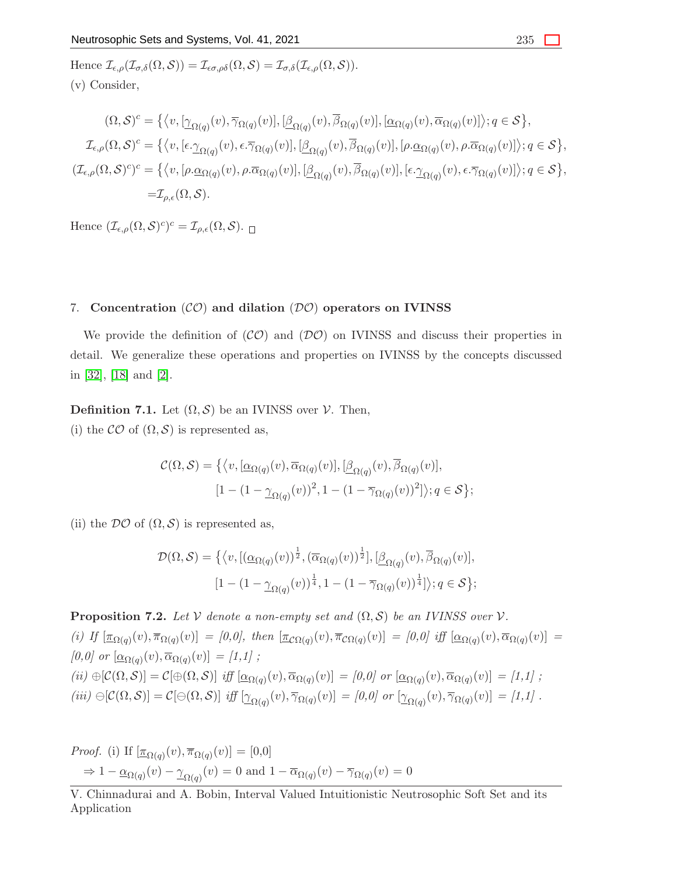Hence  $\mathcal{I}_{\epsilon,\rho}(\mathcal{I}_{\sigma,\delta}(\Omega,\mathcal{S})) = \mathcal{I}_{\epsilon\sigma,\rho\delta}(\Omega,\mathcal{S}) = \mathcal{I}_{\sigma,\delta}(\mathcal{I}_{\epsilon,\rho}(\Omega,\mathcal{S})).$ (v) Consider,

$$
(\Omega, \mathcal{S})^c = \left\{ \langle v, [\underline{\gamma}_{\Omega(q)}(v), \overline{\gamma}_{\Omega(q)}(v)], [\underline{\beta}_{\Omega(q)}(v), \overline{\beta}_{\Omega(q)}(v)], [\underline{\alpha}_{\Omega(q)}(v), \overline{\alpha}_{\Omega(q)}(v)] \rangle; q \in \mathcal{S} \right\},
$$
  

$$
\mathcal{I}_{\epsilon,\rho}(\Omega, \mathcal{S})^c = \left\{ \langle v, [\epsilon \cdot \underline{\gamma}_{\Omega(q)}(v), \epsilon \cdot \overline{\gamma}_{\Omega(q)}(v)], [\underline{\beta}_{\Omega(q)}(v), \overline{\beta}_{\Omega(q)}(v)], [\rho \cdot \underline{\alpha}_{\Omega(q)}(v), \rho \cdot \overline{\alpha}_{\Omega(q)}(v)] \rangle; q \in \mathcal{S} \right\},
$$
  

$$
(\mathcal{I}_{\epsilon,\rho}(\Omega, \mathcal{S})^c)^c = \left\{ \langle v, [\rho \cdot \underline{\alpha}_{\Omega(q)}(v), \rho \cdot \overline{\alpha}_{\Omega(q)}(v)], [\underline{\beta}_{\Omega(q)}(v), \overline{\beta}_{\Omega(q)}(v)], [\epsilon \cdot \underline{\gamma}_{\Omega(q)}(v), \epsilon \cdot \overline{\gamma}_{\Omega(q)}(v)] \rangle; q \in \mathcal{S} \right\},
$$
  

$$
= \mathcal{I}_{\rho,\epsilon}(\Omega, \mathcal{S}).
$$

Hence  $(\mathcal{I}_{\epsilon,\rho}(\Omega,\mathcal{S})^c)^c = \mathcal{I}_{\rho,\epsilon}(\Omega,\mathcal{S}).$ 

# 7. Concentration  $({\mathcal{CO}})$  and dilation  $({\mathcal{DO}})$  operators on IVINSS

We provide the definition of  $({\cal CO})$  and  $({\cal DO})$  on IVINSS and discuss their properties in detail. We generalize these operations and properties on IVINSS by the concepts discussed in [\[32\]](#page-30-8), [\[18\]](#page-29-16) and [\[2\]](#page-28-2).

**Definition 7.1.** Let  $(\Omega, \mathcal{S})$  be an IVINSS over  $\mathcal{V}$ . Then,

(i) the  $\mathcal{CO}$  of  $(\Omega, \mathcal{S})$  is represented as,

$$
\mathcal{C}(\Omega,\mathcal{S}) = \left\{ \langle v, [\underline{\alpha}_{\Omega(q)}(v), \overline{\alpha}_{\Omega(q)}(v)], [\underline{\beta}_{\Omega(q)}(v), \overline{\beta}_{\Omega(q)}(v)], \right\}
$$

$$
[1 - (1 - \underline{\gamma}_{\Omega(q)}(v))^2, 1 - (1 - \overline{\gamma}_{\Omega(q)}(v))^2] \rangle; q \in \mathcal{S} \right\};
$$

(ii) the  $\mathcal{DO}$  of  $(\Omega, \mathcal{S})$  is represented as,

$$
\mathcal{D}(\Omega,\mathcal{S}) = \left\{ \langle v, [(\underline{\alpha}_{\Omega(q)}(v))^{\frac{1}{2}}, (\overline{\alpha}_{\Omega(q)}(v))^{\frac{1}{2}}], [\underline{\beta}_{\Omega(q)}(v), \overline{\beta}_{\Omega(q)}(v)], \right\}
$$

$$
[1 - (1 - \underline{\gamma}_{\Omega(q)}(v))^{\frac{1}{4}}, 1 - (1 - \overline{\gamma}_{\Omega(q)}(v))^{\frac{1}{4}}] \rangle; q \in \mathcal{S} \right\};
$$

**Proposition 7.2.** Let  $V$  denote a non-empty set and  $(\Omega, \mathcal{S})$  be an IVINSS over  $V$ . (i) If  $[\underline{\pi}_{\Omega(q)}(v), \overline{\pi}_{\Omega(q)}(v)] = [0,0],$  then  $[\underline{\pi}_{\Omega(q)}(v), \overline{\pi}_{\Omega(q)}(v)] = [0,0]$  iff  $[\underline{\alpha}_{\Omega(q)}(v), \overline{\alpha}_{\Omega(q)}(v)] =$  $[0,0]$  or  $[\underline{\alpha}_{\Omega(q)}(v), \overline{\alpha}_{\Omega(q)}(v)] = [1,1]$ ;  $(iii) \oplus [\mathcal{C}(\Omega, \mathcal{S})] = \mathcal{C}[\oplus(\Omega, \mathcal{S})]$  *iff*  $[\underline{\alpha}_{\Omega(q)}(v), \overline{\alpha}_{\Omega(q)}(v)] = [0,0]$  or  $[\underline{\alpha}_{\Omega(q)}(v), \overline{\alpha}_{\Omega(q)}(v)] = [1,1]$ ;  $(iii) \ominus [C(\Omega, \mathcal{S})] = C[\ominus(\Omega, \mathcal{S})]$  *iff*  $[\underline{\gamma}_{\Omega(q)}(v), \overline{\gamma}_{\Omega(q)}(v)] = [0,0]$  or  $[\underline{\gamma}_{\Omega(q)}(v), \overline{\gamma}_{\Omega(q)}(v)] = [1,1]$ .

*Proof.* (i) If  $[\underline{\pi}_{\Omega(q)}(v), \overline{\pi}_{\Omega(q)}(v)] = [0,0]$  $\Rightarrow 1 - \underline{\alpha}_{\Omega(q)}(v) - \underline{\gamma}_{\Omega(q)}(v) = 0$  and  $1 - \overline{\alpha}_{\Omega(q)}(v) - \overline{\gamma}_{\Omega(q)}(v) = 0$ 

V. Chinnadurai and A. Bobin, Interval Valued Intuitionistic Neutrosophic Soft Set and its Application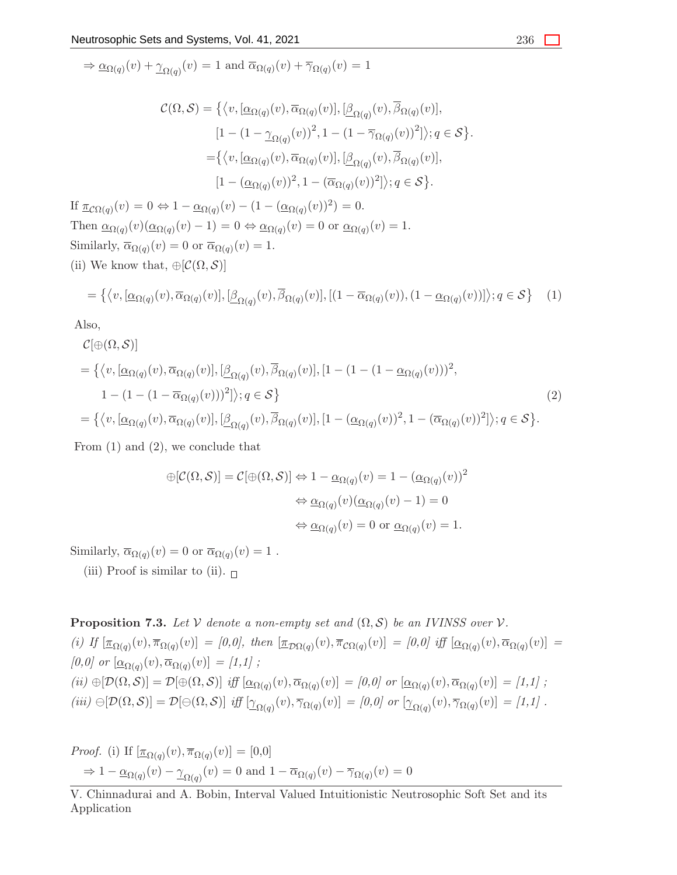$$
\Rightarrow \underline{\alpha}_{\Omega(q)}(v) + \underline{\gamma}_{\Omega(q)}(v) = 1
$$
 and  $\overline{\alpha}_{\Omega(q)}(v) + \overline{\gamma}_{\Omega(q)}(v) = 1$ 

$$
\mathcal{C}(\Omega,\mathcal{S}) = \left\{ \langle v, [\underline{\alpha}_{\Omega(q)}(v), \overline{\alpha}_{\Omega(q)}(v)], [\underline{\beta}_{\Omega(q)}(v), \overline{\beta}_{\Omega(q)}(v)], \right\} [1 - (1 - \underline{\gamma}_{\Omega(q)}(v))^2, 1 - (1 - \overline{\gamma}_{\Omega(q)}(v))^2] \rangle; q \in \mathcal{S} \right\}.
$$
  
= 
$$
\left\{ \langle v, [\underline{\alpha}_{\Omega(q)}(v), \overline{\alpha}_{\Omega(q)}(v)], [\underline{\beta}_{\Omega(q)}(v), \overline{\beta}_{\Omega(q)}(v)], \right\} [1 - (\underline{\alpha}_{\Omega(q)}(v))^2, 1 - (\overline{\alpha}_{\Omega(q)}(v))^2] \rangle; q \in \mathcal{S} \right\}.
$$

If  $\underline{\pi}_{\mathcal{C}\Omega(q)}(v) = 0 \Leftrightarrow 1 - \underline{\alpha}_{\Omega(q)}(v) - (1 - (\underline{\alpha}_{\Omega(q)}(v))^2) = 0.$ Then  $\underline{\alpha}_{\Omega(q)}(v)(\underline{\alpha}_{\Omega(q)}(v) - 1) = 0 \Leftrightarrow \underline{\alpha}_{\Omega(q)}(v) = 0$  or  $\underline{\alpha}_{\Omega(q)}(v) = 1$ . Similarly,  $\overline{\alpha}_{\Omega(q)}(v) = 0$  or  $\overline{\alpha}_{\Omega(q)}(v) = 1$ . (ii) We know that,  $\bigoplus \{ \mathcal{C}(\Omega, \mathcal{S}) \}$ 

$$
= \{ \langle v, [\underline{\alpha}_{\Omega(q)}(v), \overline{\alpha}_{\Omega(q)}(v)], [\underline{\beta}_{\Omega(q)}(v), \overline{\beta}_{\Omega(q)}(v)], [(1 - \overline{\alpha}_{\Omega(q)}(v)), (1 - \underline{\alpha}_{\Omega(q)}(v))] \rangle; q \in S \}
$$
(1)

Also,

$$
\mathcal{C}[\oplus(\Omega,\mathcal{S})]
$$
\n
$$
= \left\{ \langle v, [\underline{\alpha}_{\Omega(q)}(v), \overline{\alpha}_{\Omega(q)}(v)], [\underline{\beta}_{\Omega(q)}(v), \overline{\beta}_{\Omega(q)}(v)], [1 - (1 - (1 - \underline{\alpha}_{\Omega(q)}(v)))^{2}, 1 - (1 - (1 - \overline{\alpha}_{\Omega(q)}(v)))^{2} ] \rangle; q \in \mathcal{S} \right\}
$$
\n
$$
= \left\{ \langle v, [\underline{\alpha}_{\Omega(q)}(v), \overline{\alpha}_{\Omega(q)}(v)], [\underline{\beta}_{\Omega(q)}(v), \overline{\beta}_{\Omega(q)}(v)], [1 - (\underline{\alpha}_{\Omega(q)}(v))^{2}, 1 - (\overline{\alpha}_{\Omega(q)}(v))^{2} ] \rangle; q \in \mathcal{S} \right\}.
$$
\n(2)

From (1) and (2), we conclude that

$$
\begin{aligned} \bigoplus [\mathcal{C}(\Omega,\mathcal{S})] &= \mathcal{C}[\bigoplus (\Omega,\mathcal{S})] \Leftrightarrow 1 - \underline{\alpha}_{\Omega(q)}(v) = 1 - (\underline{\alpha}_{\Omega(q)}(v))^2 \\ &\Leftrightarrow \underline{\alpha}_{\Omega(q)}(v)(\underline{\alpha}_{\Omega(q)}(v) - 1) = 0 \\ &\Leftrightarrow \underline{\alpha}_{\Omega(q)}(v) = 0 \text{ or } \underline{\alpha}_{\Omega(q)}(v) = 1. \end{aligned}
$$

Similarly,  $\overline{\alpha}_{\Omega(q)}(v) = 0$  or  $\overline{\alpha}_{\Omega(q)}(v) = 1$ .

(iii) Proof is similar to (ii).  $\Box$ 

**Proposition 7.3.** *Let*  $V$  *denote a non-empty set and*  $(\Omega, \mathcal{S})$  *be an IVINSS over*  $V$ *.*  $(i)$  If  $[\underline{\pi}_{\Omega(q)}(v), \overline{\pi}_{\Omega(q)}(v)] = [0,0],$  then  $[\underline{\pi}_{\mathcal{D}\Omega(q)}(v), \overline{\pi}_{\mathcal{C}\Omega(q)}(v)] = [0,0]$  iff  $[\underline{\alpha}_{\Omega(q)}(v), \overline{\alpha}_{\Omega(q)}(v)] =$  $[0,0]$  or  $[\underline{\alpha}_{\Omega(q)}(v), \overline{\alpha}_{\Omega(q)}(v)] = [1,1]$ ;  $(iii) \oplus [\mathcal{D}(\Omega, \mathcal{S})] = \mathcal{D}[\oplus(\Omega, \mathcal{S})]$  *iff*  $[\underline{\alpha}_{\Omega(q)}(v), \overline{\alpha}_{\Omega(q)}(v)] = [0,0]$  or  $[\underline{\alpha}_{\Omega(q)}(v), \overline{\alpha}_{\Omega(q)}(v)] = [1,1]$ ;  $(iii) \ominus[D(\Omega, \mathcal{S})] = \mathcal{D}[\ominus(\Omega, \mathcal{S})]$  *iff*  $[\underline{\gamma}_{\Omega(q)}(v), \overline{\gamma}_{\Omega(q)}(v)] = [0, 0]$  or  $[\underline{\gamma}_{\Omega(q)}(v), \overline{\gamma}_{\Omega(q)}(v)] = [1, 1]$ .

Proof. (i) If 
$$
[\underline{\pi}_{\Omega(q)}(v), \overline{\pi}_{\Omega(q)}(v)] = [0,0]
$$
  
\n $\Rightarrow 1 - \underline{\alpha}_{\Omega(q)}(v) - \underline{\gamma}_{\Omega(q)}(v) = 0$  and  $1 - \overline{\alpha}_{\Omega(q)}(v) - \overline{\gamma}_{\Omega(q)}(v) = 0$ 

V. Chinnadurai and A. Bobin, Interval Valued Intuitionistic Neutrosophic Soft Set and its Application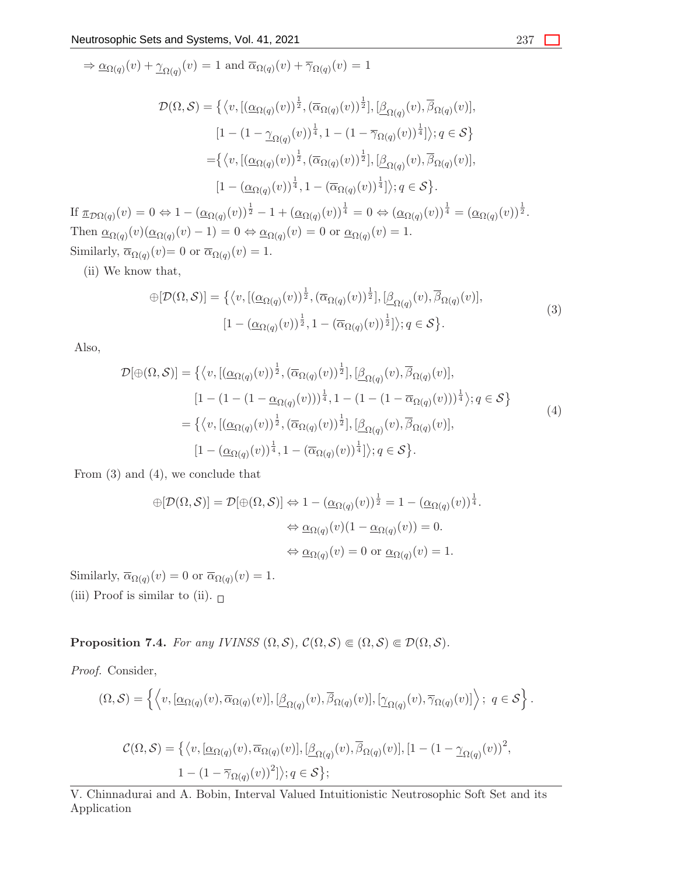$$
\Rightarrow \underline{\alpha}_{\Omega(q)}(v) + \underline{\gamma}_{\Omega(q)}(v) = 1 \text{ and } \overline{\alpha}_{\Omega(q)}(v) + \overline{\gamma}_{\Omega(q)}(v) = 1
$$

$$
\mathcal{D}(\Omega,\mathcal{S}) = \left\{ \langle v, \left[ (\underline{\alpha}_{\Omega(q)}(v))^{\frac{1}{2}}, (\overline{\alpha}_{\Omega(q)}(v))^{\frac{1}{2}} \right], \left[ \underline{\beta}_{\Omega(q)}(v), \overline{\beta}_{\Omega(q)}(v) \right], \right\}
$$

$$
\left[ 1 - (1 - \underline{\gamma}_{\Omega(q)}(v))^{\frac{1}{4}}, 1 - (1 - \overline{\gamma}_{\Omega(q)}(v))^{\frac{1}{4}} \right] \rangle; q \in \mathcal{S} \right\}
$$

$$
= \left\{ \langle v, \left[ (\underline{\alpha}_{\Omega(q)}(v))^{\frac{1}{2}}, (\overline{\alpha}_{\Omega(q)}(v))^{\frac{1}{2}} \right], \left[ \underline{\beta}_{\Omega(q)}(v), \overline{\beta}_{\Omega(q)}(v) \right], \right\}
$$

$$
\left[ 1 - (\underline{\alpha}_{\Omega(q)}(v))^{\frac{1}{4}}, 1 - (\overline{\alpha}_{\Omega(q)}(v))^{\frac{1}{4}} \right] \rangle; q \in \mathcal{S} \right\}.
$$

If  $\pi_{\mathcal{D}\Omega(q)}(v) = 0 \Leftrightarrow 1 - (\underline{\alpha}_{\Omega(q)}(v))^{\frac{1}{2}} - 1 + (\underline{\alpha}_{\Omega(q)}(v))^{\frac{1}{4}} = 0 \Leftrightarrow (\underline{\alpha}_{\Omega(q)}(v))^{\frac{1}{4}} = (\underline{\alpha}_{\Omega(q)}(v))^{\frac{1}{2}}$ . Then  $\underline{\alpha}_{\Omega(q)}(v)(\underline{\alpha}_{\Omega(q)}(v)-1) = 0 \Leftrightarrow \underline{\alpha}_{\Omega(q)}(v) = 0$  or  $\underline{\alpha}_{\Omega(q)}(v) = 1$ . Similarly,  $\overline{\alpha}_{\Omega(q)}(v) = 0$  or  $\overline{\alpha}_{\Omega(q)}(v) = 1$ .

(ii) We know that,

$$
\oplus [\mathcal{D}(\Omega, \mathcal{S})] = \{ \langle v, [(\underline{\alpha}_{\Omega(q)}(v))^{\frac{1}{2}}, (\overline{\alpha}_{\Omega(q)}(v))^{\frac{1}{2}}], [\underline{\beta}_{\Omega(q)}(v), \overline{\beta}_{\Omega(q)}(v)],
$$
  

$$
[1 - (\underline{\alpha}_{\Omega(q)}(v))^{\frac{1}{2}}, 1 - (\overline{\alpha}_{\Omega(q)}(v))^{\frac{1}{2}}] \rangle; q \in \mathcal{S} \}.
$$
 (3)

Also,

$$
\mathcal{D}[\oplus(\Omega,\mathcal{S})] = \left\{ \langle v, \left[ (\underline{\alpha}_{\Omega(q)}(v))^{\frac{1}{2}}, (\overline{\alpha}_{\Omega(q)}(v))^{\frac{1}{2}} \right], \left[ \underline{\beta}_{\Omega(q)}(v), \overline{\beta}_{\Omega(q)}(v) \right], \right\}\n\left[ 1 - (1 - (1 - \underline{\alpha}_{\Omega(q)}(v)))^{\frac{1}{4}}, 1 - (1 - (1 - \overline{\alpha}_{\Omega(q)}(v)))^{\frac{1}{4}} \right\rangle; q \in \mathcal{S} \right\}\n= \left\{ \langle v, \left[ (\underline{\alpha}_{\Omega(q)}(v))^{\frac{1}{2}}, (\overline{\alpha}_{\Omega(q)}(v))^{\frac{1}{2}} \right], \left[ \underline{\beta}_{\Omega(q)}(v), \overline{\beta}_{\Omega(q)}(v) \right], \right\}\n\left[ 1 - (\underline{\alpha}_{\Omega(q)}(v))^{\frac{1}{4}}, 1 - (\overline{\alpha}_{\Omega(q)}(v))^{\frac{1}{4}} \right\rangle; q \in \mathcal{S} \right\}.
$$
\n(4)

From (3) and (4), we conclude that

$$
\bigoplus [\mathcal{D}(\Omega, \mathcal{S})] = \mathcal{D}[\bigoplus (\Omega, \mathcal{S})] \Leftrightarrow 1 - (\underline{\alpha}_{\Omega(q)}(v))^{\frac{1}{2}} = 1 - (\underline{\alpha}_{\Omega(q)}(v))^{\frac{1}{4}}.
$$

$$
\Leftrightarrow \underline{\alpha}_{\Omega(q)}(v)(1 - \underline{\alpha}_{\Omega(q)}(v)) = 0.
$$

$$
\Leftrightarrow \underline{\alpha}_{\Omega(q)}(v) = 0 \text{ or } \underline{\alpha}_{\Omega(q)}(v) = 1.
$$

Similarly,  $\overline{\alpha}_{\Omega(q)}(v) = 0$  or  $\overline{\alpha}_{\Omega(q)}(v) = 1$ . (iii) Proof is similar to (ii).  $\Box$ 

**Proposition 7.4.** *For any IVINSS*  $(\Omega, \mathcal{S}), \mathcal{C}(\Omega, \mathcal{S}) \in (\Omega, \mathcal{S}) \in \mathcal{D}(\Omega, \mathcal{S})$ *.* 

*Proof.* Consider,

$$
(\Omega,\mathcal{S}) = \left\{ \left\langle v, [\underline{\alpha}_{\Omega(q)}(v), \overline{\alpha}_{\Omega(q)}(v)], [\underline{\beta}_{\Omega(q)}(v), \overline{\beta}_{\Omega(q)}(v)], [\underline{\gamma}_{\Omega(q)}(v), \overline{\gamma}_{\Omega(q)}(v)] \right\rangle; \ q \in \mathcal{S} \right\}.
$$

$$
\mathcal{C}(\Omega,\mathcal{S}) = \{ \langle v, [\underline{\alpha}_{\Omega(q)}(v), \overline{\alpha}_{\Omega(q)}(v)], [\underline{\beta}_{\Omega(q)}(v), \overline{\beta}_{\Omega(q)}(v)], [1 - (1 - \underline{\gamma}_{\Omega(q)}(v))^2, 1 - (1 - \overline{\gamma}_{\Omega(q)}(v))^2] \rangle; q \in \mathcal{S} \} ;
$$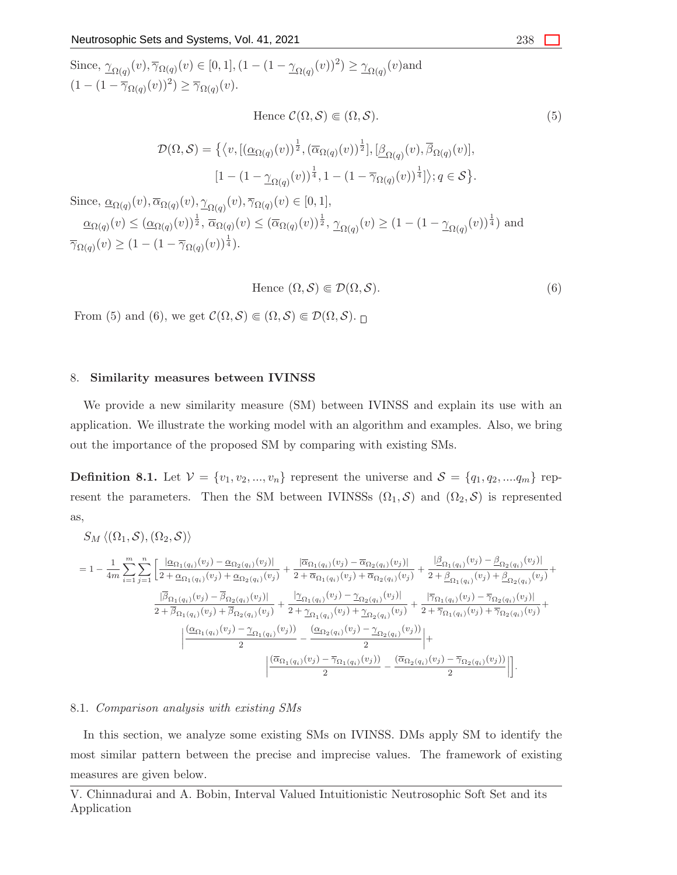Since,  $\gamma_{\Omega(q)}(v), \overline{\gamma}_{\Omega(q)}(v) \in [0, 1], (1 - (1 - \gamma_{\Omega(q)}(v))^2) \geq \gamma_{\Omega(q)}(v)$  and  $(1 - (1 - \overline{\gamma}_{\Omega(q)}(v))^2) \ge \overline{\gamma}_{\Omega(q)}(v).$ 

Hence 
$$
\mathcal{C}(\Omega, \mathcal{S}) \in (\Omega, \mathcal{S}).
$$
\n
$$
\mathcal{D}(\Omega, \mathcal{S}) = \left\{ \left\langle v, \left[ (\underline{\alpha}_{\Omega(q)}(v))^{\frac{1}{2}}, (\overline{\alpha}_{\Omega(q)}(v))^{\frac{1}{2}} \right], \left[ \underline{\beta}_{\Omega(q)}(v), \overline{\beta}_{\Omega(q)}(v) \right], \right. \\ \left. \left[ 1 - (1 - \underline{\gamma}_{\Omega(q)}(v))^{\frac{1}{4}}, 1 - (1 - \overline{\gamma}_{\Omega(q)}(v))^{\frac{1}{4}} \right] \right\rangle; q \in \mathcal{S} \right\}.
$$
\nSince,  $\underline{\alpha}_{\Omega(q)}(v), \overline{\alpha}_{\Omega(q)}(v), \underline{\gamma}_{\Omega(q)}(v), \overline{\gamma}_{\Omega(q)}(v) \in [0, 1],$   
\n
$$
\underline{\alpha}_{\Omega(q)}(v) \leq (\underline{\alpha}_{\Omega(q)}(v))^{\frac{1}{2}}, \overline{\alpha}_{\Omega(q)}(v) \leq (\overline{\alpha}_{\Omega(q)}(v))^{\frac{1}{2}}, \underline{\gamma}_{\Omega(q)}(v) \geq (1 - (1 - \underline{\gamma}_{\Omega(q)}(v))^{\frac{1}{4}})
$$
 and 
$$
\overline{\gamma}_{\Omega(q)}(v) \geq (1 - (1 - \overline{\gamma}_{\Omega(q)}(v))^{\frac{1}{4}}).
$$
\n
$$
(5)
$$

Hence 
$$
(\Omega, \mathcal{S}) \in \mathcal{D}(\Omega, \mathcal{S}).
$$
 (6)

From (5) and (6), we get  $\mathcal{C}(\Omega, \mathcal{S}) \in (\Omega, \mathcal{S}) \in \mathcal{D}(\Omega, \mathcal{S})$ .

#### 8. Similarity measures between IVINSS

We provide a new similarity measure (SM) between IVINSS and explain its use with an application. We illustrate the working model with an algorithm and examples. Also, we bring out the importance of the proposed SM by comparing with existing SMs.

**Definition 8.1.** Let  $V = \{v_1, v_2, ..., v_n\}$  represent the universe and  $S = \{q_1, q_2, ..., q_m\}$  represent the parameters. Then the SM between IVINSSs  $(\Omega_1, \mathcal{S})$  and  $(\Omega_2, \mathcal{S})$  is represented as,

$$
S_{M}\left\langle (\Omega_{1},\mathcal{S}),(\Omega_{2},\mathcal{S})\right\rangle
$$
\n
$$
=1-\frac{1}{4m}\sum_{i=1}^{m}\sum_{j=1}^{n}\left[\frac{|\alpha_{\Omega_{1}(q_{i})}(v_{j})-\alpha_{\Omega_{2}(q_{i})}(v_{j})|}{2+\alpha_{\Omega_{1}(q_{i})}(v_{j})+\alpha_{\Omega_{2}(q_{i})}(v_{j})}+\frac{|\alpha_{\Omega_{1}(q_{i})}(v_{j})-\alpha_{\Omega_{2}(q_{i})}(v_{j})|}{2+\beta_{\Omega_{1}(q_{i})}(v_{j})+\beta_{\Omega_{2}(q_{i})}(v_{j})}+\frac{|\beta_{\Omega_{1}(q_{i})}(v_{j})-\beta_{\Omega_{2}(q_{i})}(v_{j})|}{2+\beta_{\Omega_{1}(q_{i})}(v_{j})-\beta_{\Omega_{2}(q_{i})}(v_{j})|}+\frac{|\gamma_{\Omega_{1}(q_{i})}(v_{j})-\alpha_{\Omega_{2}(q_{i})}(v_{j})|}{2+\beta_{\Omega_{1}(q_{i})}(v_{j})+\beta_{\Omega_{2}(q_{i})}(v_{j})}+\frac{|\gamma_{\Omega_{1}(q_{i})}(v_{j})-\gamma_{\Omega_{2}(q_{i})}(v_{j})|}{2+\gamma_{\Omega_{1}(q_{i})}(v_{j})+\gamma_{\Omega_{2}(q_{i})}(v_{j})}+\frac{|\gamma_{\Omega_{1}(q_{i})}(v_{j})-\gamma_{\Omega_{2}(q_{i})}(v_{j})|}{2+\gamma_{\Omega_{1}(q_{i})}(v_{j})+\gamma_{\Omega_{2}(q_{i})}(v_{j})}+\frac{|\alpha_{\Omega_{1}(q_{i})}(v_{j})-\alpha_{\Omega_{2}(q_{i})}(v_{j})|}{2}+\frac{|\alpha_{\Omega_{1}(q_{i})}(v_{j})-\gamma_{\Omega_{1}(q_{i})}(v_{j})|}{2}+\frac{|\alpha_{\Omega_{1}(q_{i})}(v_{j})-\gamma_{\Omega_{1}(q_{i})}(v_{j})|}{2}-\frac{|\alpha_{\Omega_{2}(q_{i})}(v_{j})-\gamma_{\Omega_{2}(q_{i})}(v_{j})|}{2}+\frac{|\alpha_{\Omega_{2}(q_{i})}(v_{j})-\gamma_{\Omega_{2}(q_{i})}(v_{j})|}{2}+\frac{|\alpha_{\Omega_{2}(q_{i})}(v_{j})-\gamma_{\Omega_{2}(q_{i
$$

#### 8.1. *Comparison analysis with existing SMs*

In this section, we analyze some existing SMs on IVINSS. DMs apply SM to identify the most similar pattern between the precise and imprecise values. The framework of existing measures are given below.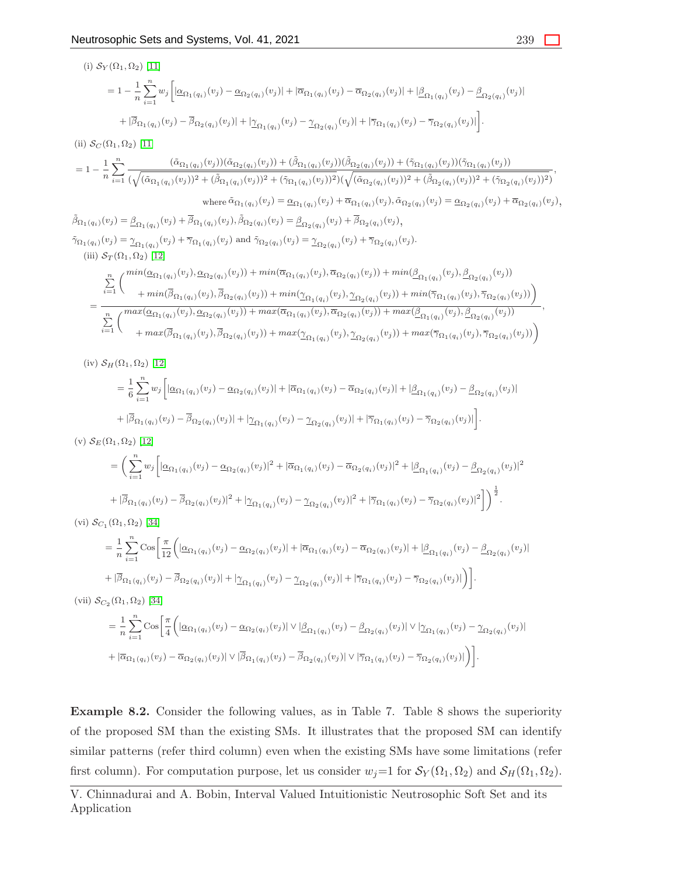(i)  $S_Y(\Omega_1, \Omega_2)$  [\[11\]](#page-29-17)

$$
=1-\frac{1}{n}\sum_{i=1}^n w_j \Big[|\underline{\alpha}_{\Omega_1(q_i)}(v_j)-\underline{\alpha}_{\Omega_2(q_i)}(v_j)|+|\overline{\alpha}_{\Omega_1(q_i)}(v_j)-\overline{\alpha}_{\Omega_2(q_i)}(v_j)|+|\underline{\beta}_{\Omega_1(q_i)}(v_j)-\underline{\beta}_{\Omega_2(q_i)}(v_j)|\Big] \\+|\overline{\beta}_{\Omega_1(q_i)}(v_j)-\overline{\beta}_{\Omega_2(q_i)}(v_j)|+|\underline{\gamma}_{\Omega_1(q_i)}(v_j)-\underline{\gamma}_{\Omega_2(q_i)}(v_j)|+|\overline{\gamma}_{\Omega_1(q_i)}(v_j)-\overline{\gamma}_{\Omega_2(q_i)}(v_j)|\Big].
$$

(ii)  $\mathcal{S}_C(\Omega_1, \Omega_2)$  [\[11\]](#page-29-17)

$$
=1-\frac{1}{n}\sum_{i=1}^n\frac{(\tilde{\alpha}_{\Omega_1(q_i)}(v_j))(\tilde{\alpha}_{\Omega_2(q_i)}(v_j)) + (\tilde{\beta}_{\Omega_1(q_i)}(v_j))(\tilde{\beta}_{\Omega_2(q_i)}(v_j)) + (\tilde{\gamma}_{\Omega_1(q_i)}(v_j))(\tilde{\gamma}_{\Omega_1(q_i)}(v_j))}{(\sqrt{(\tilde{\alpha}_{\Omega_1(q_i)}(v_j))^2 + (\tilde{\beta}_{\Omega_1(q_i)}(v_j))^2 + (\tilde{\gamma}_{\Omega_1(q_i)}(v_j))^2 + (\tilde{\beta}_{\Omega_2(q_i)}(v_j))^2 + (\tilde{\beta}_{\Omega_2(q_i)}(v_j))^2 + (\tilde{\gamma}_{\Omega_2(q_i)}(v_j))^2 + (\tilde{\gamma}_{\Omega_2(q_i)}(v_j))^2)}},
$$

where 
$$
\tilde{\alpha}_{\Omega_1(q_i)}(v_j) = \underline{\alpha}_{\Omega_1(q_i)}(v_j) + \overline{\alpha}_{\Omega_1(q_i)}(v_j), \tilde{\alpha}_{\Omega_2(q_i)}(v_j) = \underline{\alpha}_{\Omega_2(q_i)}(v_j) + \overline{\alpha}_{\Omega_2(q_i)}(v_j),
$$

 $\tilde{\beta}_{\Omega_1(q_i)}(v_j) = \underline{\beta}_{\Omega_1(q_i)}(v_j) + \overline{\beta}_{\Omega_1(q_i)}(v_j), \tilde{\beta}_{\Omega_2(q_i)}(v_j) = \underline{\beta}_{\Omega_2(q_i)}(v_j) + \overline{\beta}_{\Omega_2(q_i)}(v_j),$  $\tilde{\gamma}_{\Omega_1(q_i)}(v_j) = \gamma_{\Omega_1(q_i)}(v_j) + \overline{\gamma}_{\Omega_1(q_i)}(v_j)$  and  $\tilde{\gamma}_{\Omega_2(q_i)}(v_j) = \gamma_{\Omega_2(q_i)}(v_j) + \overline{\gamma}_{\Omega_2(q_i)}(v_j)$ . (iii)  $S_T(\Omega_1, \Omega_2)$  [\[12\]](#page-29-18)

$$
= \frac{\sum_{i=1}^{n} \binom{\min(\underline{\alpha}_{\Omega_{1}(q_{i})}(v_{j}), \underline{\alpha}_{\Omega_{2}(q_{i})}(v_{j})) + \min(\overline{\alpha}_{\Omega_{1}(q_{i})}(v_{j}), \overline{\alpha}_{\Omega_{2}(q_{i})}(v_{j})) + \min(\underline{\beta}_{\Omega_{1}(q_{i})}(v_{j}), \underline{\beta}_{\Omega_{2}(q_{i})}(v_{j}))}{+\min(\overline{\beta}_{\Omega_{1}(q_{i})}(v_{j}), \overline{\beta}_{\Omega_{2}(q_{i})}(v_{j})) + \min(\underline{\gamma}_{\Omega_{1}(q_{i})}(v_{j}), \underline{\gamma}_{\Omega_{2}(q_{i})}(v_{j})) + \min(\overline{\gamma}_{\Omega_{1}(q_{i})}(v_{j}), \overline{\gamma}_{\Omega_{2}(q_{i})}(v_{j}))})}{\sum_{i=1}^{n} \binom{\max(\underline{\alpha}_{\Omega_{1}(q_{i})}(v_{j}), \underline{\alpha}_{\Omega_{2}(q_{i})}(v_{j})) + \max(\overline{\alpha}_{\Omega_{1}(q_{i})}(v_{j}), \overline{\alpha}_{\Omega_{2}(q_{i})}(v_{j})) + \max(\underline{\beta}_{\Omega_{1}(q_{i})}(v_{j}), \underline{\beta}_{\Omega_{2}(q_{i})}(v_{j}))}{\sum_{i=1}^{n} \binom{\max(\underline{\alpha}_{\Omega_{1}(q_{i})}(v_{j}), \underline{\alpha}_{\Omega_{2}(q_{i})}(v_{j})) + \max(\overline{\alpha}_{\Omega_{1}(q_{i})}(v_{j}), \overline{\alpha}_{\Omega_{2}(q_{i})}(v_{j})) + \max(\overline{\gamma}_{\Omega_{1}(q_{i})}(v_{j}), \overline{\gamma}_{\Omega_{2}(q_{i})}(v_{j}))}{\sum_{i=1}^{n} \binom{\min(\underline{\alpha}_{\Omega_{1}(q_{i})}(v_{j}), \overline{\alpha}_{\Omega_{2}(q_{i})}(v_{j})) + \max(\underline{\gamma}_{\Omega_{1}(q_{i})}(v_{j}), \overline{\gamma}_{\Omega_{2}(q_{i})}(v_{j}))}{\sum_{i=1}^{n} \binom{\min(\underline{\alpha}_{\Omega_{1}(q_{i})}(v_{j}), \overline{\alpha}_{\Omega_{2}(q_{i})}(v_{j})) + \max(\overline{\gamma}_{\Omega_{1}(q_{i})}(v_{j}), \overline{\gamma}_{\Omega_{2}(q_{i})}(v_{j}))}{\sum_{i=1}^{n} \binom{\min(\underline
$$

(iv)  $S_H(\Omega_1, \Omega_2)$  [\[12\]](#page-29-18)

$$
= \frac{1}{6} \sum_{i=1}^{n} w_j \Big[ \left| \underline{\alpha}_{\Omega_1(q_i)}(v_j) - \underline{\alpha}_{\Omega_2(q_i)}(v_j) \right| + \left| \overline{\alpha}_{\Omega_1(q_i)}(v_j) - \overline{\alpha}_{\Omega_2(q_i)}(v_j) \right| + \left| \underline{\beta}_{\Omega_1(q_i)}(v_j) - \underline{\beta}_{\Omega_2(q_i)}(v_j) \right|
$$
  
+ 
$$
|\overline{\beta}_{\Omega_1(q_i)}(v_j) - \overline{\beta}_{\Omega_2(q_i)}(v_j)| + |\underline{\gamma}_{\Omega_1(q_i)}(v_j) - \underline{\gamma}_{\Omega_2(q_i)}(v_j)| + |\overline{\gamma}_{\Omega_1(q_i)}(v_j) - \overline{\gamma}_{\Omega_2(q_i)}(v_j)| \Big].
$$

(v)  $\mathcal{S}_E(\Omega_1, \Omega_2)$  [\[12\]](#page-29-18)

$$
= \left( \sum_{i=1}^{n} w_j \left[ |\alpha_{\Omega_1(q_i)}(v_j) - \alpha_{\Omega_2(q_i)}(v_j)|^2 + |\overline{\alpha}_{\Omega_1(q_i)}(v_j) - \overline{\alpha}_{\Omega_2(q_i)}(v_j)|^2 + |\underline{\beta}_{\Omega_1(q_i)}(v_j) - \underline{\beta}_{\Omega_2(q_i)}(v_j)|^2 \right. \\ + |\overline{\beta}_{\Omega_1(q_i)}(v_j) - \overline{\beta}_{\Omega_2(q_i)}(v_j)|^2 + |\underline{\gamma}_{\Omega_1(q_i)}(v_j) - \underline{\gamma}_{\Omega_2(q_i)}(v_j)|^2 + |\overline{\gamma}_{\Omega_1(q_i)}(v_j) - \overline{\gamma}_{\Omega_2(q_i)}(v_j)|^2 \right) \Big]^{\frac{1}{2}}.
$$

(vi)  $\mathcal{S}_{C_1}(\Omega_1, \Omega_2)$  [\[34\]](#page-30-9)

$$
= \frac{1}{n} \sum_{i=1}^{n} \cos \left[ \frac{\pi}{12} \left( |\underline{\alpha}_{\Omega_1(q_i)}(v_j) - \underline{\alpha}_{\Omega_2(q_i)}(v_j)| + |\overline{\alpha}_{\Omega_1(q_i)}(v_j) - \overline{\alpha}_{\Omega_2(q_i)}(v_j)| + |\underline{\beta}_{\Omega_1(q_i)}(v_j) - \underline{\beta}_{\Omega_2(q_i)}(v_j)| \right) \right]
$$
  
+ 
$$
|\overline{\beta}_{\Omega_1(q_i)}(v_j) - \overline{\beta}_{\Omega_2(q_i)}(v_j)| + |\underline{\gamma}_{\Omega_1(q_i)}(v_j) - \underline{\gamma}_{\Omega_2(q_i)}(v_j)| + |\overline{\gamma}_{\Omega_1(q_i)}(v_j) - \overline{\gamma}_{\Omega_2(q_i)}(v_j)| \right)].
$$

(vii)  $\mathcal{S}_{C_2}(\Omega_1, \Omega_2)$  [\[34\]](#page-30-9)

$$
= \frac{1}{n}\sum_{i=1}^{n} \cos\left[\frac{\pi}{4}\left(|\underline{\alpha}_{\Omega_1(q_i)}(v_j) - \underline{\alpha}_{\Omega_2(q_i)}(v_j)| \vee |\underline{\beta}_{\Omega_1(q_i)}(v_j) - \underline{\beta}_{\Omega_2(q_i)}(v_j)| \vee |\underline{\gamma}_{\Omega_1(q_i)}(v_j) - \underline{\gamma}_{\Omega_2(q_i)}(v_j)|\right.\right] \newline + |\overline{\alpha}_{\Omega_1(q_i)}(v_j) - \overline{\alpha}_{\Omega_2(q_i)}(v_j)| \vee |\overline{\beta}_{\Omega_1(q_i)}(v_j) - \overline{\beta}_{\Omega_2(q_i)}(v_j)| \vee |\overline{\gamma}_{\Omega_1(q_i)}(v_j) - \overline{\gamma}_{\Omega_2(q_i)}(v_j)|\right)\bigg].
$$

Example 8.2. Consider the following values, as in Table 7. Table 8 shows the superiority of the proposed SM than the existing SMs. It illustrates that the proposed SM can identify similar patterns (refer third column) even when the existing SMs have some limitations (refer first column). For computation purpose, let us consider  $w_j=1$  for  $\mathcal{S}_Y(\Omega_1, \Omega_2)$  and  $\mathcal{S}_H(\Omega_1, \Omega_2)$ .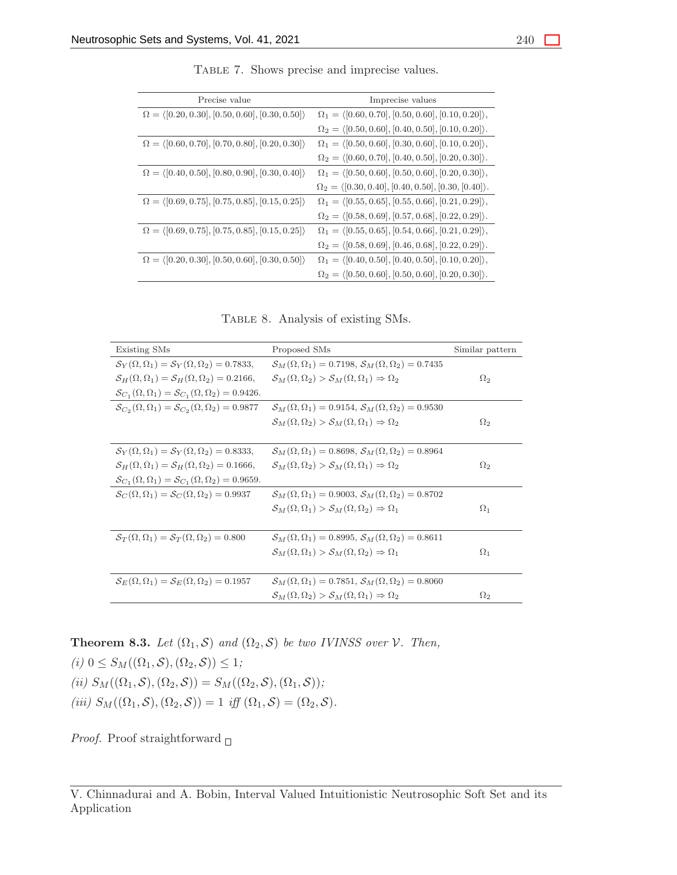| Precise value                                                       | Imprecise values                                                        |
|---------------------------------------------------------------------|-------------------------------------------------------------------------|
| $\Omega = \langle [0.20, 0.30], [0.50, 0.60], [0.30, 0.50] \rangle$ | $\Omega_1 = \langle [0.60, 0.70], [0.50, 0.60], [0.10, 0.20] \rangle,$  |
|                                                                     | $\Omega_2 = \langle [0.50, 0.60], [0.40, 0.50], [0.10, 0.20] \rangle.$  |
| $\Omega = \langle [0.60, 0.70], [0.70, 0.80], [0.20, 0.30] \rangle$ | $\Omega_1 = \langle [0.50, 0.60], [0.30, 0.60], [0.10, 0.20] \rangle,$  |
|                                                                     | $\Omega_2 = \langle [0.60, 0.70], [0.40, 0.50], [0.20, 0.30] \rangle.$  |
| $\Omega = \langle [0.40, 0.50], [0.80, 0.90], [0.30, 0.40] \rangle$ | $\Omega_1 = \langle [0.50, 0.60], [0.50, 0.60], [0.20, 0.30] \rangle,$  |
|                                                                     | $\Omega_2 = \langle [0.30, 0.40], [0.40, 0.50], [0.30, [0.40] \rangle.$ |
| $\Omega = \langle [0.69, 0.75], [0.75, 0.85], [0.15, 0.25] \rangle$ | $\Omega_1 = \langle [0.55, 0.65], [0.55, 0.66], [0.21, 0.29] \rangle,$  |
|                                                                     | $\Omega_2 = \langle [0.58, 0.69], [0.57, 0.68], [0.22, 0.29] \rangle.$  |
| $\Omega = \langle [0.69, 0.75], [0.75, 0.85], [0.15, 0.25] \rangle$ | $\Omega_1 = \langle [0.55, 0.65], [0.54, 0.66], [0.21, 0.29] \rangle,$  |
|                                                                     | $\Omega_2 = \langle [0.58, 0.69], [0.46, 0.68], [0.22, 0.29] \rangle.$  |
| $\Omega = \langle [0.20, 0.30], [0.50, 0.60], [0.30, 0.50] \rangle$ | $\Omega_1 = \langle [0.40, 0.50], [0.40, 0.50], [0.10, 0.20] \rangle,$  |
|                                                                     | $\Omega_2 = \langle [0.50, 0.60], [0.50, 0.60], [0.20, 0.30] \rangle.$  |

Table 7. Shows precise and imprecise values.

Table 8. Analysis of existing SMs.

| Existing SMs                                                                         | Proposed SMs                                                                           | Similar pattern |
|--------------------------------------------------------------------------------------|----------------------------------------------------------------------------------------|-----------------|
| $\mathcal{S}_V(\Omega,\Omega_1)=\mathcal{S}_V(\Omega,\Omega_2)=0.7833,$              | $\mathcal{S}_M(\Omega,\Omega_1)=0.7198,\, \mathcal{S}_M(\Omega,\Omega_2)=0.7435$       |                 |
| $\mathcal{S}_H(\Omega,\Omega_1)=\mathcal{S}_H(\Omega,\Omega_2)=0.2166,$              | $\mathcal{S}_M(\Omega,\Omega_2) > \mathcal{S}_M(\Omega,\Omega_1) \Rightarrow \Omega_2$ | $\Omega_2$      |
| $S_{C_1}(\Omega, \Omega_1) = S_{C_1}(\Omega, \Omega_2) = 0.9426.$                    |                                                                                        |                 |
| $\mathcal{S}_{C_2}(\Omega, \Omega_1) = \mathcal{S}_{C_2}(\Omega, \Omega_2) = 0.9877$ | $\mathcal{S}_M(\Omega,\Omega_1)=0.9154,\, \mathcal{S}_M(\Omega,\Omega_2)=0.9530$       |                 |
|                                                                                      | $\mathcal{S}_M(\Omega,\Omega_2) > \mathcal{S}_M(\Omega,\Omega_1) \Rightarrow \Omega_2$ | $\Omega_2$      |
|                                                                                      |                                                                                        |                 |
| $\mathcal{S}_Y(\Omega,\Omega_1)=\mathcal{S}_Y(\Omega,\Omega_2)=0.8333,$              | $\mathcal{S}_M(\Omega,\Omega_1)=0.8698, \mathcal{S}_M(\Omega,\Omega_2)=0.8964$         |                 |
| $\mathcal{S}_H(\Omega,\Omega_1)=\mathcal{S}_H(\Omega,\Omega_2)=0.1666,$              | $\mathcal{S}_M(\Omega,\Omega_2) > \mathcal{S}_M(\Omega,\Omega_1) \Rightarrow \Omega_2$ | $\Omega_2$      |
| $S_{C_1}(\Omega, \Omega_1) = S_{C_1}(\Omega, \Omega_2) = 0.9659.$                    |                                                                                        |                 |
| $\mathcal{S}_{C}(\Omega,\Omega_1)=\mathcal{S}_{C}(\Omega,\Omega_2)=0.9937$           | $S_M(\Omega, \Omega_1) = 0.9003$ , $S_M(\Omega, \Omega_2) = 0.8702$                    |                 |
|                                                                                      | $\mathcal{S}_M(\Omega,\Omega_1) > \mathcal{S}_M(\Omega,\Omega_2) \Rightarrow \Omega_1$ | $\Omega_1$      |
|                                                                                      |                                                                                        |                 |
| $\mathcal{S}_{T}(\Omega,\Omega_1)=\mathcal{S}_{T}(\Omega,\Omega_2)=0.800$            | $S_M(\Omega, \Omega_1) = 0.8995$ , $S_M(\Omega, \Omega_2) = 0.8611$                    |                 |
|                                                                                      | $\mathcal{S}_M(\Omega,\Omega_1) > \mathcal{S}_M(\Omega,\Omega_2) \Rightarrow \Omega_1$ | $\Omega_1$      |
|                                                                                      |                                                                                        |                 |
| $\mathcal{S}_E(\Omega,\Omega_1)=\mathcal{S}_E(\Omega,\Omega_2)=0.1957$               | $\mathcal{S}_M(\Omega,\Omega_1)=0.7851,\, \mathcal{S}_M(\Omega,\Omega_2)=0.8060$       |                 |
|                                                                                      | $\mathcal{S}_M(\Omega,\Omega_2) > \mathcal{S}_M(\Omega,\Omega_1) \Rightarrow \Omega_2$ | $\Omega_2$      |

**Theorem 8.3.** *Let*  $(\Omega_1, \mathcal{S})$  *and*  $(\Omega_2, \mathcal{S})$  *be two IVINSS over*  $\mathcal{V}$ *. Then,* 

 $(i)$   $0 \leq S_M((\Omega_1, \mathcal{S}), (\Omega_2, \mathcal{S})) \leq 1;$ *(ii)*  $S_M((\Omega_1, \mathcal{S}), (\Omega_2, \mathcal{S})) = S_M((\Omega_2, \mathcal{S}), (\Omega_1, \mathcal{S}))$ *;* 

(*iii*)  $S_M((\Omega_1, \mathcal{S}), (\Omega_2, \mathcal{S})) = 1$  *iff*  $(\Omega_1, \mathcal{S}) = (\Omega_2, \mathcal{S})$ *.* 

*Proof.* Proof straightforward  $\Box$ 

V. Chinnadurai and A. Bobin, Interval Valued Intuitionistic Neutrosophic Soft Set and its Application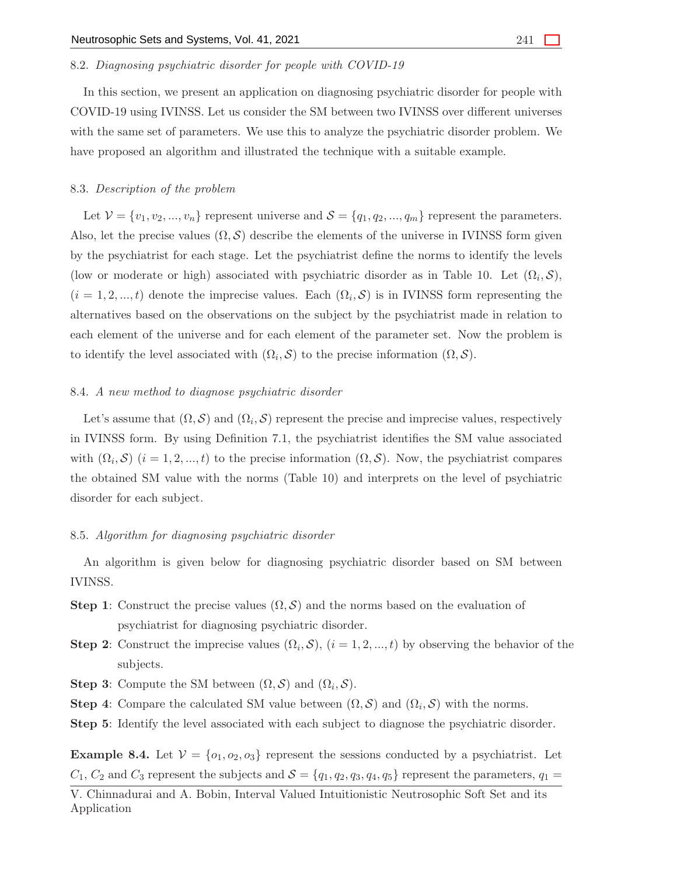#### 8.2. *Diagnosing psychiatric disorder for people with COVID-19*

In this section, we present an application on diagnosing psychiatric disorder for people with COVID-19 using IVINSS. Let us consider the SM between two IVINSS over different universes with the same set of parameters. We use this to analyze the psychiatric disorder problem. We have proposed an algorithm and illustrated the technique with a suitable example.

#### 8.3. *Description of the problem*

Let  $\mathcal{V} = \{v_1, v_2, ..., v_n\}$  represent universe and  $\mathcal{S} = \{q_1, q_2, ..., q_m\}$  represent the parameters. Also, let the precise values  $(\Omega, \mathcal{S})$  describe the elements of the universe in IVINSS form given by the psychiatrist for each stage. Let the psychiatrist define the norms to identify the levels (low or moderate or high) associated with psychiatric disorder as in Table 10. Let  $(\Omega_i, \mathcal{S})$ ,  $(i = 1, 2, ..., t)$  denote the imprecise values. Each  $(\Omega_i, \mathcal{S})$  is in IVINSS form representing the alternatives based on the observations on the subject by the psychiatrist made in relation to each element of the universe and for each element of the parameter set. Now the problem is to identify the level associated with  $(\Omega_i, \mathcal{S})$  to the precise information  $(\Omega, \mathcal{S})$ .

#### 8.4. *A new method to diagnose psychiatric disorder*

Let's assume that  $(\Omega, \mathcal{S})$  and  $(\Omega_i, \mathcal{S})$  represent the precise and imprecise values, respectively in IVINSS form. By using Definition 7.1, the psychiatrist identifies the SM value associated with  $(\Omega_i, \mathcal{S})$   $(i = 1, 2, ..., t)$  to the precise information  $(\Omega, \mathcal{S})$ . Now, the psychiatrist compares the obtained SM value with the norms (Table 10) and interprets on the level of psychiatric disorder for each subject.

# 8.5. *Algorithm for diagnosing psychiatric disorder*

An algorithm is given below for diagnosing psychiatric disorder based on SM between IVINSS.

- **Step 1:** Construct the precise values  $(\Omega, \mathcal{S})$  and the norms based on the evaluation of psychiatrist for diagnosing psychiatric disorder.
- **Step 2:** Construct the imprecise values  $(\Omega_i, \mathcal{S}), (i = 1, 2, ..., t)$  by observing the behavior of the subjects.
- **Step 3:** Compute the SM between  $(\Omega, \mathcal{S})$  and  $(\Omega_i, \mathcal{S})$ .
- **Step 4:** Compare the calculated SM value between  $(\Omega, \mathcal{S})$  and  $(\Omega_i, \mathcal{S})$  with the norms.
- Step 5: Identify the level associated with each subject to diagnose the psychiatric disorder.

**Example 8.4.** Let  $V = \{o_1, o_2, o_3\}$  represent the sessions conducted by a psychiatrist. Let  $C_1, C_2$  and  $C_3$  represent the subjects and  $S = \{q_1, q_2, q_3, q_4, q_5\}$  represent the parameters,  $q_1 =$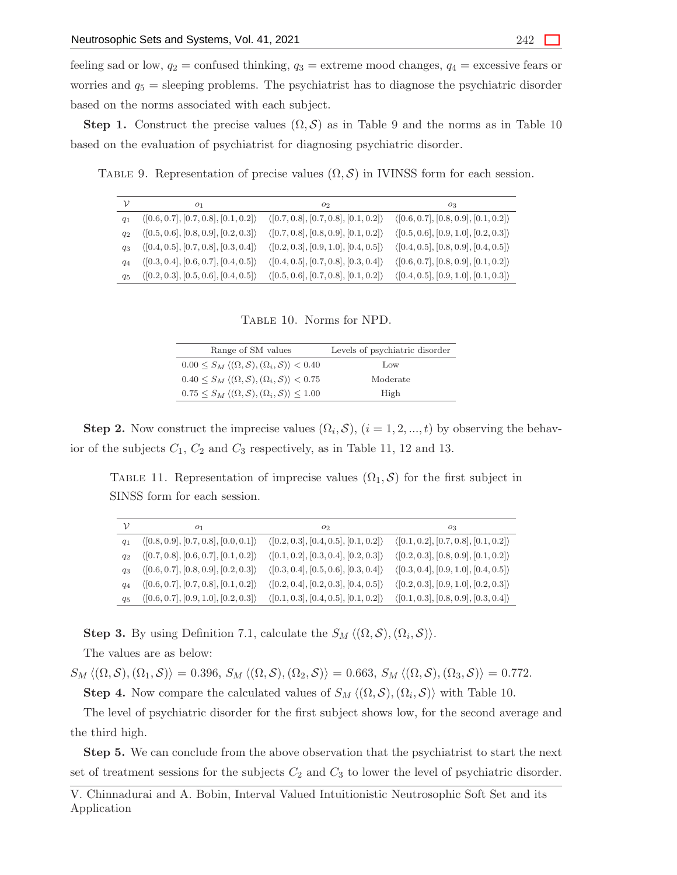feeling sad or low,  $q_2$  = confused thinking,  $q_3$  = extreme mood changes,  $q_4$  = excessive fears or worries and  $q_5$  = sleeping problems. The psychiatrist has to diagnose the psychiatric disorder based on the norms associated with each subject.

**Step 1.** Construct the precise values  $(\Omega, \mathcal{S})$  as in Table 9 and the norms as in Table 10 based on the evaluation of psychiatrist for diagnosing psychiatric disorder.

TABLE 9. Representation of precise values  $(\Omega, \mathcal{S})$  in IVINSS form for each session.

| ν       | O <sub>1</sub>                                       | 02                                                   | 03                                                   |
|---------|------------------------------------------------------|------------------------------------------------------|------------------------------------------------------|
| $q_1$   | $\langle [0.6, 0.7], [0.7, 0.8], [0.1, 0.2] \rangle$ | $\langle [0.7, 0.8], [0.7, 0.8], [0.1, 0.2] \rangle$ | $\langle [0.6, 0.7], [0.8, 0.9], [0.1, 0.2] \rangle$ |
| $q_2$   | $\langle [0.5, 0.6], [0.8, 0.9], [0.2, 0.3] \rangle$ | $\langle [0.7, 0.8], [0.8, 0.9], [0.1, 0.2] \rangle$ | $\langle [0.5, 0.6], [0.9, 1.0], [0.2, 0.3] \rangle$ |
| $q_3$   | $\langle [0.4, 0.5], [0.7, 0.8], [0.3, 0.4] \rangle$ | $\langle [0.2, 0.3], [0.9, 1.0], [0.4, 0.5] \rangle$ | $\langle [0.4, 0.5], [0.8, 0.9], [0.4, 0.5] \rangle$ |
| $q_4$   | $\langle [0.3, 0.4], [0.6, 0.7], [0.4, 0.5] \rangle$ | $\langle [0.4, 0.5], [0.7, 0.8], [0.3, 0.4] \rangle$ | $\langle [0.6, 0.7], [0.8, 0.9], [0.1, 0.2] \rangle$ |
| $q_{5}$ | $\langle [0.2, 0.3], [0.5, 0.6], [0.4, 0.5] \rangle$ | $\langle [0.5, 0.6], [0.7, 0.8], [0.1, 0.2] \rangle$ | $\langle [0.4, 0.5], [0.9, 1.0], [0.1, 0.3] \rangle$ |

Table 10. Norms for NPD.

| Range of SM values                                                                       | Levels of psychiatric disorder |
|------------------------------------------------------------------------------------------|--------------------------------|
| $0.00 \leq S_M \langle (\Omega, \mathcal{S}), (\Omega_i, \mathcal{S}) \rangle < 0.40$    | Low                            |
| $0.40 \leq S_M \langle (\Omega, \mathcal{S}), (\Omega_i, \mathcal{S}) \rangle < 0.75$    | Moderate                       |
| $0.75 \leq S_M \langle (\Omega, \mathcal{S}), (\Omega_i, \mathcal{S}) \rangle \leq 1.00$ | High                           |

**Step 2.** Now construct the imprecise values  $(\Omega_i, \mathcal{S}), (i = 1, 2, ..., t)$  by observing the behavior of the subjects  $C_1$ ,  $C_2$  and  $C_3$  respectively, as in Table 11, 12 and 13.

TABLE 11. Representation of imprecise values  $(\Omega_1, \mathcal{S})$  for the first subject in SINSS form for each session.

| ν       | 01                                                   | 02                                                   | O3                                                   |
|---------|------------------------------------------------------|------------------------------------------------------|------------------------------------------------------|
| $q_1$   | $\langle [0.8, 0.9], [0.7, 0.8], [0.0, 0.1] \rangle$ | $\langle [0.2, 0.3], [0.4, 0.5], [0.1, 0.2] \rangle$ | $\langle [0.1, 0.2], [0.7, 0.8], [0.1, 0.2] \rangle$ |
| $q_2$   | $\langle [0.7, 0.8], [0.6, 0.7], [0.1, 0.2] \rangle$ | $\langle [0.1, 0.2], [0.3, 0.4], [0.2, 0.3] \rangle$ | $\langle [0.2, 0.3], [0.8, 0.9], [0.1, 0.2] \rangle$ |
| $q_3$   | $\langle [0.6, 0.7], [0.8, 0.9], [0.2, 0.3] \rangle$ | $\langle [0.3, 0.4], [0.5, 0.6], [0.3, 0.4] \rangle$ | $\langle [0.3, 0.4], [0.9, 1.0], [0.4, 0.5] \rangle$ |
| $q_4$   | $\langle [0.6, 0.7], [0.7, 0.8], [0.1, 0.2] \rangle$ | $\langle [0.2, 0.4], [0.2, 0.3], [0.4, 0.5] \rangle$ | $\langle [0.2, 0.3], [0.9, 1.0], [0.2, 0.3] \rangle$ |
| $q_{5}$ | $\langle [0.6, 0.7], [0.9, 1.0], [0.2, 0.3] \rangle$ | $\langle [0.1, 0.3], [0.4, 0.5], [0.1, 0.2] \rangle$ | $\langle [0.1, 0.3], [0.8, 0.9], [0.3, 0.4] \rangle$ |

**Step 3.** By using Definition 7.1, calculate the  $S_M \langle (\Omega, \mathcal{S}), (\Omega_i, \mathcal{S}) \rangle$ .

The values are as below:

 $S_M \langle (\Omega, \mathcal{S}), (\Omega_1, \mathcal{S}) \rangle = 0.396$ ,  $S_M \langle (\Omega, \mathcal{S}), (\Omega_2, \mathcal{S}) \rangle = 0.663$ ,  $S_M \langle (\Omega, \mathcal{S}), (\Omega_3, \mathcal{S}) \rangle = 0.772$ .

**Step 4.** Now compare the calculated values of  $S_M \langle (\Omega, \mathcal{S}), (\Omega_i, \mathcal{S}) \rangle$  with Table 10.

The level of psychiatric disorder for the first subject shows low, for the second average and the third high.

Step 5. We can conclude from the above observation that the psychiatrist to start the next set of treatment sessions for the subjects  $C_2$  and  $C_3$  to lower the level of psychiatric disorder.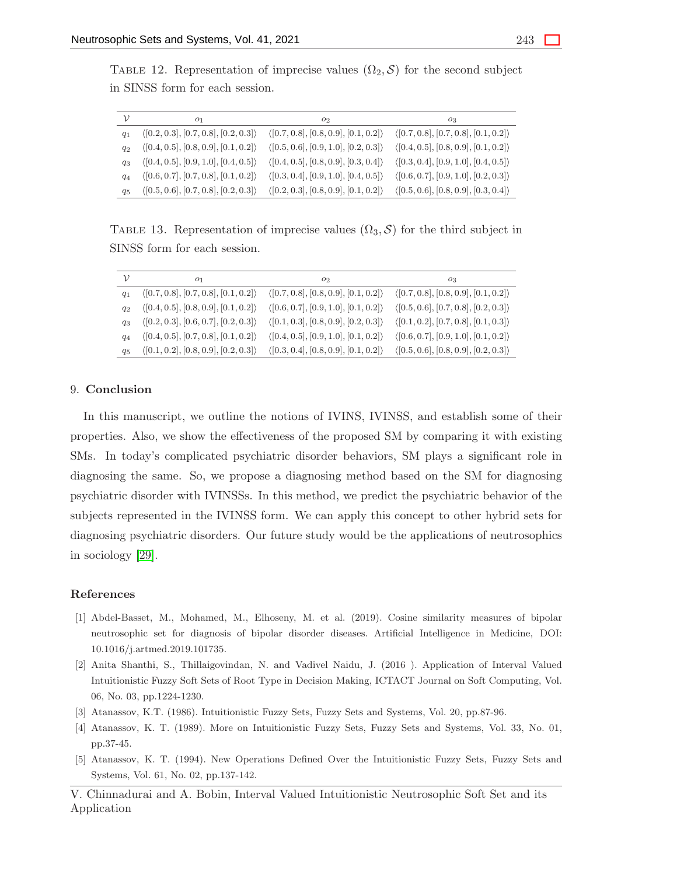TABLE 12. Representation of imprecise values  $(\Omega_2, \mathcal{S})$  for the second subject in SINSS form for each session.

| ν       | O <sub>1</sub>                                       | 02                                                   | 03                                                   |
|---------|------------------------------------------------------|------------------------------------------------------|------------------------------------------------------|
| $q_1$   | $\langle [0.2, 0.3], [0.7, 0.8], [0.2, 0.3] \rangle$ | $\langle [0.7, 0.8], [0.8, 0.9], [0.1, 0.2] \rangle$ | $\langle [0.7, 0.8], [0.7, 0.8], [0.1, 0.2] \rangle$ |
| $q_2$   | $\langle [0.4, 0.5], [0.8, 0.9], [0.1, 0.2] \rangle$ | $\langle [0.5, 0.6], [0.9, 1.0], [0.2, 0.3] \rangle$ | $\langle [0.4, 0.5], [0.8, 0.9], [0.1, 0.2] \rangle$ |
| $q_3$   | $\langle [0.4, 0.5], [0.9, 1.0], [0.4, 0.5] \rangle$ | $\langle [0.4, 0.5], [0.8, 0.9], [0.3, 0.4] \rangle$ | $\langle [0.3, 0.4], [0.9, 1.0], [0.4, 0.5] \rangle$ |
| $q_4$   | $\langle [0.6, 0.7], [0.7, 0.8], [0.1, 0.2] \rangle$ | $\langle [0.3, 0.4], [0.9, 1.0], [0.4, 0.5] \rangle$ | $\langle [0.6, 0.7], [0.9, 1.0], [0.2, 0.3] \rangle$ |
| $q_{5}$ | $\langle [0.5, 0.6], [0.7, 0.8], [0.2, 0.3] \rangle$ | $\langle [0.2, 0.3], [0.8, 0.9], [0.1, 0.2] \rangle$ | $\langle [0.5, 0.6], [0.8, 0.9], [0.3, 0.4] \rangle$ |

TABLE 13. Representation of imprecise values  $(\Omega_3, \mathcal{S})$  for the third subject in SINSS form for each session.

| ν       | O <sub>1</sub>                                       | 02                                                   | 03                                                   |
|---------|------------------------------------------------------|------------------------------------------------------|------------------------------------------------------|
| $q_1$   | $\langle [0.7, 0.8], [0.7, 0.8], [0.1, 0.2] \rangle$ | $\langle [0.7, 0.8], [0.8, 0.9], [0.1, 0.2] \rangle$ | $\langle [0.7, 0.8], [0.8, 0.9], [0.1, 0.2] \rangle$ |
| $q_2$   | $\langle [0.4, 0.5], [0.8, 0.9], [0.1, 0.2] \rangle$ | $\langle [0.6, 0.7], [0.9, 1.0], [0.1, 0.2] \rangle$ | $\langle [0.5, 0.6], [0.7, 0.8], [0.2, 0.3] \rangle$ |
| $q_3$   | $\langle [0.2, 0.3], [0.6, 0.7], [0.2, 0.3] \rangle$ | $\langle [0.1, 0.3], [0.8, 0.9], [0.2, 0.3] \rangle$ | $\langle [0.1, 0.2], [0.7, 0.8], [0.1, 0.3] \rangle$ |
| $q_4$   | $\langle [0.4, 0.5], [0.7, 0.8], [0.1, 0.2] \rangle$ | $\langle [0.4, 0.5], [0.9, 1.0], [0.1, 0.2] \rangle$ | $\langle [0.6, 0.7], [0.9, 1.0], [0.1, 0.2] \rangle$ |
| $q_{5}$ | $\langle [0.1, 0.2], [0.8, 0.9], [0.2, 0.3] \rangle$ | $\langle [0.3, 0.4], [0.8, 0.9], [0.1, 0.2] \rangle$ | $\langle [0.5, 0.6], [0.8, 0.9], [0.2, 0.3] \rangle$ |

#### 9. Conclusion

In this manuscript, we outline the notions of IVINS, IVINSS, and establish some of their properties. Also, we show the effectiveness of the proposed SM by comparing it with existing SMs. In today's complicated psychiatric disorder behaviors, SM plays a significant role in diagnosing the same. So, we propose a diagnosing method based on the SM for diagnosing psychiatric disorder with IVINSSs. In this method, we predict the psychiatric behavior of the subjects represented in the IVINSS form. We can apply this concept to other hybrid sets for diagnosing psychiatric disorders. Our future study would be the applications of neutrosophics in sociology [\[29\]](#page-30-10).

#### <span id="page-28-3"></span>References

- [1] Abdel-Basset, M., Mohamed, M., Elhoseny, M. et al. (2019). Cosine similarity measures of bipolar neutrosophic set for diagnosis of bipolar disorder diseases. Artificial Intelligence in Medicine, DOI: 10.1016/j.artmed.2019.101735.
- <span id="page-28-2"></span>[2] Anita Shanthi, S., Thillaigovindan, N. and Vadivel Naidu, J. (2016 ). Application of Interval Valued Intuitionistic Fuzzy Soft Sets of Root Type in Decision Making, ICTACT Journal on Soft Computing, Vol. 06, No. 03, pp.1224-1230.
- <span id="page-28-4"></span><span id="page-28-0"></span>[3] Atanassov, K.T. (1986). Intuitionistic Fuzzy Sets, Fuzzy Sets and Systems, Vol. 20, pp.87-96.
- <span id="page-28-1"></span>[4] Atanassov, K. T. (1989). More on Intuitionistic Fuzzy Sets, Fuzzy Sets and Systems, Vol. 33, No. 01, pp.37-45.
- [5] Atanassov, K. T. (1994). New Operations Defined Over the Intuitionistic Fuzzy Sets, Fuzzy Sets and Systems, Vol. 61, No. 02, pp.137-142.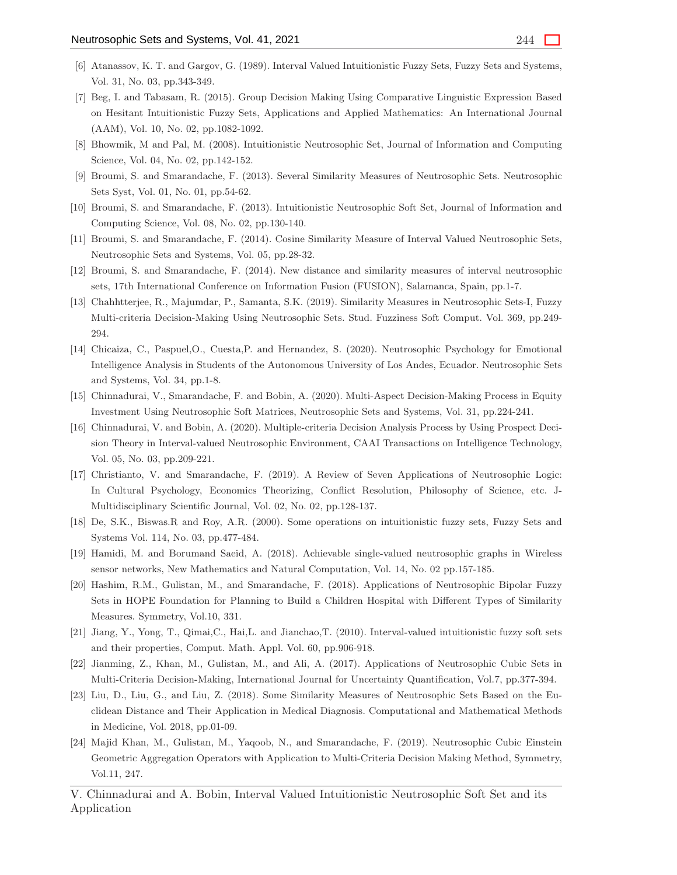- <span id="page-29-14"></span><span id="page-29-0"></span>[6] Atanassov, K. T. and Gargov, G. (1989). Interval Valued Intuitionistic Fuzzy Sets, Fuzzy Sets and Systems, Vol. 31, No. 03, pp.343-349.
- [7] Beg, I. and Tabasam, R. (2015). Group Decision Making Using Comparative Linguistic Expression Based on Hesitant Intuitionistic Fuzzy Sets, Applications and Applied Mathematics: An International Journal (AAM), Vol. 10, No. 02, pp.1082-1092.
- <span id="page-29-12"></span><span id="page-29-6"></span>[8] Bhowmik, M and Pal, M. (2008). Intuitionistic Neutrosophic Set, Journal of Information and Computing Science, Vol. 04, No. 02, pp.142-152.
- <span id="page-29-13"></span>[9] Broumi, S. and Smarandache, F. (2013). Several Similarity Measures of Neutrosophic Sets. Neutrosophic Sets Syst, Vol. 01, No. 01, pp.54-62.
- <span id="page-29-17"></span>[10] Broumi, S. and Smarandache, F. (2013). Intuitionistic Neutrosophic Soft Set, Journal of Information and Computing Science, Vol. 08, No. 02, pp.130-140.
- <span id="page-29-18"></span>[11] Broumi, S. and Smarandache, F. (2014). Cosine Similarity Measure of Interval Valued Neutrosophic Sets, Neutrosophic Sets and Systems, Vol. 05, pp.28-32.
- <span id="page-29-8"></span>[12] Broumi, S. and Smarandache, F. (2014). New distance and similarity measures of interval neutrosophic sets, 17th International Conference on Information Fusion (FUSION), Salamanca, Spain, pp.1-7.
- [13] Chahhtterjee, R., Majumdar, P., Samanta, S.K. (2019). Similarity Measures in Neutrosophic Sets-I, Fuzzy Multi-criteria Decision-Making Using Neutrosophic Sets. Stud. Fuzziness Soft Comput. Vol. 369, pp.249- 294.
- <span id="page-29-11"></span>[14] Chicaiza, C., Paspuel,O., Cuesta,P. and Hernandez, S. (2020). Neutrosophic Psychology for Emotional Intelligence Analysis in Students of the Autonomous University of Los Andes, Ecuador. Neutrosophic Sets and Systems, Vol. 34, pp.1-8.
- <span id="page-29-5"></span><span id="page-29-4"></span>[15] Chinnadurai, V., Smarandache, F. and Bobin, A. (2020). Multi-Aspect Decision-Making Process in Equity Investment Using Neutrosophic Soft Matrices, Neutrosophic Sets and Systems, Vol. 31, pp.224-241.
- [16] Chinnadurai, V. and Bobin, A. (2020). Multiple-criteria Decision Analysis Process by Using Prospect Decision Theory in Interval-valued Neutrosophic Environment, CAAI Transactions on Intelligence Technology, Vol. 05, No. 03, pp.209-221.
- <span id="page-29-10"></span>[17] Christianto, V. and Smarandache, F. (2019). A Review of Seven Applications of Neutrosophic Logic: In Cultural Psychology, Economics Theorizing, Conflict Resolution, Philosophy of Science, etc. J-Multidisciplinary Scientific Journal, Vol. 02, No. 02, pp.128-137.
- <span id="page-29-16"></span><span id="page-29-9"></span>[18] De, S.K., Biswas.R and Roy, A.R. (2000). Some operations on intuitionistic fuzzy sets, Fuzzy Sets and Systems Vol. 114, No. 03, pp.477-484.
- <span id="page-29-3"></span>[19] Hamidi, M. and Borumand Saeid, A. (2018). Achievable single-valued neutrosophic graphs in Wireless sensor networks, New Mathematics and Natural Computation, Vol. 14, No. 02 pp.157-185.
- [20] Hashim, R.M., Gulistan, M., and Smarandache, F. (2018). Applications of Neutrosophic Bipolar Fuzzy Sets in HOPE Foundation for Planning to Build a Children Hospital with Different Types of Similarity Measures. Symmetry, Vol.10, 331.
- <span id="page-29-15"></span><span id="page-29-1"></span>[21] Jiang, Y., Yong, T., Qimai,C., Hai,L. and Jianchao,T. (2010). Interval-valued intuitionistic fuzzy soft sets and their properties, Comput. Math. Appl. Vol. 60, pp.906-918.
- <span id="page-29-7"></span>[22] Jianming, Z., Khan, M., Gulistan, M., and Ali, A. (2017). Applications of Neutrosophic Cubic Sets in Multi-Criteria Decision-Making, International Journal for Uncertainty Quantification, Vol.7, pp.377-394.
- [23] Liu, D., Liu, G., and Liu, Z. (2018). Some Similarity Measures of Neutrosophic Sets Based on the Euclidean Distance and Their Application in Medical Diagnosis. Computational and Mathematical Methods in Medicine, Vol. 2018, pp.01-09.
- <span id="page-29-2"></span>[24] Majid Khan, M., Gulistan, M., Yaqoob, N., and Smarandache, F. (2019). Neutrosophic Cubic Einstein Geometric Aggregation Operators with Application to Multi-Criteria Decision Making Method, Symmetry, Vol.11, 247.

V. Chinnadurai and A. Bobin, Interval Valued Intuitionistic Neutrosophic Soft Set and its Application